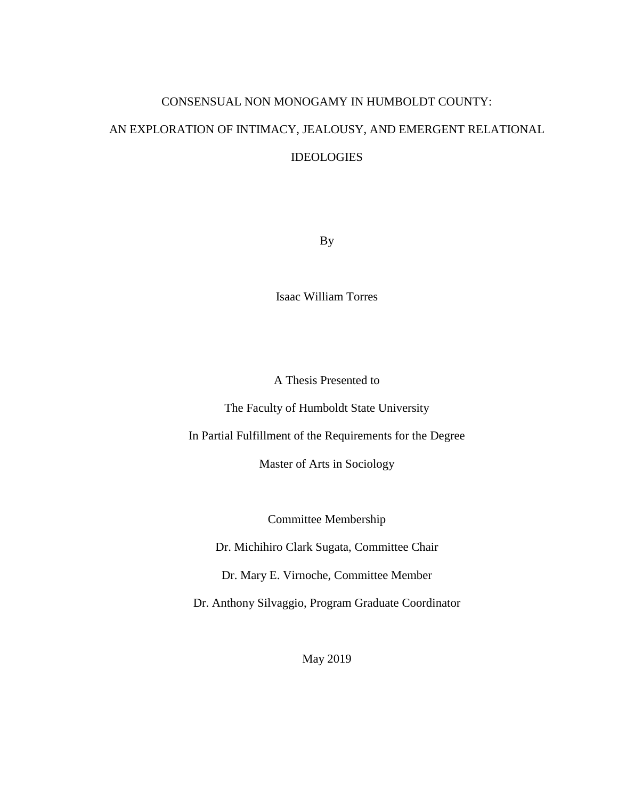# CONSENSUAL NON MONOGAMY IN HUMBOLDT COUNTY:

# AN EXPLORATION OF INTIMACY, JEALOUSY, AND EMERGENT RELATIONAL **IDEOLOGIES**

By

Isaac William Torres

A Thesis Presented to

The Faculty of Humboldt State University

In Partial Fulfillment of the Requirements for the Degree

Master of Arts in Sociology

Committee Membership

Dr. Michihiro Clark Sugata, Committee Chair

Dr. Mary E. Virnoche, Committee Member

Dr. Anthony Silvaggio, Program Graduate Coordinator

May 2019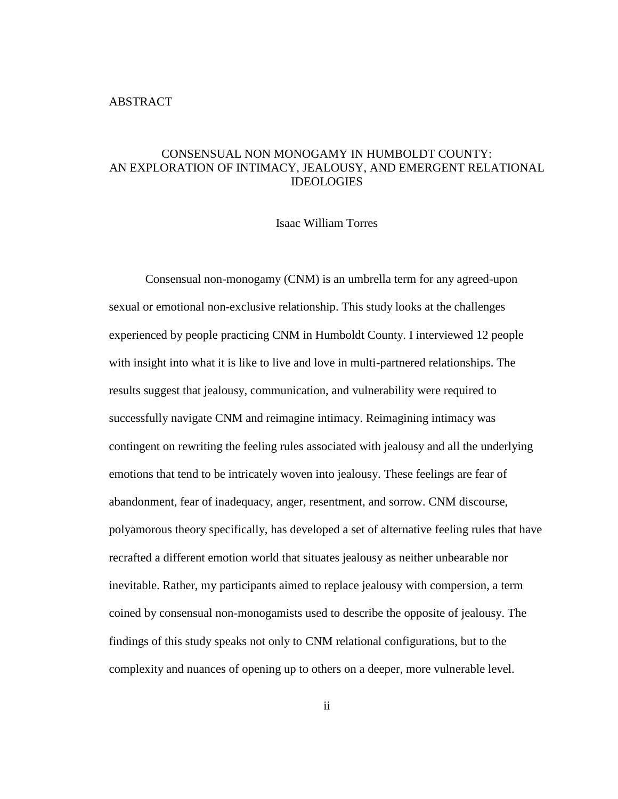# <span id="page-1-0"></span>CONSENSUAL NON MONOGAMY IN HUMBOLDT COUNTY: AN EXPLORATION OF INTIMACY, JEALOUSY, AND EMERGENT RELATIONAL IDEOLOGIES

Isaac William Torres

Consensual non-monogamy (CNM) is an umbrella term for any agreed-upon sexual or emotional non-exclusive relationship. This study looks at the challenges experienced by people practicing CNM in Humboldt County. I interviewed 12 people with insight into what it is like to live and love in multi-partnered relationships. The results suggest that jealousy, communication, and vulnerability were required to successfully navigate CNM and reimagine intimacy. Reimagining intimacy was contingent on rewriting the feeling rules associated with jealousy and all the underlying emotions that tend to be intricately woven into jealousy. These feelings are fear of abandonment, fear of inadequacy, anger, resentment, and sorrow. CNM discourse, polyamorous theory specifically, has developed a set of alternative feeling rules that have recrafted a different emotion world that situates jealousy as neither unbearable nor inevitable. Rather, my participants aimed to replace jealousy with compersion, a term coined by consensual non-monogamists used to describe the opposite of jealousy. The findings of this study speaks not only to CNM relational configurations, but to the complexity and nuances of opening up to others on a deeper, more vulnerable level.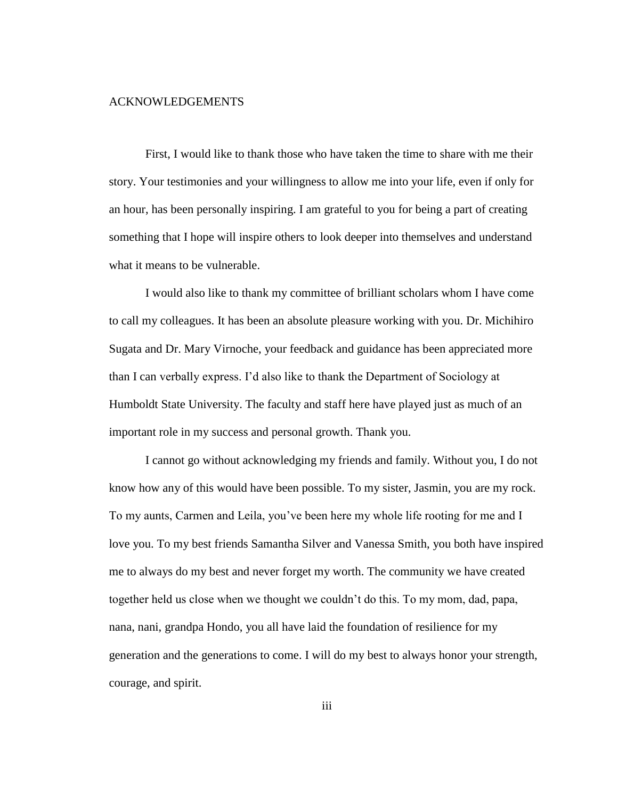#### <span id="page-2-0"></span>ACKNOWLEDGEMENTS

First, I would like to thank those who have taken the time to share with me their story. Your testimonies and your willingness to allow me into your life, even if only for an hour, has been personally inspiring. I am grateful to you for being a part of creating something that I hope will inspire others to look deeper into themselves and understand what it means to be vulnerable.

I would also like to thank my committee of brilliant scholars whom I have come to call my colleagues. It has been an absolute pleasure working with you. Dr. Michihiro Sugata and Dr. Mary Virnoche, your feedback and guidance has been appreciated more than I can verbally express. I'd also like to thank the Department of Sociology at Humboldt State University. The faculty and staff here have played just as much of an important role in my success and personal growth. Thank you.

I cannot go without acknowledging my friends and family. Without you, I do not know how any of this would have been possible. To my sister, Jasmin, you are my rock. To my aunts, Carmen and Leila, you've been here my whole life rooting for me and I love you. To my best friends Samantha Silver and Vanessa Smith, you both have inspired me to always do my best and never forget my worth. The community we have created together held us close when we thought we couldn't do this. To my mom, dad, papa, nana, nani, grandpa Hondo, you all have laid the foundation of resilience for my generation and the generations to come. I will do my best to always honor your strength, courage, and spirit.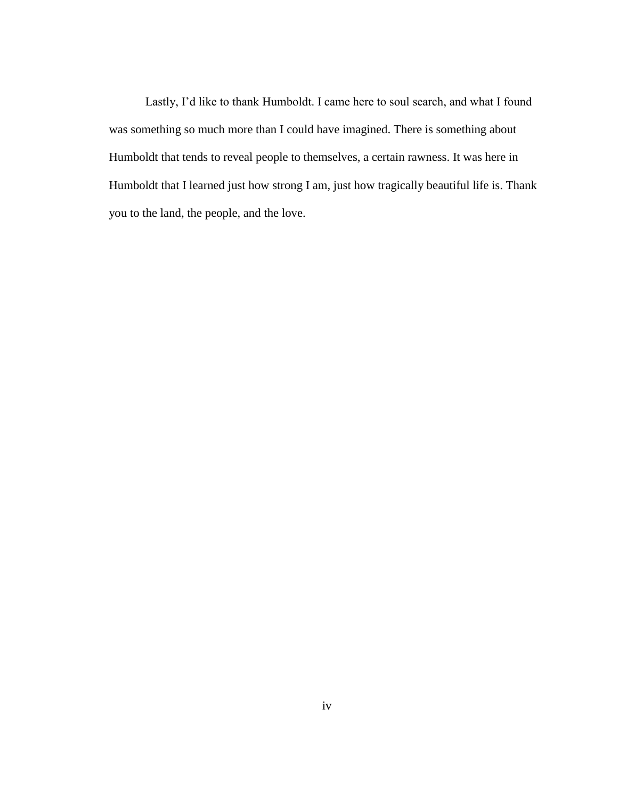Lastly, I'd like to thank Humboldt. I came here to soul search, and what I found was something so much more than I could have imagined. There is something about Humboldt that tends to reveal people to themselves, a certain rawness. It was here in Humboldt that I learned just how strong I am, just how tragically beautiful life is. Thank you to the land, the people, and the love.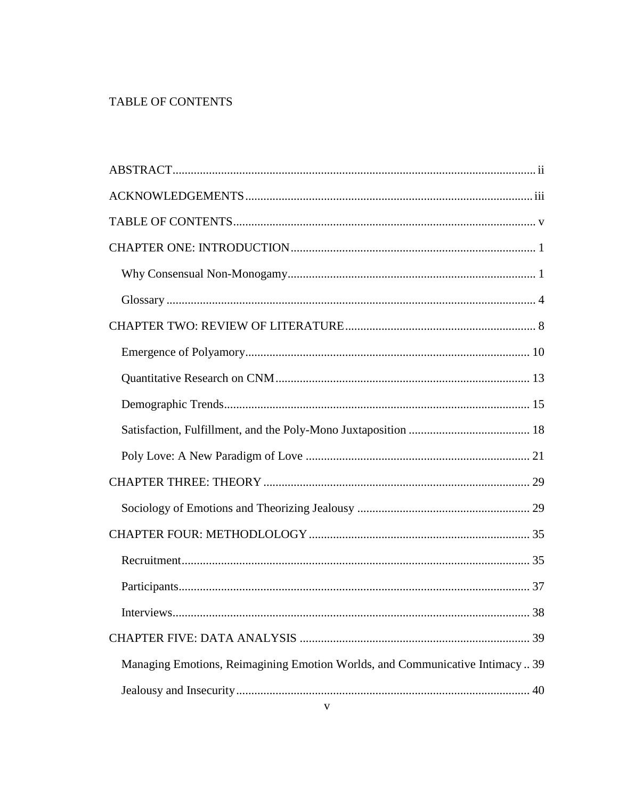# <span id="page-4-0"></span>TABLE OF CONTENTS

| 38<br>Interviews.                                                            |
|------------------------------------------------------------------------------|
|                                                                              |
| Managing Emotions, Reimagining Emotion Worlds, and Communicative Intimacy 39 |
|                                                                              |
|                                                                              |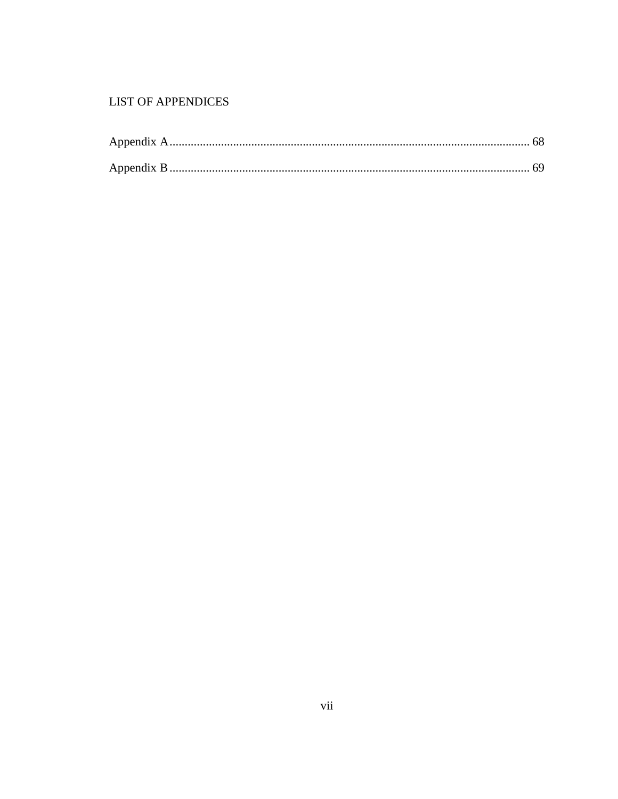# **LIST OF APPENDICES**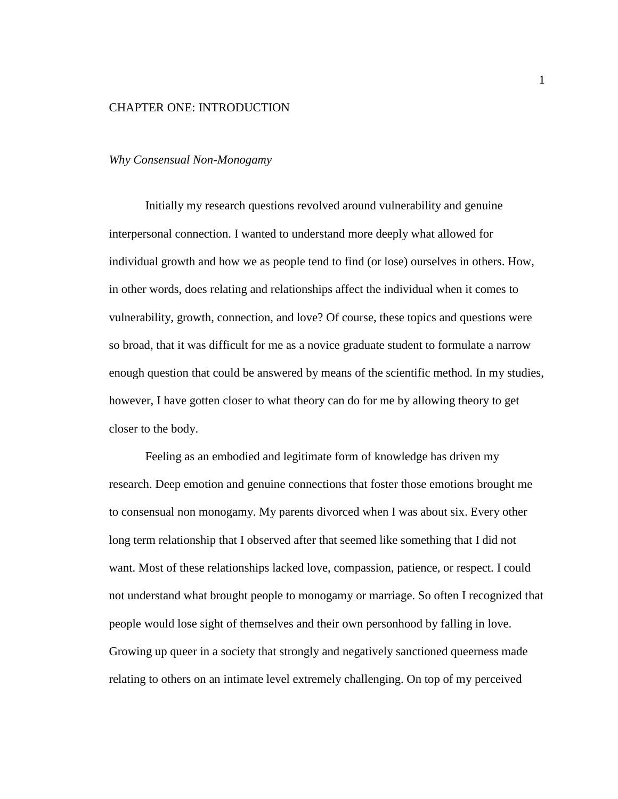#### <span id="page-7-0"></span>CHAPTER ONE: INTRODUCTION

#### <span id="page-7-1"></span>*Why Consensual Non-Monogamy*

Initially my research questions revolved around vulnerability and genuine interpersonal connection. I wanted to understand more deeply what allowed for individual growth and how we as people tend to find (or lose) ourselves in others. How, in other words, does relating and relationships affect the individual when it comes to vulnerability, growth, connection, and love? Of course, these topics and questions were so broad, that it was difficult for me as a novice graduate student to formulate a narrow enough question that could be answered by means of the scientific method. In my studies, however, I have gotten closer to what theory can do for me by allowing theory to get closer to the body.

Feeling as an embodied and legitimate form of knowledge has driven my research. Deep emotion and genuine connections that foster those emotions brought me to consensual non monogamy. My parents divorced when I was about six. Every other long term relationship that I observed after that seemed like something that I did not want. Most of these relationships lacked love, compassion, patience, or respect. I could not understand what brought people to monogamy or marriage. So often I recognized that people would lose sight of themselves and their own personhood by falling in love. Growing up queer in a society that strongly and negatively sanctioned queerness made relating to others on an intimate level extremely challenging. On top of my perceived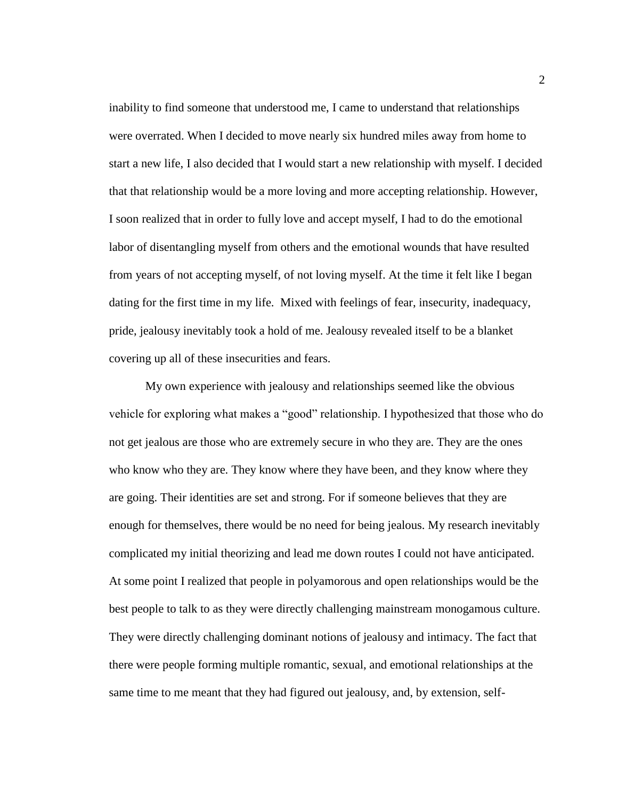inability to find someone that understood me, I came to understand that relationships were overrated. When I decided to move nearly six hundred miles away from home to start a new life, I also decided that I would start a new relationship with myself. I decided that that relationship would be a more loving and more accepting relationship. However, I soon realized that in order to fully love and accept myself, I had to do the emotional labor of disentangling myself from others and the emotional wounds that have resulted from years of not accepting myself, of not loving myself. At the time it felt like I began dating for the first time in my life. Mixed with feelings of fear, insecurity, inadequacy, pride, jealousy inevitably took a hold of me. Jealousy revealed itself to be a blanket covering up all of these insecurities and fears.

My own experience with jealousy and relationships seemed like the obvious vehicle for exploring what makes a "good" relationship. I hypothesized that those who do not get jealous are those who are extremely secure in who they are. They are the ones who know who they are. They know where they have been, and they know where they are going. Their identities are set and strong. For if someone believes that they are enough for themselves, there would be no need for being jealous. My research inevitably complicated my initial theorizing and lead me down routes I could not have anticipated. At some point I realized that people in polyamorous and open relationships would be the best people to talk to as they were directly challenging mainstream monogamous culture. They were directly challenging dominant notions of jealousy and intimacy. The fact that there were people forming multiple romantic, sexual, and emotional relationships at the same time to me meant that they had figured out jealousy, and, by extension, self-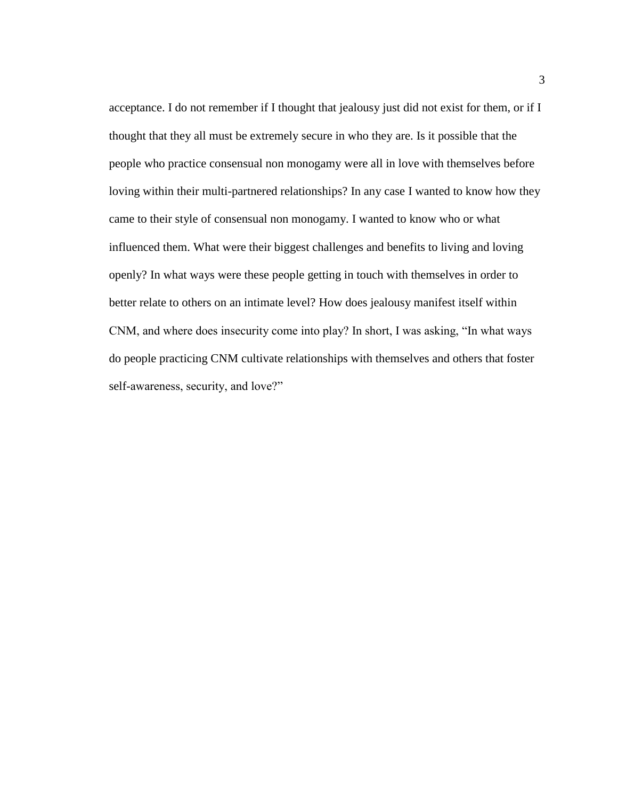acceptance. I do not remember if I thought that jealousy just did not exist for them, or if I thought that they all must be extremely secure in who they are. Is it possible that the people who practice consensual non monogamy were all in love with themselves before loving within their multi-partnered relationships? In any case I wanted to know how they came to their style of consensual non monogamy. I wanted to know who or what influenced them. What were their biggest challenges and benefits to living and loving openly? In what ways were these people getting in touch with themselves in order to better relate to others on an intimate level? How does jealousy manifest itself within CNM, and where does insecurity come into play? In short, I was asking, "In what ways do people practicing CNM cultivate relationships with themselves and others that foster self-awareness, security, and love?"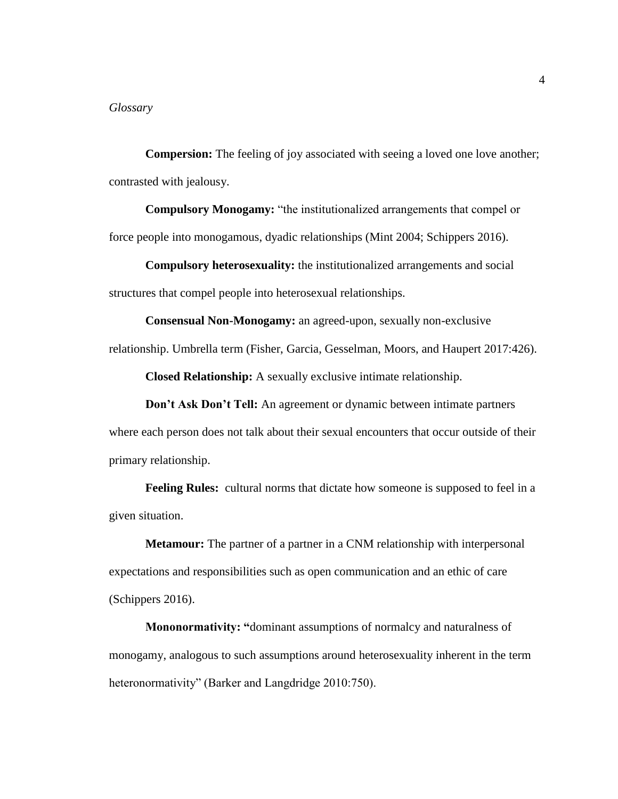<span id="page-10-0"></span>**Compersion:** The feeling of joy associated with seeing a loved one love another; contrasted with jealousy.

**Compulsory Monogamy:** "the institutionalized arrangements that compel or force people into monogamous, dyadic relationships (Mint 2004; Schippers 2016).

**Compulsory heterosexuality:** the institutionalized arrangements and social structures that compel people into heterosexual relationships.

**Consensual Non-Monogamy:** an agreed-upon, sexually non-exclusive relationship. Umbrella term (Fisher, Garcia, Gesselman, Moors, and Haupert 2017:426).

**Closed Relationship:** A sexually exclusive intimate relationship.

**Don't Ask Don't Tell:** An agreement or dynamic between intimate partners

where each person does not talk about their sexual encounters that occur outside of their primary relationship.

**Feeling Rules:** cultural norms that dictate how someone is supposed to feel in a given situation.

**Metamour:** The partner of a partner in a CNM relationship with interpersonal expectations and responsibilities such as open communication and an ethic of care (Schippers 2016).

**Mononormativity: "**dominant assumptions of normalcy and naturalness of monogamy, analogous to such assumptions around heterosexuality inherent in the term heteronormativity" (Barker and Langdridge 2010:750).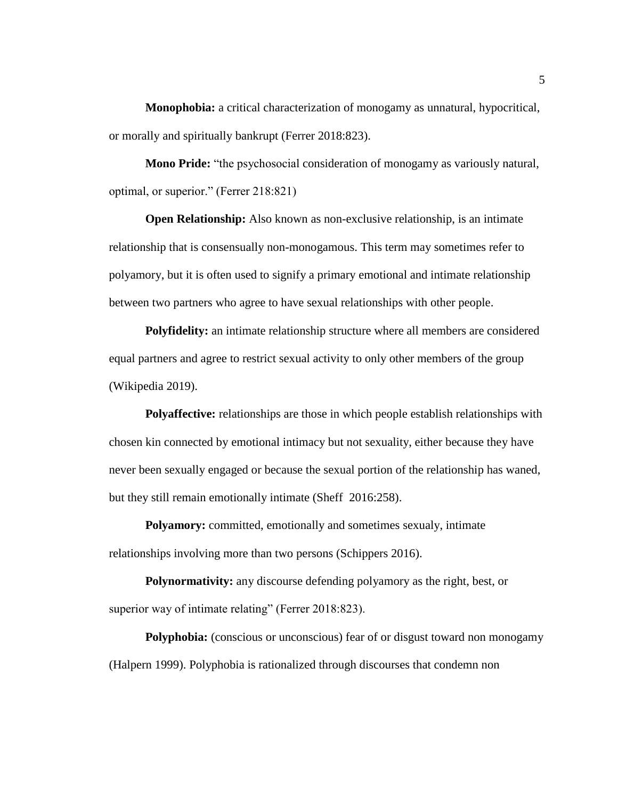**Monophobia:** a critical characterization of monogamy as unnatural, hypocritical, or morally and spiritually bankrupt (Ferrer 2018:823).

**Mono Pride:** "the psychosocial consideration of monogamy as variously natural, optimal, or superior." (Ferrer 218:821)

**Open Relationship:** Also known as non-exclusive relationship, is an intimate relationship that is consensually non-monogamous. This term may sometimes refer to polyamory, but it is often used to signify a primary emotional and intimate relationship between two partners who agree to have sexual relationships with other people.

**Polyfidelity:** an intimate relationship structure where all members are considered equal partners and agree to restrict sexual activity to only other members of the group (Wikipedia 2019).

**Polyaffective:** relationships are those in which people establish relationships with chosen kin connected by emotional intimacy but not sexuality, either because they have never been sexually engaged or because the sexual portion of the relationship has waned, but they still remain emotionally intimate (Sheff 2016:258).

**Polyamory:** committed, emotionally and sometimes sexualy, intimate relationships involving more than two persons (Schippers 2016).

**Polynormativity:** any discourse defending polyamory as the right, best, or superior way of intimate relating" (Ferrer 2018:823).

**Polyphobia:** (conscious or unconscious) fear of or disgust toward non monogamy (Halpern 1999). Polyphobia is rationalized through discourses that condemn non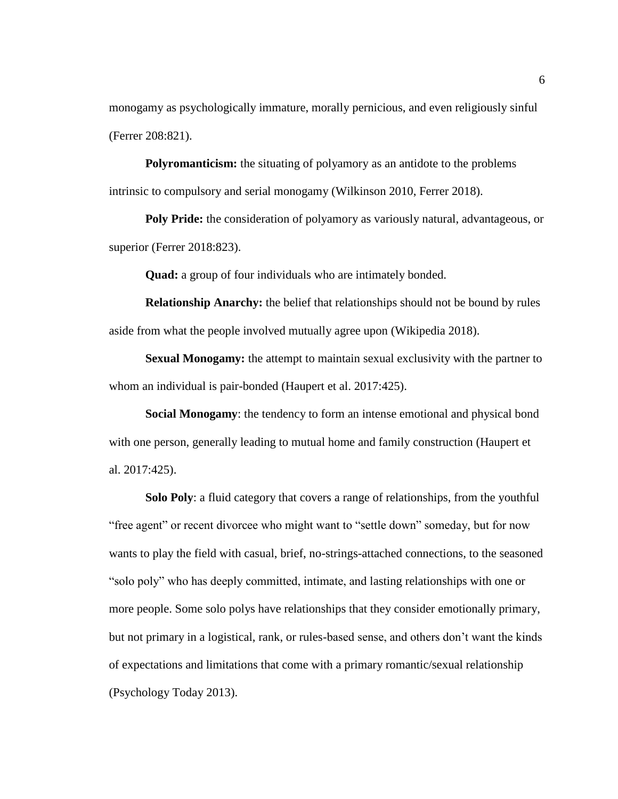monogamy as psychologically immature, morally pernicious, and even religiously sinful (Ferrer 208:821).

**Polyromanticism:** the situating of polyamory as an antidote to the problems intrinsic to compulsory and serial monogamy (Wilkinson 2010, Ferrer 2018).

**Poly Pride:** the consideration of polyamory as variously natural, advantageous, or superior (Ferrer 2018:823).

**Quad:** a group of four individuals who are intimately bonded.

**Relationship Anarchy:** the belief that relationships should not be bound by rules aside from what the people involved mutually agree upon (Wikipedia 2018).

**Sexual Monogamy:** the attempt to maintain sexual exclusivity with the partner to whom an individual is pair-bonded (Haupert et al. 2017:425).

**Social Monogamy**: the tendency to form an intense emotional and physical bond with one person, generally leading to mutual home and family construction (Haupert et al. 2017:425).

**Solo Poly**: a fluid category that covers a range of relationships, from the youthful "free agent" or recent divorcee who might want to "settle down" someday, but for now wants to play the field with casual, brief, no-strings-attached connections, to the seasoned "solo poly" who has deeply committed, intimate, and lasting relationships with one or more people. Some solo polys have relationships that they consider emotionally primary, but not primary in a logistical, rank, or rules-based sense, and others don't want the kinds of expectations and limitations that come with a primary romantic/sexual relationship (Psychology Today 2013).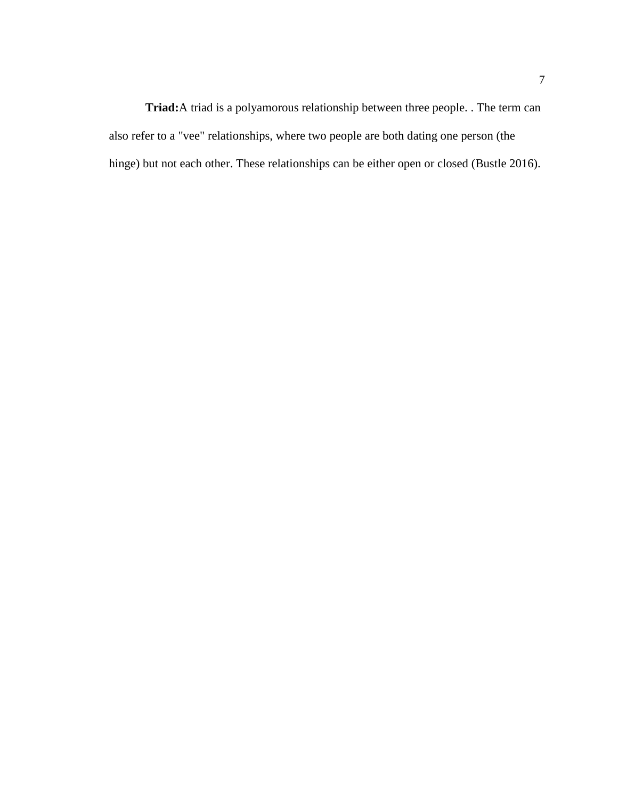**Triad:**A triad is a polyamorous relationship between three people. . The term can also refer to a "vee" relationships, where two people are both dating one person (the hinge) but not each other. These relationships can be either open or closed (Bustle 2016).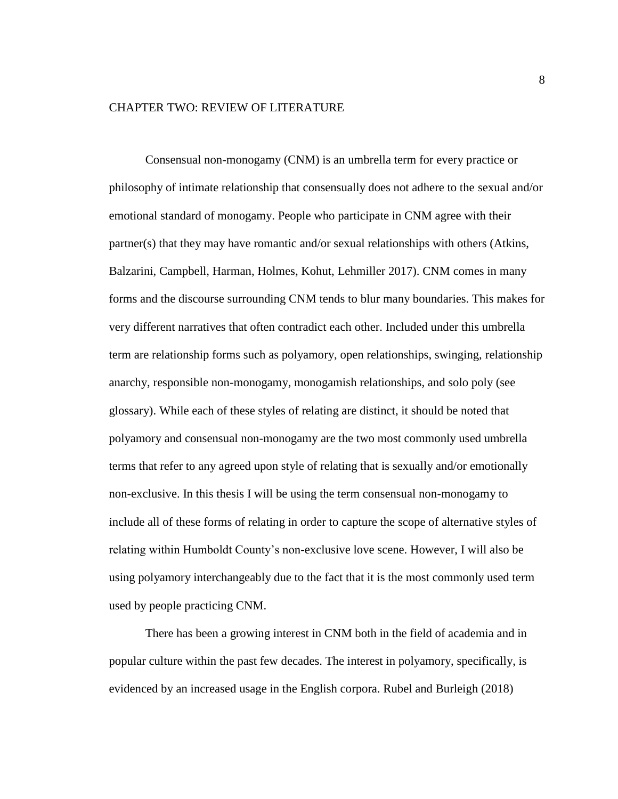#### <span id="page-14-0"></span>CHAPTER TWO: REVIEW OF LITERATURE

Consensual non-monogamy (CNM) is an umbrella term for every practice or philosophy of intimate relationship that consensually does not adhere to the sexual and/or emotional standard of monogamy. People who participate in CNM agree with their partner(s) that they may have romantic and/or sexual relationships with others (Atkins, Balzarini, Campbell, Harman, Holmes, Kohut, Lehmiller 2017). CNM comes in many forms and the discourse surrounding CNM tends to blur many boundaries. This makes for very different narratives that often contradict each other. Included under this umbrella term are relationship forms such as polyamory, open relationships, swinging, relationship anarchy, responsible non-monogamy, monogamish relationships, and solo poly (see glossary). While each of these styles of relating are distinct, it should be noted that polyamory and consensual non-monogamy are the two most commonly used umbrella terms that refer to any agreed upon style of relating that is sexually and/or emotionally non-exclusive. In this thesis I will be using the term consensual non-monogamy to include all of these forms of relating in order to capture the scope of alternative styles of relating within Humboldt County's non-exclusive love scene. However, I will also be using polyamory interchangeably due to the fact that it is the most commonly used term used by people practicing CNM.

There has been a growing interest in CNM both in the field of academia and in popular culture within the past few decades. The interest in polyamory, specifically, is evidenced by an increased usage in the English corpora. Rubel and Burleigh (2018)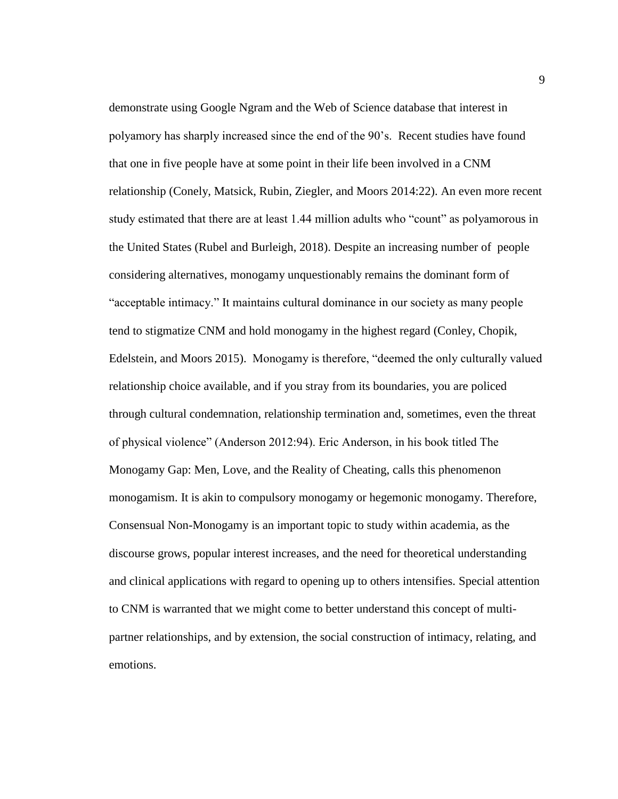demonstrate using Google Ngram and the Web of Science database that interest in polyamory has sharply increased since the end of the 90's. Recent studies have found that one in five people have at some point in their life been involved in a CNM relationship (Conely, Matsick, Rubin, Ziegler, and Moors 2014:22). An even more recent study estimated that there are at least 1.44 million adults who "count" as polyamorous in the United States (Rubel and Burleigh, 2018). Despite an increasing number of people considering alternatives, monogamy unquestionably remains the dominant form of "acceptable intimacy." It maintains cultural dominance in our society as many people tend to stigmatize CNM and hold monogamy in the highest regard (Conley, Chopik, Edelstein, and Moors 2015). Monogamy is therefore, "deemed the only culturally valued relationship choice available, and if you stray from its boundaries, you are policed through cultural condemnation, relationship termination and, sometimes, even the threat of physical violence" (Anderson 2012:94). Eric Anderson, in his book titled The Monogamy Gap: Men, Love, and the Reality of Cheating, calls this phenomenon monogamism. It is akin to compulsory monogamy or hegemonic monogamy. Therefore, Consensual Non-Monogamy is an important topic to study within academia, as the discourse grows, popular interest increases, and the need for theoretical understanding and clinical applications with regard to opening up to others intensifies. Special attention to CNM is warranted that we might come to better understand this concept of multipartner relationships, and by extension, the social construction of intimacy, relating, and emotions.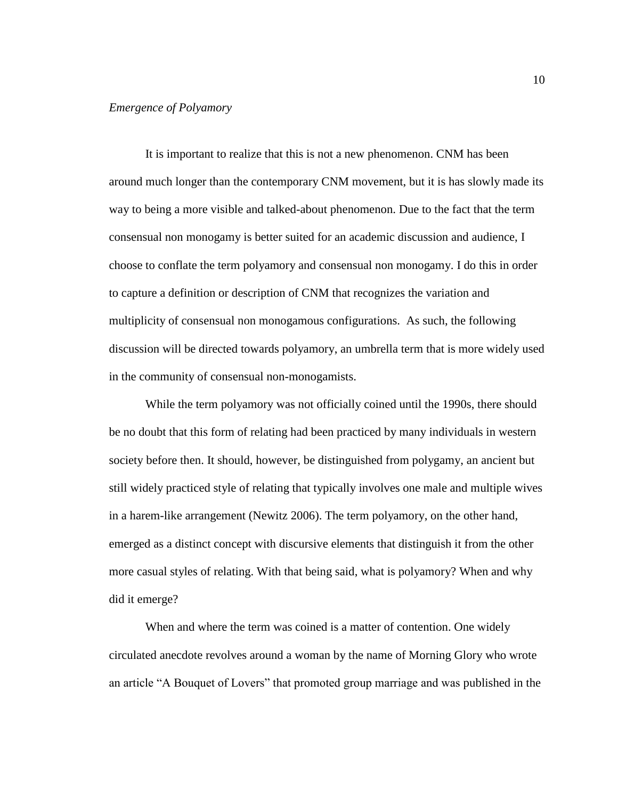#### <span id="page-16-0"></span>*Emergence of Polyamory*

It is important to realize that this is not a new phenomenon. CNM has been around much longer than the contemporary CNM movement, but it is has slowly made its way to being a more visible and talked-about phenomenon. Due to the fact that the term consensual non monogamy is better suited for an academic discussion and audience, I choose to conflate the term polyamory and consensual non monogamy. I do this in order to capture a definition or description of CNM that recognizes the variation and multiplicity of consensual non monogamous configurations. As such, the following discussion will be directed towards polyamory, an umbrella term that is more widely used in the community of consensual non-monogamists.

While the term polyamory was not officially coined until the 1990s, there should be no doubt that this form of relating had been practiced by many individuals in western society before then. It should, however, be distinguished from polygamy, an ancient but still widely practiced style of relating that typically involves one male and multiple wives in a harem-like arrangement (Newitz 2006). The term polyamory, on the other hand, emerged as a distinct concept with discursive elements that distinguish it from the other more casual styles of relating. With that being said, what is polyamory? When and why did it emerge?

When and where the term was coined is a matter of contention. One widely circulated anecdote revolves around a woman by the name of Morning Glory who wrote an article "A Bouquet of Lovers" that promoted group marriage and was published in the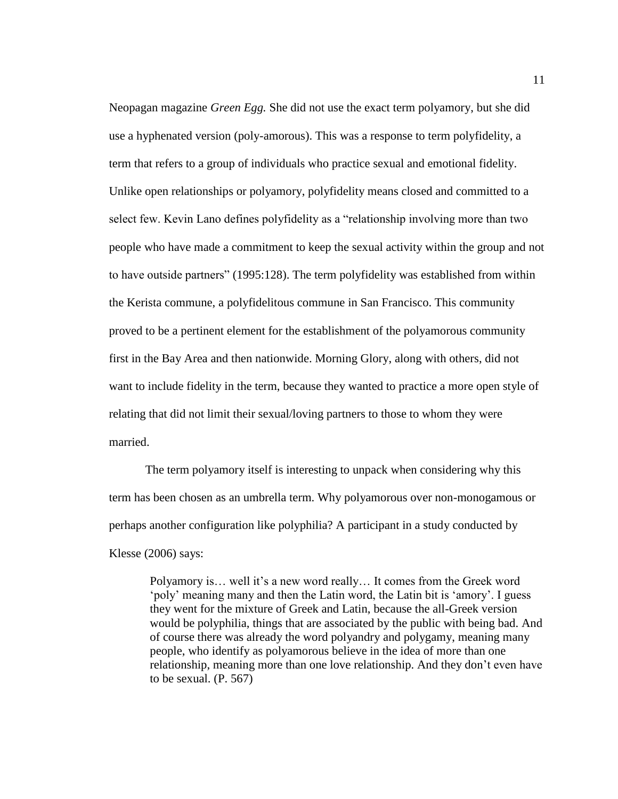Neopagan magazine *Green Egg.* She did not use the exact term polyamory, but she did use a hyphenated version (poly-amorous). This was a response to term polyfidelity, a term that refers to a group of individuals who practice sexual and emotional fidelity. Unlike open relationships or polyamory, polyfidelity means closed and committed to a select few. Kevin Lano defines polyfidelity as a "relationship involving more than two people who have made a commitment to keep the sexual activity within the group and not to have outside partners" (1995:128). The term polyfidelity was established from within the Kerista commune, a polyfidelitous commune in San Francisco. This community proved to be a pertinent element for the establishment of the polyamorous community first in the Bay Area and then nationwide. Morning Glory, along with others, did not want to include fidelity in the term, because they wanted to practice a more open style of relating that did not limit their sexual/loving partners to those to whom they were married.

The term polyamory itself is interesting to unpack when considering why this term has been chosen as an umbrella term. Why polyamorous over non-monogamous or perhaps another configuration like polyphilia? A participant in a study conducted by Klesse (2006) says:

Polyamory is… well it's a new word really… It comes from the Greek word 'poly' meaning many and then the Latin word, the Latin bit is 'amory'. I guess they went for the mixture of Greek and Latin, because the all-Greek version would be polyphilia, things that are associated by the public with being bad. And of course there was already the word polyandry and polygamy, meaning many people, who identify as polyamorous believe in the idea of more than one relationship, meaning more than one love relationship. And they don't even have to be sexual. (P. 567)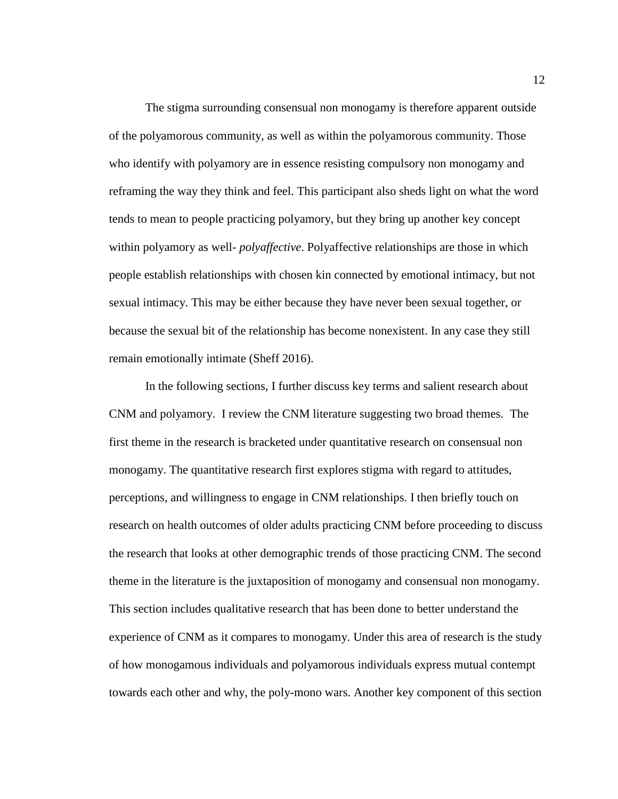The stigma surrounding consensual non monogamy is therefore apparent outside of the polyamorous community, as well as within the polyamorous community. Those who identify with polyamory are in essence resisting compulsory non monogamy and reframing the way they think and feel. This participant also sheds light on what the word tends to mean to people practicing polyamory, but they bring up another key concept within polyamory as well- *polyaffective*. Polyaffective relationships are those in which people establish relationships with chosen kin connected by emotional intimacy, but not sexual intimacy. This may be either because they have never been sexual together, or because the sexual bit of the relationship has become nonexistent. In any case they still remain emotionally intimate (Sheff 2016).

In the following sections, I further discuss key terms and salient research about CNM and polyamory. I review the CNM literature suggesting two broad themes. The first theme in the research is bracketed under quantitative research on consensual non monogamy. The quantitative research first explores stigma with regard to attitudes, perceptions, and willingness to engage in CNM relationships. I then briefly touch on research on health outcomes of older adults practicing CNM before proceeding to discuss the research that looks at other demographic trends of those practicing CNM. The second theme in the literature is the juxtaposition of monogamy and consensual non monogamy. This section includes qualitative research that has been done to better understand the experience of CNM as it compares to monogamy. Under this area of research is the study of how monogamous individuals and polyamorous individuals express mutual contempt towards each other and why, the poly-mono wars. Another key component of this section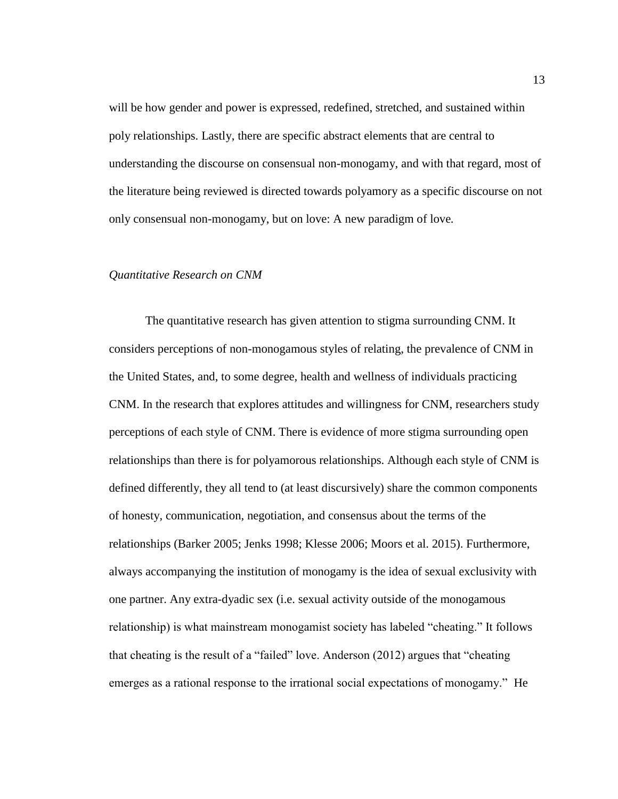will be how gender and power is expressed, redefined, stretched, and sustained within poly relationships. Lastly, there are specific abstract elements that are central to understanding the discourse on consensual non-monogamy, and with that regard, most of the literature being reviewed is directed towards polyamory as a specific discourse on not only consensual non-monogamy, but on love: A new paradigm of love*.*

#### <span id="page-19-0"></span>*Quantitative Research on CNM*

The quantitative research has given attention to stigma surrounding CNM. It considers perceptions of non-monogamous styles of relating, the prevalence of CNM in the United States, and, to some degree, health and wellness of individuals practicing CNM. In the research that explores attitudes and willingness for CNM, researchers study perceptions of each style of CNM. There is evidence of more stigma surrounding open relationships than there is for polyamorous relationships. Although each style of CNM is defined differently, they all tend to (at least discursively) share the common components of honesty, communication, negotiation, and consensus about the terms of the relationships (Barker 2005; Jenks 1998; Klesse 2006; Moors et al. 2015). Furthermore, always accompanying the institution of monogamy is the idea of sexual exclusivity with one partner. Any extra-dyadic sex (i.e. sexual activity outside of the monogamous relationship) is what mainstream monogamist society has labeled "cheating." It follows that cheating is the result of a "failed" love. Anderson (2012) argues that "cheating emerges as a rational response to the irrational social expectations of monogamy." He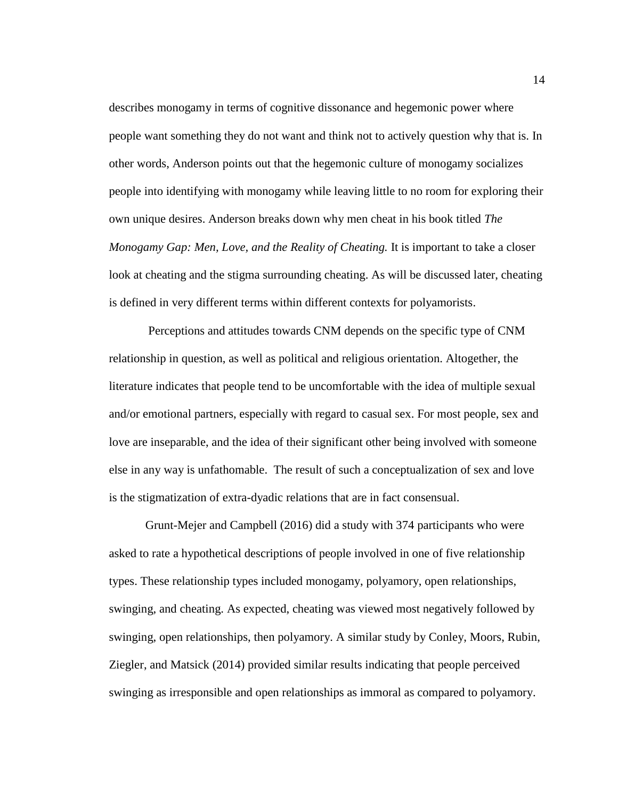describes monogamy in terms of cognitive dissonance and hegemonic power where people want something they do not want and think not to actively question why that is. In other words, Anderson points out that the hegemonic culture of monogamy socializes people into identifying with monogamy while leaving little to no room for exploring their own unique desires. Anderson breaks down why men cheat in his book titled *The Monogamy Gap: Men, Love, and the Reality of Cheating.* It is important to take a closer look at cheating and the stigma surrounding cheating. As will be discussed later, cheating is defined in very different terms within different contexts for polyamorists.

Perceptions and attitudes towards CNM depends on the specific type of CNM relationship in question, as well as political and religious orientation. Altogether, the literature indicates that people tend to be uncomfortable with the idea of multiple sexual and/or emotional partners, especially with regard to casual sex. For most people, sex and love are inseparable, and the idea of their significant other being involved with someone else in any way is unfathomable. The result of such a conceptualization of sex and love is the stigmatization of extra-dyadic relations that are in fact consensual.

Grunt-Mejer and Campbell (2016) did a study with 374 participants who were asked to rate a hypothetical descriptions of people involved in one of five relationship types. These relationship types included monogamy, polyamory, open relationships, swinging, and cheating. As expected, cheating was viewed most negatively followed by swinging, open relationships, then polyamory. A similar study by Conley, Moors, Rubin, Ziegler, and Matsick (2014) provided similar results indicating that people perceived swinging as irresponsible and open relationships as immoral as compared to polyamory.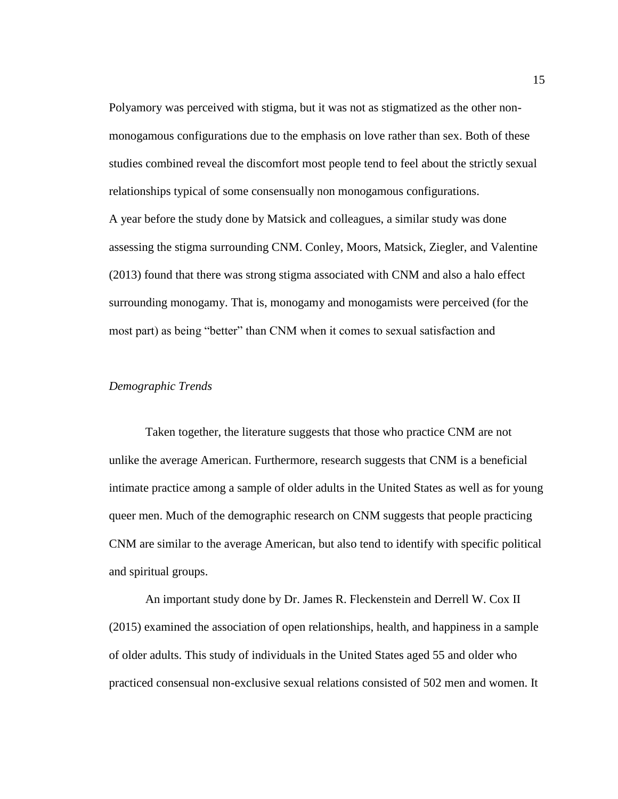Polyamory was perceived with stigma, but it was not as stigmatized as the other nonmonogamous configurations due to the emphasis on love rather than sex. Both of these studies combined reveal the discomfort most people tend to feel about the strictly sexual relationships typical of some consensually non monogamous configurations. A year before the study done by Matsick and colleagues, a similar study was done assessing the stigma surrounding CNM. Conley, Moors, Matsick, Ziegler, and Valentine (2013) found that there was strong stigma associated with CNM and also a halo effect surrounding monogamy. That is, monogamy and monogamists were perceived (for the most part) as being "better" than CNM when it comes to sexual satisfaction and

#### <span id="page-21-0"></span>*Demographic Trends*

Taken together, the literature suggests that those who practice CNM are not unlike the average American. Furthermore, research suggests that CNM is a beneficial intimate practice among a sample of older adults in the United States as well as for young queer men. Much of the demographic research on CNM suggests that people practicing CNM are similar to the average American, but also tend to identify with specific political and spiritual groups.

An important study done by Dr. James R. Fleckenstein and Derrell W. Cox II (2015) examined the association of open relationships, health, and happiness in a sample of older adults. This study of individuals in the United States aged 55 and older who practiced consensual non-exclusive sexual relations consisted of 502 men and women. It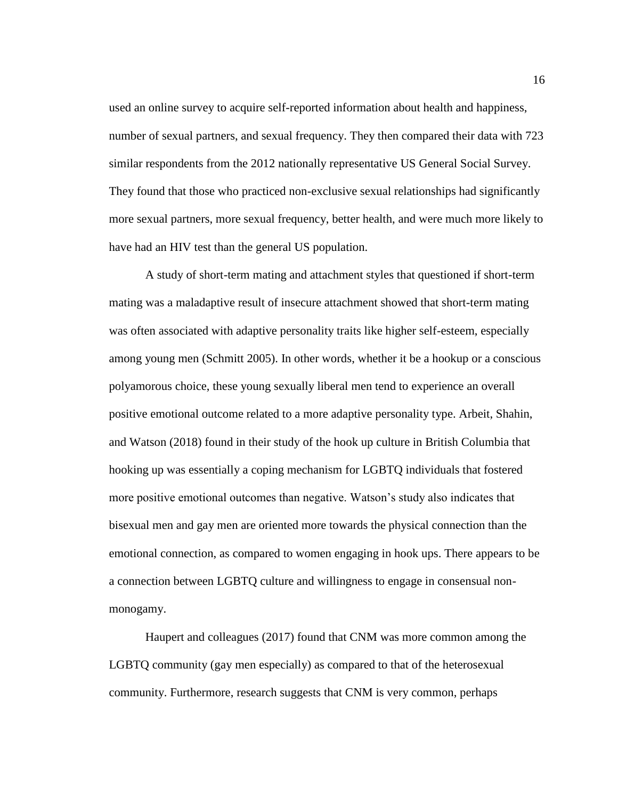used an online survey to acquire self-reported information about health and happiness, number of sexual partners, and sexual frequency. They then compared their data with 723 similar respondents from the 2012 nationally representative US General Social Survey. They found that those who practiced non-exclusive sexual relationships had significantly more sexual partners, more sexual frequency, better health, and were much more likely to have had an HIV test than the general US population.

A study of short-term mating and attachment styles that questioned if short-term mating was a maladaptive result of insecure attachment showed that short-term mating was often associated with adaptive personality traits like higher self-esteem, especially among young men (Schmitt 2005). In other words, whether it be a hookup or a conscious polyamorous choice, these young sexually liberal men tend to experience an overall positive emotional outcome related to a more adaptive personality type. Arbeit, Shahin, and Watson (2018) found in their study of the hook up culture in British Columbia that hooking up was essentially a coping mechanism for LGBTQ individuals that fostered more positive emotional outcomes than negative. Watson's study also indicates that bisexual men and gay men are oriented more towards the physical connection than the emotional connection, as compared to women engaging in hook ups. There appears to be a connection between LGBTQ culture and willingness to engage in consensual nonmonogamy.

Haupert and colleagues (2017) found that CNM was more common among the LGBTQ community (gay men especially) as compared to that of the heterosexual community. Furthermore, research suggests that CNM is very common, perhaps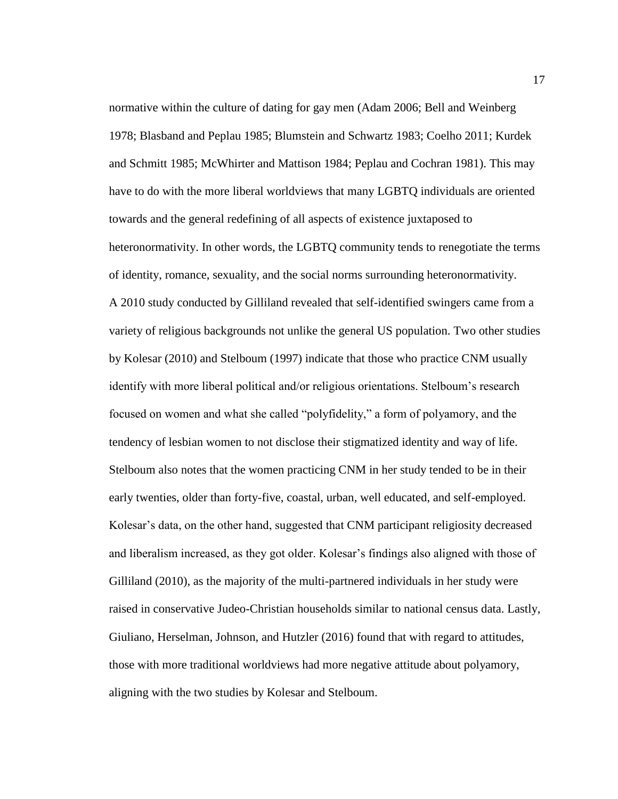normative within the culture of dating for gay men (Adam 2006; Bell and Weinberg 1978; Blasband and Peplau 1985; Blumstein and Schwartz 1983; Coelho 2011; Kurdek and Schmitt 1985; McWhirter and Mattison 1984; Peplau and Cochran 1981). This may have to do with the more liberal worldviews that many LGBTQ individuals are oriented towards and the general redefining of all aspects of existence juxtaposed to heteronormativity. In other words, the LGBTQ community tends to renegotiate the terms of identity, romance, sexuality, and the social norms surrounding heteronormativity. A 2010 study conducted by Gilliland revealed that self-identified swingers came from a variety of religious backgrounds not unlike the general US population. Two other studies by Kolesar (2010) and Stelboum (1997) indicate that those who practice CNM usually identify with more liberal political and/or religious orientations. Stelboum's research focused on women and what she called "polyfidelity," a form of polyamory, and the tendency of lesbian women to not disclose their stigmatized identity and way of life. Stelboum also notes that the women practicing CNM in her study tended to be in their early twenties, older than forty-five, coastal, urban, well educated, and self-employed. Kolesar's data, on the other hand, suggested that CNM participant religiosity decreased and liberalism increased, as they got older. Kolesar's findings also aligned with those of Gilliland (2010), as the majority of the multi-partnered individuals in her study were raised in conservative Judeo-Christian households similar to national census data. Lastly, Giuliano, Herselman, Johnson, and Hutzler (2016) found that with regard to attitudes, those with more traditional worldviews had more negative attitude about polyamory, aligning with the two studies by Kolesar and Stelboum.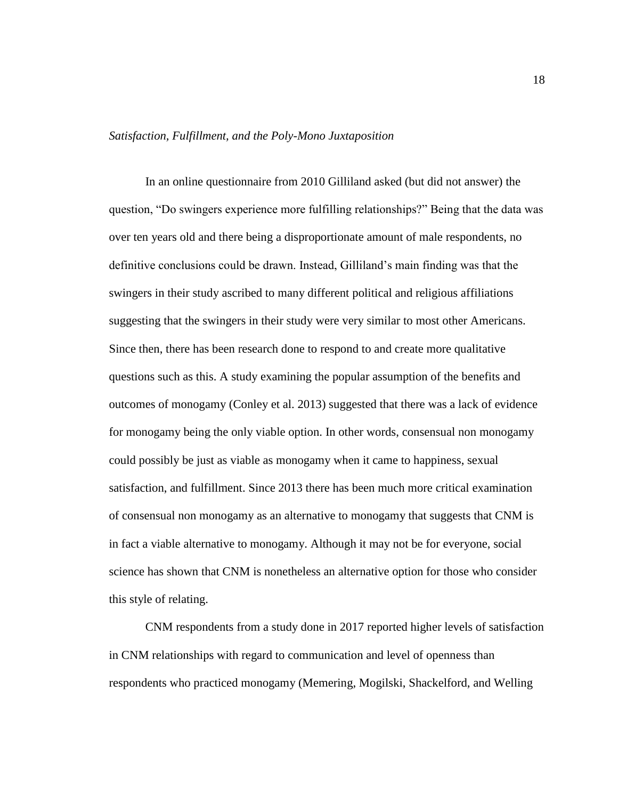## <span id="page-24-0"></span>*Satisfaction, Fulfillment, and the Poly-Mono Juxtaposition*

In an online questionnaire from 2010 Gilliland asked (but did not answer) the question, "Do swingers experience more fulfilling relationships?" Being that the data was over ten years old and there being a disproportionate amount of male respondents, no definitive conclusions could be drawn. Instead, Gilliland's main finding was that the swingers in their study ascribed to many different political and religious affiliations suggesting that the swingers in their study were very similar to most other Americans. Since then, there has been research done to respond to and create more qualitative questions such as this. A study examining the popular assumption of the benefits and outcomes of monogamy (Conley et al. 2013) suggested that there was a lack of evidence for monogamy being the only viable option. In other words, consensual non monogamy could possibly be just as viable as monogamy when it came to happiness, sexual satisfaction, and fulfillment. Since 2013 there has been much more critical examination of consensual non monogamy as an alternative to monogamy that suggests that CNM is in fact a viable alternative to monogamy. Although it may not be for everyone, social science has shown that CNM is nonetheless an alternative option for those who consider this style of relating.

CNM respondents from a study done in 2017 reported higher levels of satisfaction in CNM relationships with regard to communication and level of openness than respondents who practiced monogamy (Memering, Mogilski, Shackelford, and Welling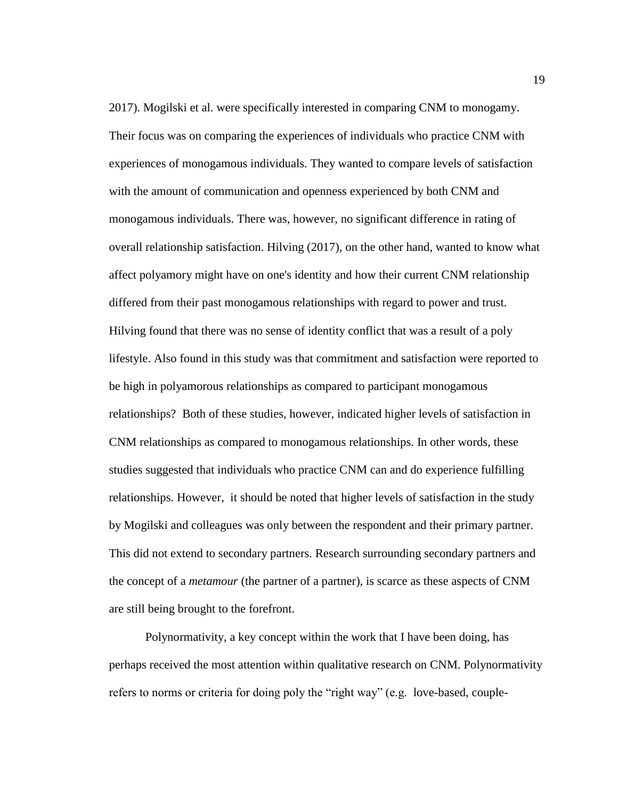2017). Mogilski et al. were specifically interested in comparing CNM to monogamy. Their focus was on comparing the experiences of individuals who practice CNM with experiences of monogamous individuals. They wanted to compare levels of satisfaction with the amount of communication and openness experienced by both CNM and monogamous individuals. There was, however, no significant difference in rating of overall relationship satisfaction. Hilving (2017), on the other hand, wanted to know what affect polyamory might have on one's identity and how their current CNM relationship differed from their past monogamous relationships with regard to power and trust. Hilving found that there was no sense of identity conflict that was a result of a poly lifestyle. Also found in this study was that commitment and satisfaction were reported to be high in polyamorous relationships as compared to participant monogamous relationships? Both of these studies, however, indicated higher levels of satisfaction in CNM relationships as compared to monogamous relationships. In other words, these studies suggested that individuals who practice CNM can and do experience fulfilling relationships. However, it should be noted that higher levels of satisfaction in the study by Mogilski and colleagues was only between the respondent and their primary partner. This did not extend to secondary partners. Research surrounding secondary partners and the concept of a *metamour* (the partner of a partner), is scarce as these aspects of CNM are still being brought to the forefront.

Polynormativity, a key concept within the work that I have been doing, has perhaps received the most attention within qualitative research on CNM. Polynormativity refers to norms or criteria for doing poly the "right way" (e.g. love-based, couple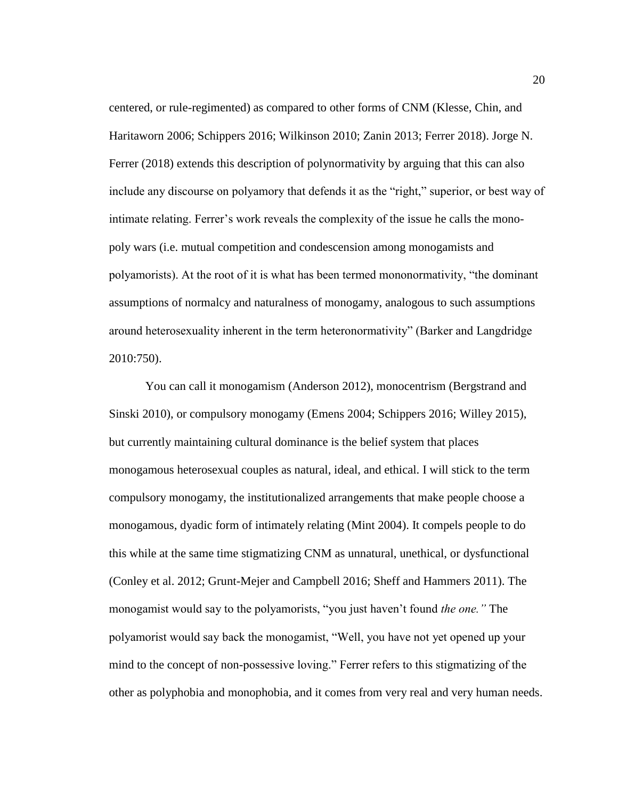centered, or rule-regimented) as compared to other forms of CNM (Klesse, Chin, and Haritaworn 2006; Schippers 2016; Wilkinson 2010; Zanin 2013; Ferrer 2018). Jorge N. Ferrer (2018) extends this description of polynormativity by arguing that this can also include any discourse on polyamory that defends it as the "right," superior, or best way of intimate relating. Ferrer's work reveals the complexity of the issue he calls the monopoly wars (i.e. mutual competition and condescension among monogamists and polyamorists). At the root of it is what has been termed mononormativity, "the dominant assumptions of normalcy and naturalness of monogamy, analogous to such assumptions around heterosexuality inherent in the term heteronormativity" (Barker and Langdridge 2010:750).

You can call it monogamism (Anderson 2012), monocentrism (Bergstrand and Sinski 2010), or compulsory monogamy (Emens 2004; Schippers 2016; Willey 2015), but currently maintaining cultural dominance is the belief system that places monogamous heterosexual couples as natural, ideal, and ethical. I will stick to the term compulsory monogamy, the institutionalized arrangements that make people choose a monogamous, dyadic form of intimately relating (Mint 2004). It compels people to do this while at the same time stigmatizing CNM as unnatural, unethical, or dysfunctional (Conley et al. 2012; Grunt-Mejer and Campbell 2016; Sheff and Hammers 2011). The monogamist would say to the polyamorists, "you just haven't found *the one."* The polyamorist would say back the monogamist, "Well, you have not yet opened up your mind to the concept of non-possessive loving." Ferrer refers to this stigmatizing of the other as polyphobia and monophobia, and it comes from very real and very human needs.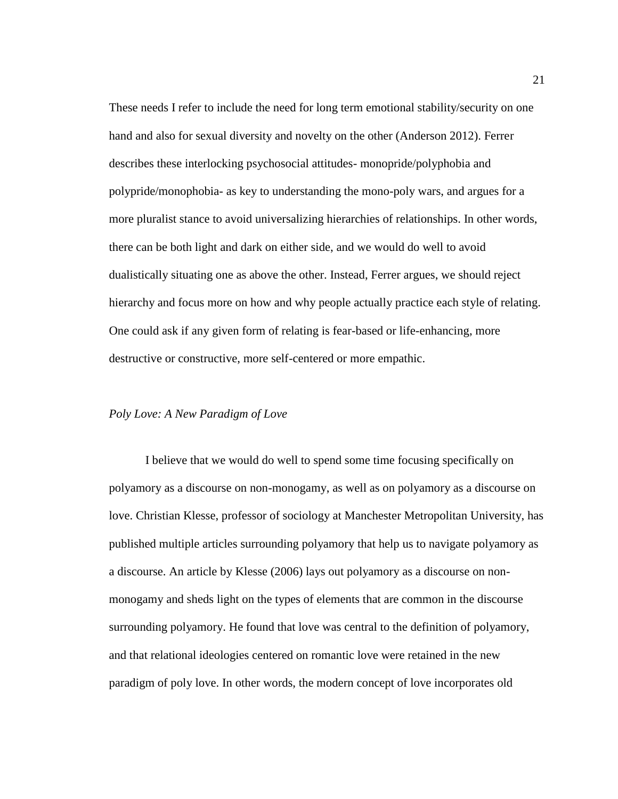These needs I refer to include the need for long term emotional stability/security on one hand and also for sexual diversity and novelty on the other (Anderson 2012). Ferrer describes these interlocking psychosocial attitudes- monopride/polyphobia and polypride/monophobia- as key to understanding the mono-poly wars, and argues for a more pluralist stance to avoid universalizing hierarchies of relationships. In other words, there can be both light and dark on either side, and we would do well to avoid dualistically situating one as above the other. Instead, Ferrer argues, we should reject hierarchy and focus more on how and why people actually practice each style of relating. One could ask if any given form of relating is fear-based or life-enhancing, more destructive or constructive, more self-centered or more empathic.

#### <span id="page-27-0"></span>*Poly Love: A New Paradigm of Love*

I believe that we would do well to spend some time focusing specifically on polyamory as a discourse on non-monogamy, as well as on polyamory as a discourse on love. Christian Klesse, professor of sociology at Manchester Metropolitan University, has published multiple articles surrounding polyamory that help us to navigate polyamory as a discourse. An article by Klesse (2006) lays out polyamory as a discourse on nonmonogamy and sheds light on the types of elements that are common in the discourse surrounding polyamory. He found that love was central to the definition of polyamory, and that relational ideologies centered on romantic love were retained in the new paradigm of poly love. In other words, the modern concept of love incorporates old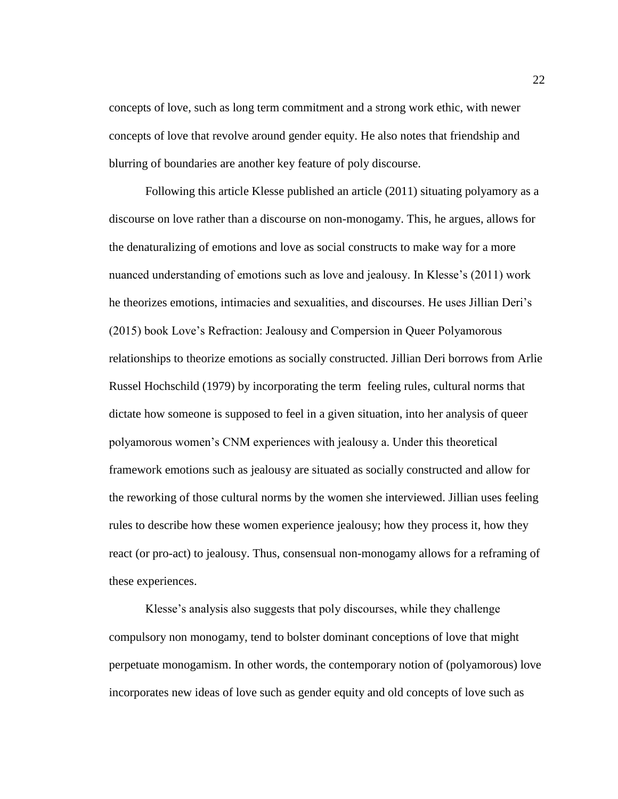concepts of love, such as long term commitment and a strong work ethic, with newer concepts of love that revolve around gender equity. He also notes that friendship and blurring of boundaries are another key feature of poly discourse.

Following this article Klesse published an article (2011) situating polyamory as a discourse on love rather than a discourse on non-monogamy. This, he argues, allows for the denaturalizing of emotions and love as social constructs to make way for a more nuanced understanding of emotions such as love and jealousy. In Klesse's (2011) work he theorizes emotions, intimacies and sexualities, and discourses. He uses Jillian Deri's (2015) book Love's Refraction: Jealousy and Compersion in Queer Polyamorous relationships to theorize emotions as socially constructed. Jillian Deri borrows from Arlie Russel Hochschild (1979) by incorporating the term feeling rules, cultural norms that dictate how someone is supposed to feel in a given situation, into her analysis of queer polyamorous women's CNM experiences with jealousy a. Under this theoretical framework emotions such as jealousy are situated as socially constructed and allow for the reworking of those cultural norms by the women she interviewed. Jillian uses feeling rules to describe how these women experience jealousy; how they process it, how they react (or pro-act) to jealousy. Thus, consensual non-monogamy allows for a reframing of these experiences.

Klesse's analysis also suggests that poly discourses, while they challenge compulsory non monogamy, tend to bolster dominant conceptions of love that might perpetuate monogamism. In other words, the contemporary notion of (polyamorous) love incorporates new ideas of love such as gender equity and old concepts of love such as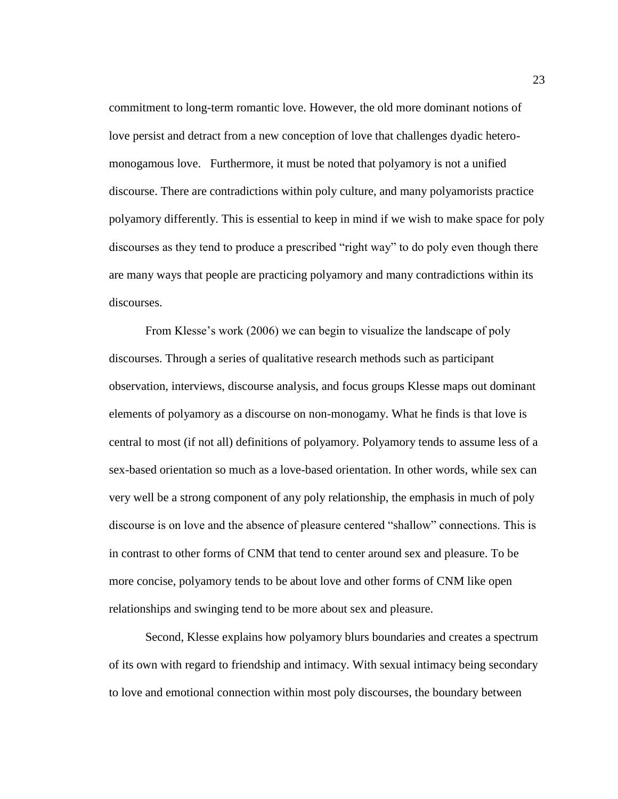commitment to long-term romantic love. However, the old more dominant notions of love persist and detract from a new conception of love that challenges dyadic heteromonogamous love. Furthermore, it must be noted that polyamory is not a unified discourse. There are contradictions within poly culture, and many polyamorists practice polyamory differently. This is essential to keep in mind if we wish to make space for poly discourses as they tend to produce a prescribed "right way" to do poly even though there are many ways that people are practicing polyamory and many contradictions within its discourses.

From Klesse's work (2006) we can begin to visualize the landscape of poly discourses. Through a series of qualitative research methods such as participant observation, interviews, discourse analysis, and focus groups Klesse maps out dominant elements of polyamory as a discourse on non-monogamy. What he finds is that love is central to most (if not all) definitions of polyamory. Polyamory tends to assume less of a sex-based orientation so much as a love-based orientation. In other words, while sex can very well be a strong component of any poly relationship, the emphasis in much of poly discourse is on love and the absence of pleasure centered "shallow" connections. This is in contrast to other forms of CNM that tend to center around sex and pleasure. To be more concise, polyamory tends to be about love and other forms of CNM like open relationships and swinging tend to be more about sex and pleasure.

Second, Klesse explains how polyamory blurs boundaries and creates a spectrum of its own with regard to friendship and intimacy. With sexual intimacy being secondary to love and emotional connection within most poly discourses, the boundary between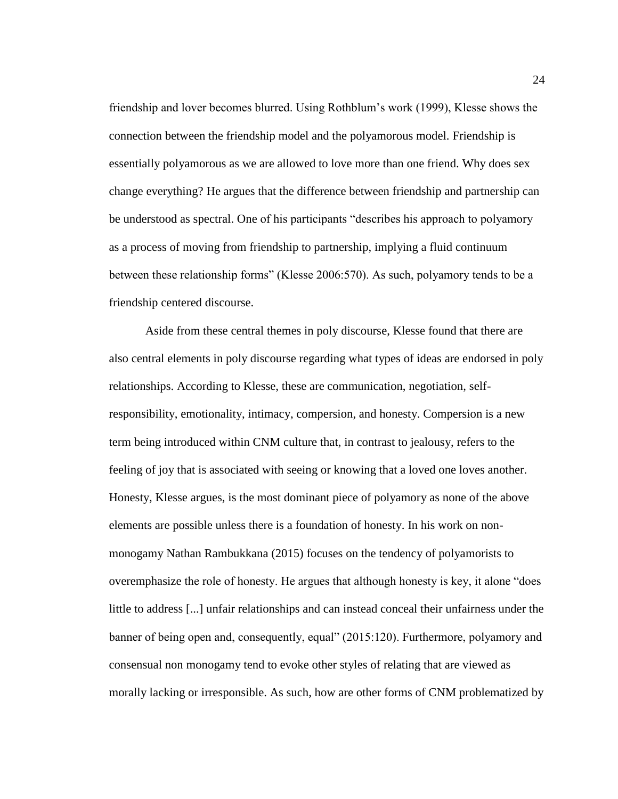friendship and lover becomes blurred. Using Rothblum's work (1999), Klesse shows the connection between the friendship model and the polyamorous model. Friendship is essentially polyamorous as we are allowed to love more than one friend. Why does sex change everything? He argues that the difference between friendship and partnership can be understood as spectral. One of his participants "describes his approach to polyamory as a process of moving from friendship to partnership, implying a fluid continuum between these relationship forms" (Klesse 2006:570). As such, polyamory tends to be a friendship centered discourse.

Aside from these central themes in poly discourse, Klesse found that there are also central elements in poly discourse regarding what types of ideas are endorsed in poly relationships. According to Klesse, these are communication, negotiation, selfresponsibility, emotionality, intimacy, compersion, and honesty. Compersion is a new term being introduced within CNM culture that, in contrast to jealousy, refers to the feeling of joy that is associated with seeing or knowing that a loved one loves another. Honesty, Klesse argues, is the most dominant piece of polyamory as none of the above elements are possible unless there is a foundation of honesty. In his work on nonmonogamy Nathan Rambukkana (2015) focuses on the tendency of polyamorists to overemphasize the role of honesty. He argues that although honesty is key, it alone "does little to address [...] unfair relationships and can instead conceal their unfairness under the banner of being open and, consequently, equal" (2015:120). Furthermore, polyamory and consensual non monogamy tend to evoke other styles of relating that are viewed as morally lacking or irresponsible. As such, how are other forms of CNM problematized by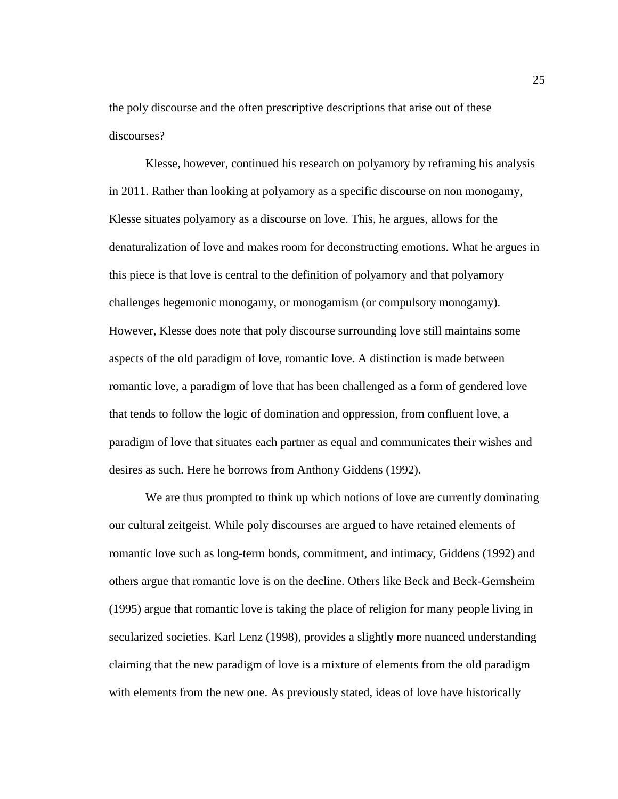the poly discourse and the often prescriptive descriptions that arise out of these discourses?

Klesse, however, continued his research on polyamory by reframing his analysis in 2011. Rather than looking at polyamory as a specific discourse on non monogamy, Klesse situates polyamory as a discourse on love. This, he argues, allows for the denaturalization of love and makes room for deconstructing emotions. What he argues in this piece is that love is central to the definition of polyamory and that polyamory challenges hegemonic monogamy, or monogamism (or compulsory monogamy). However, Klesse does note that poly discourse surrounding love still maintains some aspects of the old paradigm of love, romantic love. A distinction is made between romantic love, a paradigm of love that has been challenged as a form of gendered love that tends to follow the logic of domination and oppression, from confluent love, a paradigm of love that situates each partner as equal and communicates their wishes and desires as such. Here he borrows from Anthony Giddens (1992).

We are thus prompted to think up which notions of love are currently dominating our cultural zeitgeist. While poly discourses are argued to have retained elements of romantic love such as long-term bonds, commitment, and intimacy, Giddens (1992) and others argue that romantic love is on the decline. Others like Beck and Beck-Gernsheim (1995) argue that romantic love is taking the place of religion for many people living in secularized societies. Karl Lenz (1998), provides a slightly more nuanced understanding claiming that the new paradigm of love is a mixture of elements from the old paradigm with elements from the new one. As previously stated, ideas of love have historically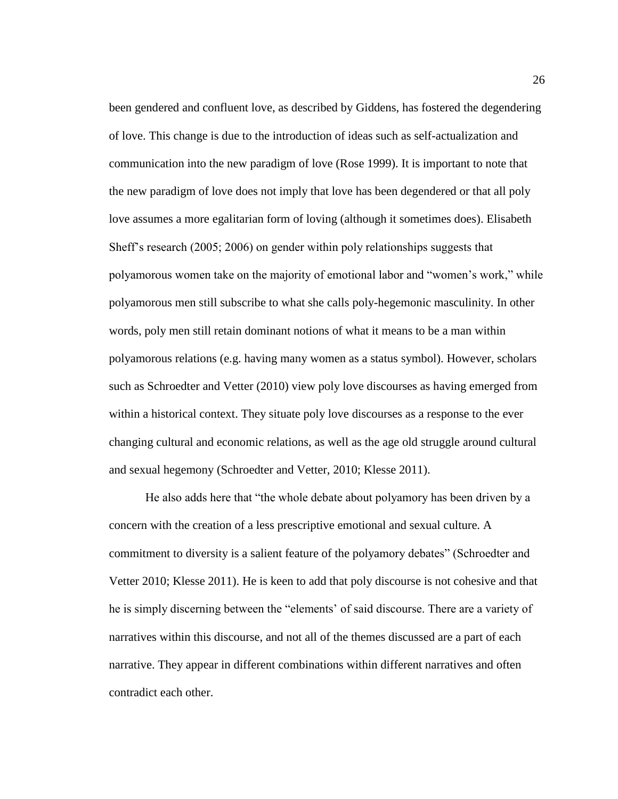been gendered and confluent love, as described by Giddens, has fostered the degendering of love. This change is due to the introduction of ideas such as self-actualization and communication into the new paradigm of love (Rose 1999). It is important to note that the new paradigm of love does not imply that love has been degendered or that all poly love assumes a more egalitarian form of loving (although it sometimes does). Elisabeth Sheff's research (2005; 2006) on gender within poly relationships suggests that polyamorous women take on the majority of emotional labor and "women's work," while polyamorous men still subscribe to what she calls poly-hegemonic masculinity. In other words, poly men still retain dominant notions of what it means to be a man within polyamorous relations (e.g. having many women as a status symbol). However, scholars such as Schroedter and Vetter (2010) view poly love discourses as having emerged from within a historical context. They situate poly love discourses as a response to the ever changing cultural and economic relations, as well as the age old struggle around cultural and sexual hegemony (Schroedter and Vetter, 2010; Klesse 2011).

He also adds here that "the whole debate about polyamory has been driven by a concern with the creation of a less prescriptive emotional and sexual culture. A commitment to diversity is a salient feature of the polyamory debates" (Schroedter and Vetter 2010; Klesse 2011). He is keen to add that poly discourse is not cohesive and that he is simply discerning between the "elements' of said discourse. There are a variety of narratives within this discourse, and not all of the themes discussed are a part of each narrative. They appear in different combinations within different narratives and often contradict each other.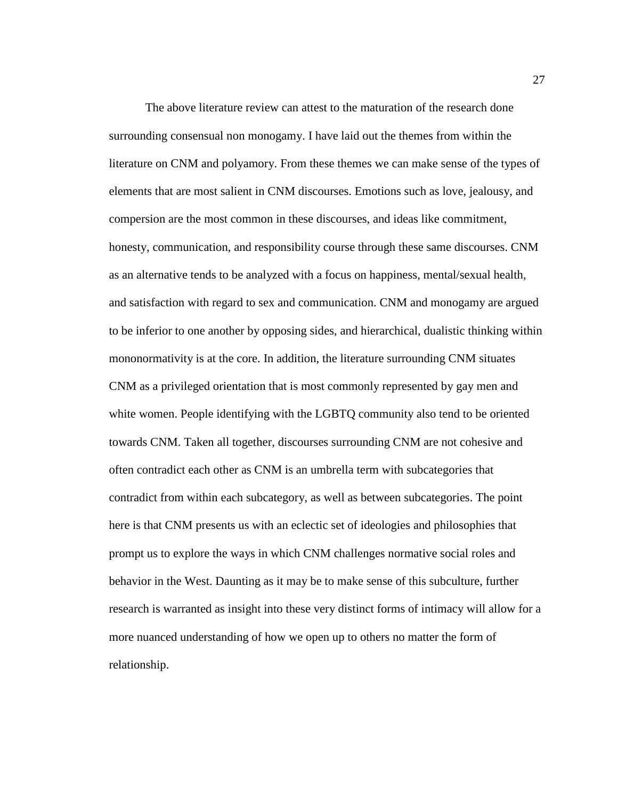The above literature review can attest to the maturation of the research done surrounding consensual non monogamy. I have laid out the themes from within the literature on CNM and polyamory. From these themes we can make sense of the types of elements that are most salient in CNM discourses. Emotions such as love, jealousy, and compersion are the most common in these discourses, and ideas like commitment, honesty, communication, and responsibility course through these same discourses. CNM as an alternative tends to be analyzed with a focus on happiness, mental/sexual health, and satisfaction with regard to sex and communication. CNM and monogamy are argued to be inferior to one another by opposing sides, and hierarchical, dualistic thinking within mononormativity is at the core. In addition, the literature surrounding CNM situates CNM as a privileged orientation that is most commonly represented by gay men and white women. People identifying with the LGBTQ community also tend to be oriented towards CNM. Taken all together, discourses surrounding CNM are not cohesive and often contradict each other as CNM is an umbrella term with subcategories that contradict from within each subcategory, as well as between subcategories. The point here is that CNM presents us with an eclectic set of ideologies and philosophies that prompt us to explore the ways in which CNM challenges normative social roles and behavior in the West. Daunting as it may be to make sense of this subculture, further research is warranted as insight into these very distinct forms of intimacy will allow for a more nuanced understanding of how we open up to others no matter the form of relationship.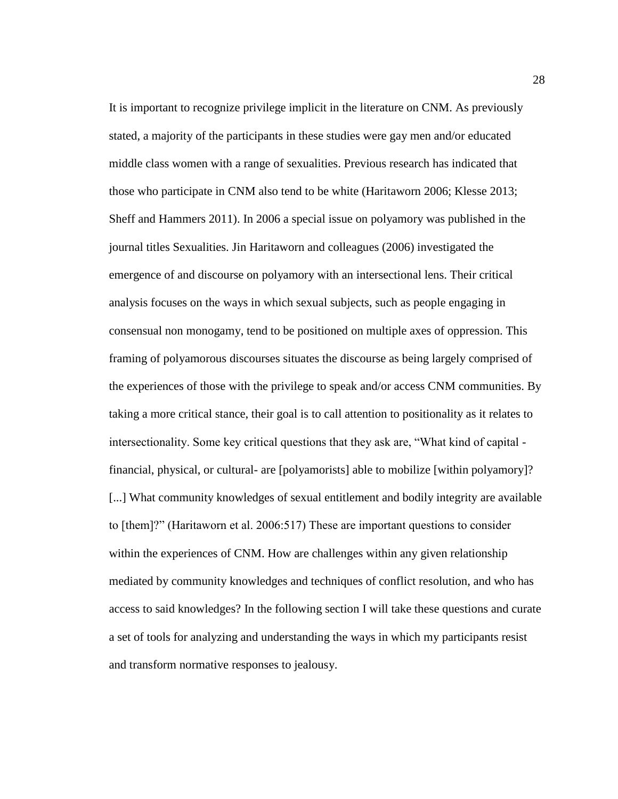It is important to recognize privilege implicit in the literature on CNM. As previously stated, a majority of the participants in these studies were gay men and/or educated middle class women with a range of sexualities. Previous research has indicated that those who participate in CNM also tend to be white (Haritaworn 2006; Klesse 2013; Sheff and Hammers 2011). In 2006 a special issue on polyamory was published in the journal titles Sexualities. Jin Haritaworn and colleagues (2006) investigated the emergence of and discourse on polyamory with an intersectional lens. Their critical analysis focuses on the ways in which sexual subjects, such as people engaging in consensual non monogamy, tend to be positioned on multiple axes of oppression. This framing of polyamorous discourses situates the discourse as being largely comprised of the experiences of those with the privilege to speak and/or access CNM communities. By taking a more critical stance, their goal is to call attention to positionality as it relates to intersectionality. Some key critical questions that they ask are, "What kind of capital financial, physical, or cultural- are [polyamorists] able to mobilize [within polyamory]? [...] What community knowledges of sexual entitlement and bodily integrity are available to [them]?" (Haritaworn et al. 2006:517) These are important questions to consider within the experiences of CNM. How are challenges within any given relationship mediated by community knowledges and techniques of conflict resolution, and who has access to said knowledges? In the following section I will take these questions and curate a set of tools for analyzing and understanding the ways in which my participants resist and transform normative responses to jealousy.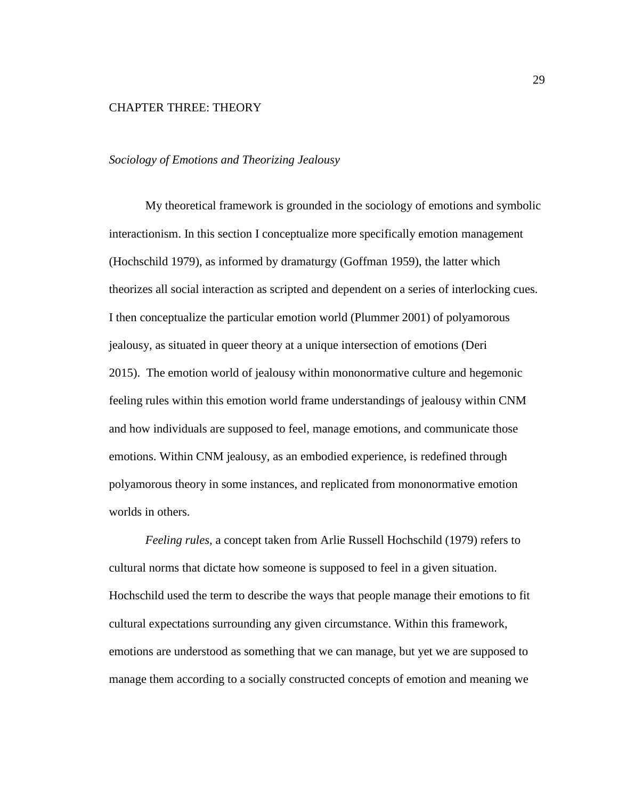## <span id="page-35-0"></span>CHAPTER THREE: THEORY

### <span id="page-35-1"></span>*Sociology of Emotions and Theorizing Jealousy*

My theoretical framework is grounded in the sociology of emotions and symbolic interactionism. In this section I conceptualize more specifically emotion management (Hochschild 1979), as informed by dramaturgy (Goffman 1959), the latter which theorizes all social interaction as scripted and dependent on a series of interlocking cues. I then conceptualize the particular emotion world (Plummer 2001) of polyamorous jealousy, as situated in queer theory at a unique intersection of emotions (Deri 2015). The emotion world of jealousy within mononormative culture and hegemonic feeling rules within this emotion world frame understandings of jealousy within CNM and how individuals are supposed to feel, manage emotions, and communicate those emotions. Within CNM jealousy, as an embodied experience, is redefined through polyamorous theory in some instances, and replicated from mononormative emotion worlds in others.

*Feeling rules,* a concept taken from Arlie Russell Hochschild (1979) refers to cultural norms that dictate how someone is supposed to feel in a given situation. Hochschild used the term to describe the ways that people manage their emotions to fit cultural expectations surrounding any given circumstance. Within this framework, emotions are understood as something that we can manage, but yet we are supposed to manage them according to a socially constructed concepts of emotion and meaning we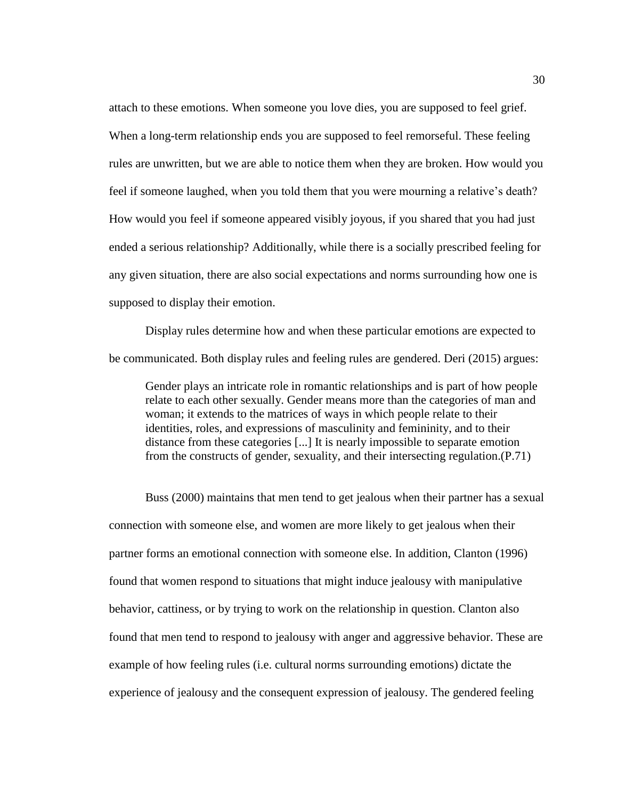attach to these emotions. When someone you love dies, you are supposed to feel grief. When a long-term relationship ends you are supposed to feel remorseful. These feeling rules are unwritten, but we are able to notice them when they are broken. How would you feel if someone laughed, when you told them that you were mourning a relative's death? How would you feel if someone appeared visibly joyous, if you shared that you had just ended a serious relationship? Additionally, while there is a socially prescribed feeling for any given situation, there are also social expectations and norms surrounding how one is supposed to display their emotion.

Display rules determine how and when these particular emotions are expected to be communicated. Both display rules and feeling rules are gendered. Deri (2015) argues:

Gender plays an intricate role in romantic relationships and is part of how people relate to each other sexually. Gender means more than the categories of man and woman; it extends to the matrices of ways in which people relate to their identities, roles, and expressions of masculinity and femininity, and to their distance from these categories [...] It is nearly impossible to separate emotion from the constructs of gender, sexuality, and their intersecting regulation.(P.71)

Buss (2000) maintains that men tend to get jealous when their partner has a sexual connection with someone else, and women are more likely to get jealous when their partner forms an emotional connection with someone else. In addition, Clanton (1996) found that women respond to situations that might induce jealousy with manipulative behavior, cattiness, or by trying to work on the relationship in question. Clanton also found that men tend to respond to jealousy with anger and aggressive behavior. These are example of how feeling rules (i.e. cultural norms surrounding emotions) dictate the experience of jealousy and the consequent expression of jealousy. The gendered feeling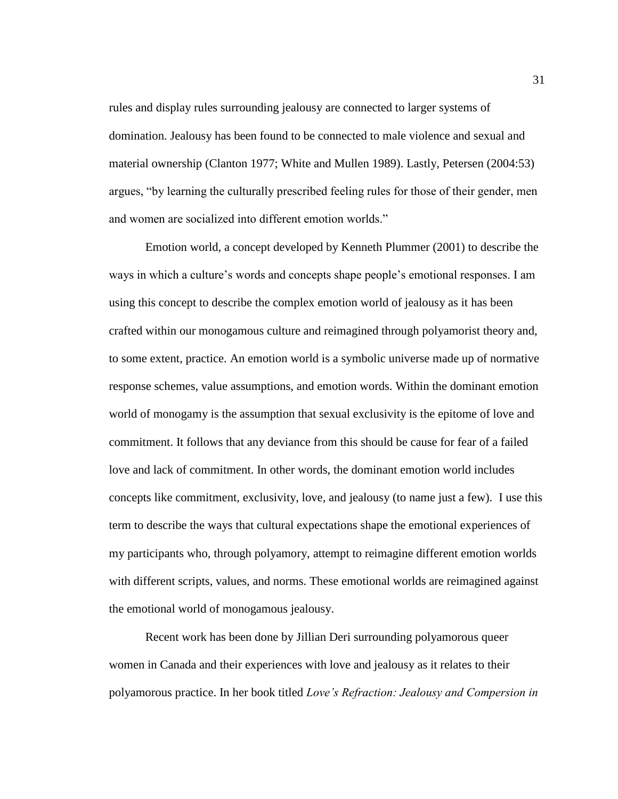rules and display rules surrounding jealousy are connected to larger systems of domination. Jealousy has been found to be connected to male violence and sexual and material ownership (Clanton 1977; White and Mullen 1989). Lastly, Petersen (2004:53) argues, "by learning the culturally prescribed feeling rules for those of their gender, men and women are socialized into different emotion worlds."

Emotion world, a concept developed by Kenneth Plummer (2001) to describe the ways in which a culture's words and concepts shape people's emotional responses. I am using this concept to describe the complex emotion world of jealousy as it has been crafted within our monogamous culture and reimagined through polyamorist theory and, to some extent, practice. An emotion world is a symbolic universe made up of normative response schemes, value assumptions, and emotion words. Within the dominant emotion world of monogamy is the assumption that sexual exclusivity is the epitome of love and commitment. It follows that any deviance from this should be cause for fear of a failed love and lack of commitment. In other words, the dominant emotion world includes concepts like commitment, exclusivity, love, and jealousy (to name just a few). I use this term to describe the ways that cultural expectations shape the emotional experiences of my participants who, through polyamory, attempt to reimagine different emotion worlds with different scripts, values, and norms. These emotional worlds are reimagined against the emotional world of monogamous jealousy.

Recent work has been done by Jillian Deri surrounding polyamorous queer women in Canada and their experiences with love and jealousy as it relates to their polyamorous practice. In her book titled *Love's Refraction: Jealousy and Compersion in*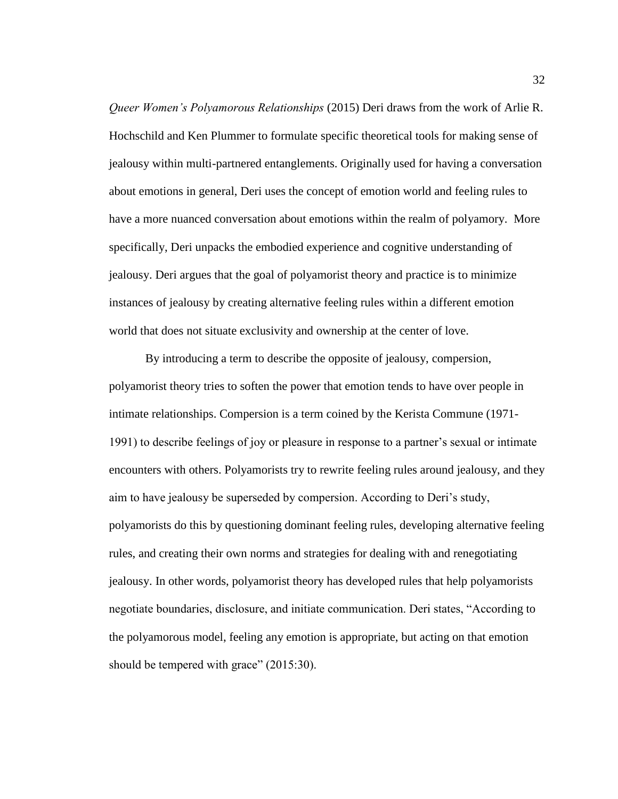*Queer Women's Polyamorous Relationships* (2015) Deri draws from the work of Arlie R. Hochschild and Ken Plummer to formulate specific theoretical tools for making sense of jealousy within multi-partnered entanglements. Originally used for having a conversation about emotions in general, Deri uses the concept of emotion world and feeling rules to have a more nuanced conversation about emotions within the realm of polyamory. More specifically, Deri unpacks the embodied experience and cognitive understanding of jealousy. Deri argues that the goal of polyamorist theory and practice is to minimize instances of jealousy by creating alternative feeling rules within a different emotion world that does not situate exclusivity and ownership at the center of love.

By introducing a term to describe the opposite of jealousy, compersion, polyamorist theory tries to soften the power that emotion tends to have over people in intimate relationships. Compersion is a term coined by the Kerista Commune (1971- 1991) to describe feelings of joy or pleasure in response to a partner's sexual or intimate encounters with others. Polyamorists try to rewrite feeling rules around jealousy, and they aim to have jealousy be superseded by compersion. According to Deri's study, polyamorists do this by questioning dominant feeling rules, developing alternative feeling rules, and creating their own norms and strategies for dealing with and renegotiating jealousy. In other words, polyamorist theory has developed rules that help polyamorists negotiate boundaries, disclosure, and initiate communication. Deri states, "According to the polyamorous model, feeling any emotion is appropriate, but acting on that emotion should be tempered with grace" (2015:30).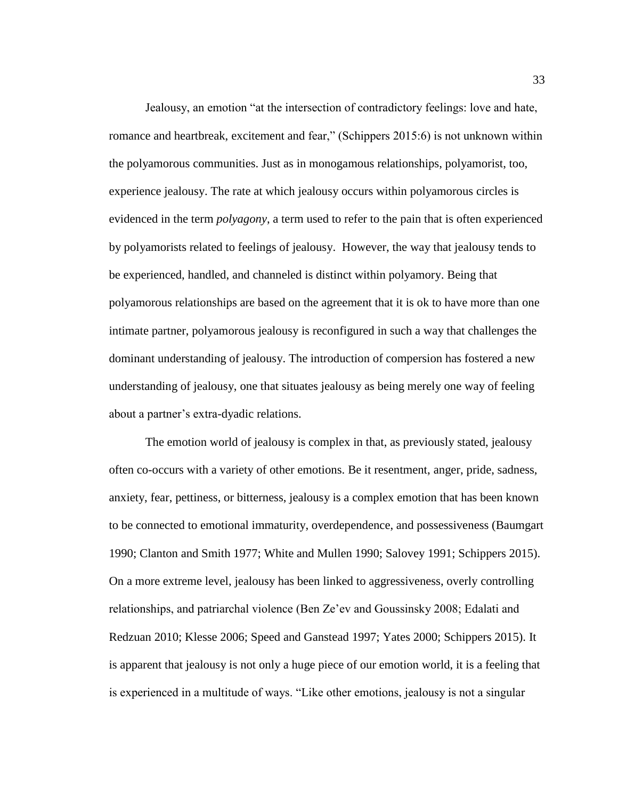Jealousy, an emotion "at the intersection of contradictory feelings: love and hate, romance and heartbreak, excitement and fear," (Schippers 2015:6) is not unknown within the polyamorous communities. Just as in monogamous relationships, polyamorist, too, experience jealousy. The rate at which jealousy occurs within polyamorous circles is evidenced in the term *polyagony*, a term used to refer to the pain that is often experienced by polyamorists related to feelings of jealousy. However, the way that jealousy tends to be experienced, handled, and channeled is distinct within polyamory. Being that polyamorous relationships are based on the agreement that it is ok to have more than one intimate partner, polyamorous jealousy is reconfigured in such a way that challenges the dominant understanding of jealousy. The introduction of compersion has fostered a new understanding of jealousy, one that situates jealousy as being merely one way of feeling about a partner's extra-dyadic relations.

The emotion world of jealousy is complex in that, as previously stated, jealousy often co-occurs with a variety of other emotions. Be it resentment, anger, pride, sadness, anxiety, fear, pettiness, or bitterness, jealousy is a complex emotion that has been known to be connected to emotional immaturity, overdependence, and possessiveness (Baumgart 1990; Clanton and Smith 1977; White and Mullen 1990; Salovey 1991; Schippers 2015). On a more extreme level, jealousy has been linked to aggressiveness, overly controlling relationships, and patriarchal violence (Ben Ze'ev and Goussinsky 2008; Edalati and Redzuan 2010; Klesse 2006; Speed and Ganstead 1997; Yates 2000; Schippers 2015). It is apparent that jealousy is not only a huge piece of our emotion world, it is a feeling that is experienced in a multitude of ways. "Like other emotions, jealousy is not a singular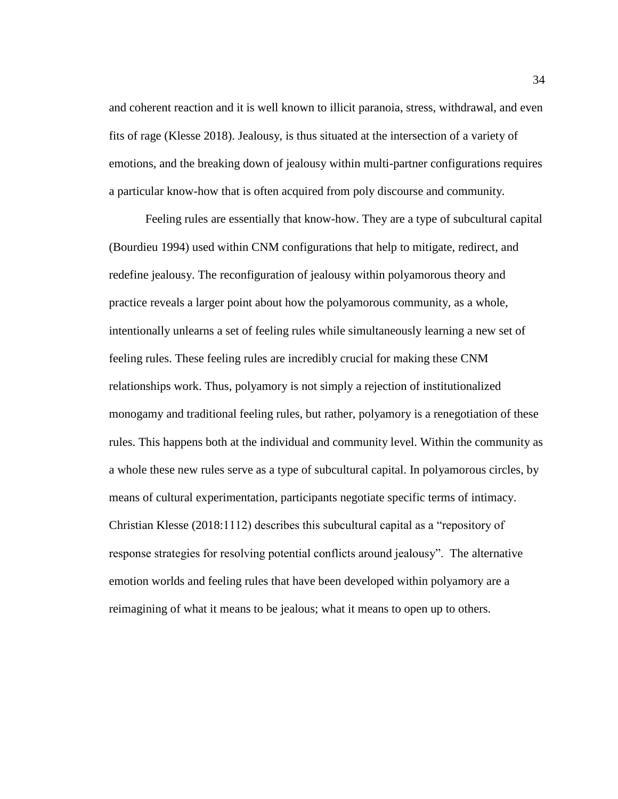and coherent reaction and it is well known to illicit paranoia, stress, withdrawal, and even fits of rage (Klesse 2018). Jealousy, is thus situated at the intersection of a variety of emotions, and the breaking down of jealousy within multi-partner configurations requires a particular know-how that is often acquired from poly discourse and community.

Feeling rules are essentially that know-how. They are a type of subcultural capital (Bourdieu 1994) used within CNM configurations that help to mitigate, redirect, and redefine jealousy. The reconfiguration of jealousy within polyamorous theory and practice reveals a larger point about how the polyamorous community, as a whole, intentionally unlearns a set of feeling rules while simultaneously learning a new set of feeling rules. These feeling rules are incredibly crucial for making these CNM relationships work. Thus, polyamory is not simply a rejection of institutionalized monogamy and traditional feeling rules, but rather, polyamory is a renegotiation of these rules. This happens both at the individual and community level. Within the community as a whole these new rules serve as a type of subcultural capital. In polyamorous circles, by means of cultural experimentation, participants negotiate specific terms of intimacy. Christian Klesse (2018:1112) describes this subcultural capital as a "repository of response strategies for resolving potential conflicts around jealousy". The alternative emotion worlds and feeling rules that have been developed within polyamory are a reimagining of what it means to be jealous; what it means to open up to others.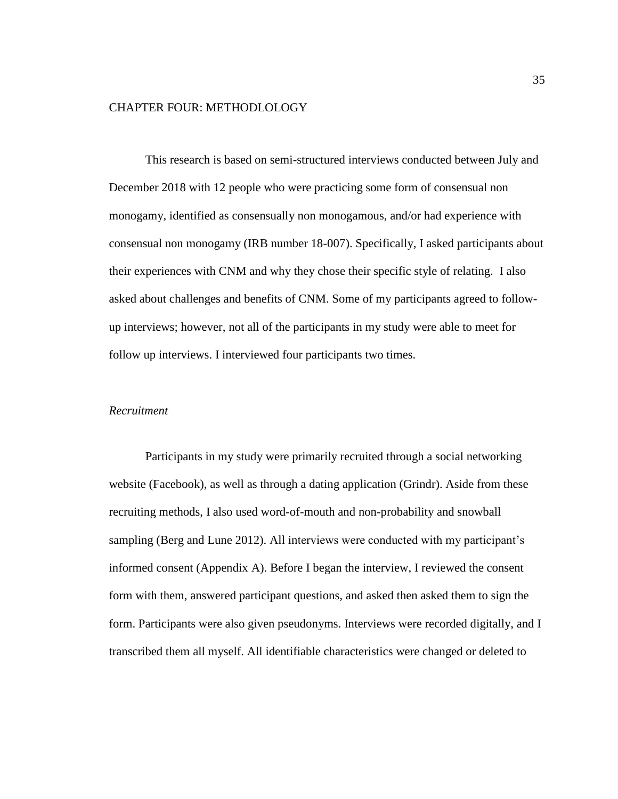## CHAPTER FOUR: METHODLOLOGY

This research is based on semi-structured interviews conducted between July and December 2018 with 12 people who were practicing some form of consensual non monogamy, identified as consensually non monogamous, and/or had experience with consensual non monogamy (IRB number 18-007). Specifically, I asked participants about their experiences with CNM and why they chose their specific style of relating. I also asked about challenges and benefits of CNM. Some of my participants agreed to followup interviews; however, not all of the participants in my study were able to meet for follow up interviews. I interviewed four participants two times.

# *Recruitment*

Participants in my study were primarily recruited through a social networking website (Facebook), as well as through a dating application (Grindr). Aside from these recruiting methods, I also used word-of-mouth and non-probability and snowball sampling (Berg and Lune 2012). All interviews were conducted with my participant's informed consent (Appendix A). Before I began the interview, I reviewed the consent form with them, answered participant questions, and asked then asked them to sign the form. Participants were also given pseudonyms. Interviews were recorded digitally, and I transcribed them all myself. All identifiable characteristics were changed or deleted to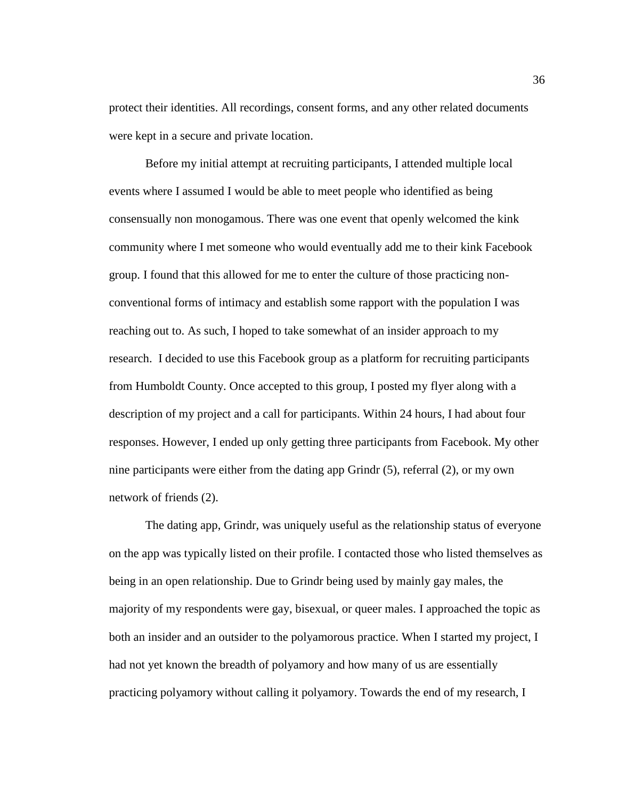protect their identities. All recordings, consent forms, and any other related documents were kept in a secure and private location.

Before my initial attempt at recruiting participants, I attended multiple local events where I assumed I would be able to meet people who identified as being consensually non monogamous. There was one event that openly welcomed the kink community where I met someone who would eventually add me to their kink Facebook group. I found that this allowed for me to enter the culture of those practicing nonconventional forms of intimacy and establish some rapport with the population I was reaching out to. As such, I hoped to take somewhat of an insider approach to my research. I decided to use this Facebook group as a platform for recruiting participants from Humboldt County. Once accepted to this group, I posted my flyer along with a description of my project and a call for participants. Within 24 hours, I had about four responses. However, I ended up only getting three participants from Facebook. My other nine participants were either from the dating app Grindr (5), referral (2), or my own network of friends (2).

The dating app, Grindr, was uniquely useful as the relationship status of everyone on the app was typically listed on their profile. I contacted those who listed themselves as being in an open relationship. Due to Grindr being used by mainly gay males, the majority of my respondents were gay, bisexual, or queer males. I approached the topic as both an insider and an outsider to the polyamorous practice. When I started my project, I had not yet known the breadth of polyamory and how many of us are essentially practicing polyamory without calling it polyamory. Towards the end of my research, I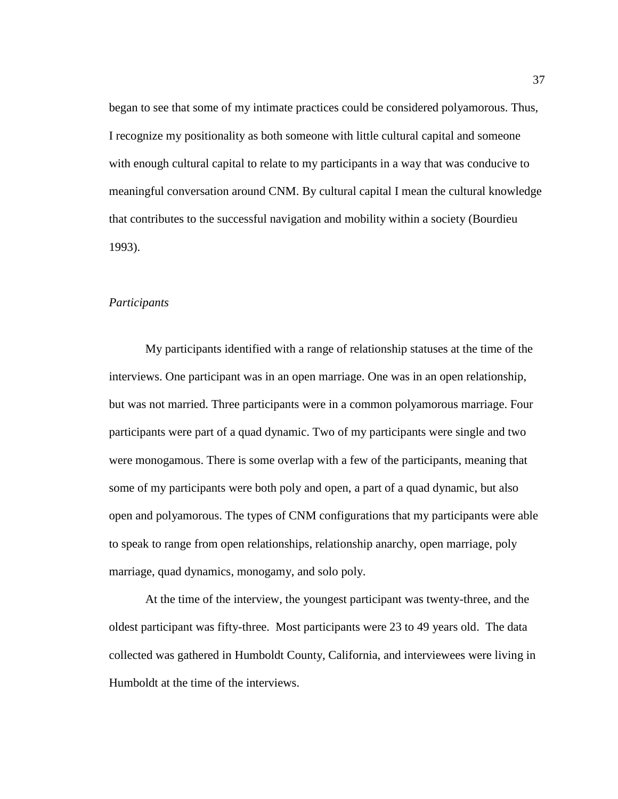began to see that some of my intimate practices could be considered polyamorous. Thus, I recognize my positionality as both someone with little cultural capital and someone with enough cultural capital to relate to my participants in a way that was conducive to meaningful conversation around CNM. By cultural capital I mean the cultural knowledge that contributes to the successful navigation and mobility within a society (Bourdieu 1993).

## *Participants*

My participants identified with a range of relationship statuses at the time of the interviews. One participant was in an open marriage. One was in an open relationship, but was not married. Three participants were in a common polyamorous marriage. Four participants were part of a quad dynamic. Two of my participants were single and two were monogamous. There is some overlap with a few of the participants, meaning that some of my participants were both poly and open, a part of a quad dynamic, but also open and polyamorous. The types of CNM configurations that my participants were able to speak to range from open relationships, relationship anarchy, open marriage, poly marriage, quad dynamics, monogamy, and solo poly.

At the time of the interview, the youngest participant was twenty-three, and the oldest participant was fifty-three. Most participants were 23 to 49 years old. The data collected was gathered in Humboldt County, California, and interviewees were living in Humboldt at the time of the interviews.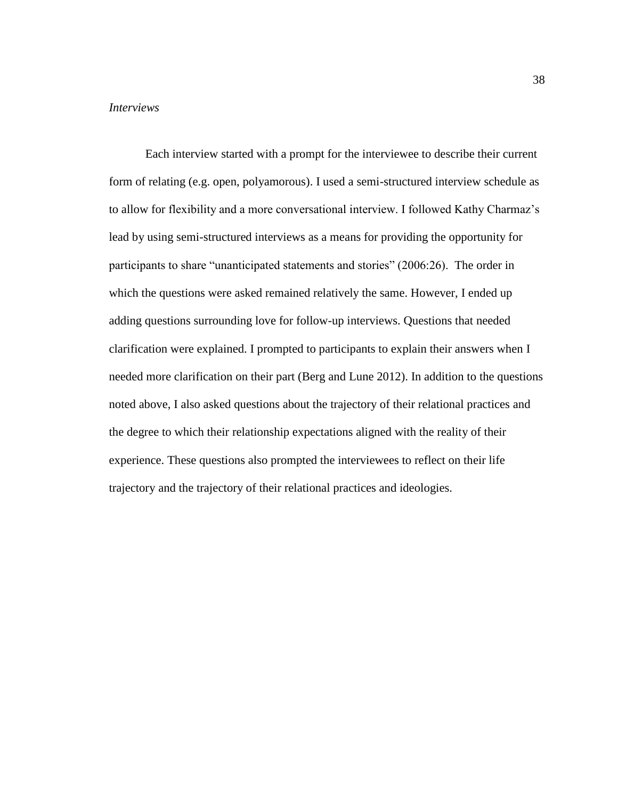### *Interviews*

Each interview started with a prompt for the interviewee to describe their current form of relating (e.g. open, polyamorous). I used a semi-structured interview schedule as to allow for flexibility and a more conversational interview. I followed Kathy Charmaz's lead by using semi-structured interviews as a means for providing the opportunity for participants to share "unanticipated statements and stories" (2006:26). The order in which the questions were asked remained relatively the same. However, I ended up adding questions surrounding love for follow-up interviews. Questions that needed clarification were explained. I prompted to participants to explain their answers when I needed more clarification on their part (Berg and Lune 2012). In addition to the questions noted above, I also asked questions about the trajectory of their relational practices and the degree to which their relationship expectations aligned with the reality of their experience. These questions also prompted the interviewees to reflect on their life trajectory and the trajectory of their relational practices and ideologies.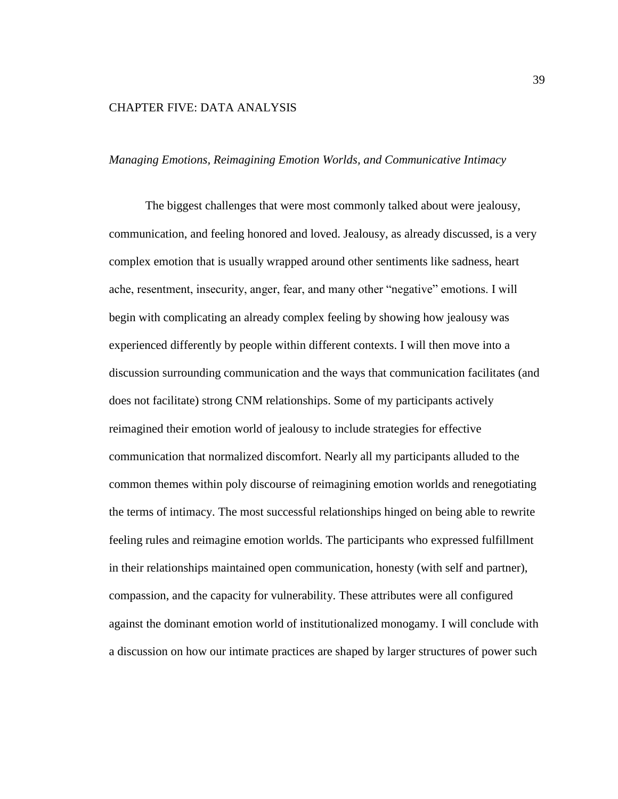# CHAPTER FIVE: DATA ANALYSIS

## *Managing Emotions, Reimagining Emotion Worlds, and Communicative Intimacy*

The biggest challenges that were most commonly talked about were jealousy, communication, and feeling honored and loved. Jealousy, as already discussed, is a very complex emotion that is usually wrapped around other sentiments like sadness, heart ache, resentment, insecurity, anger, fear, and many other "negative" emotions. I will begin with complicating an already complex feeling by showing how jealousy was experienced differently by people within different contexts. I will then move into a discussion surrounding communication and the ways that communication facilitates (and does not facilitate) strong CNM relationships. Some of my participants actively reimagined their emotion world of jealousy to include strategies for effective communication that normalized discomfort. Nearly all my participants alluded to the common themes within poly discourse of reimagining emotion worlds and renegotiating the terms of intimacy. The most successful relationships hinged on being able to rewrite feeling rules and reimagine emotion worlds. The participants who expressed fulfillment in their relationships maintained open communication, honesty (with self and partner), compassion, and the capacity for vulnerability. These attributes were all configured against the dominant emotion world of institutionalized monogamy. I will conclude with a discussion on how our intimate practices are shaped by larger structures of power such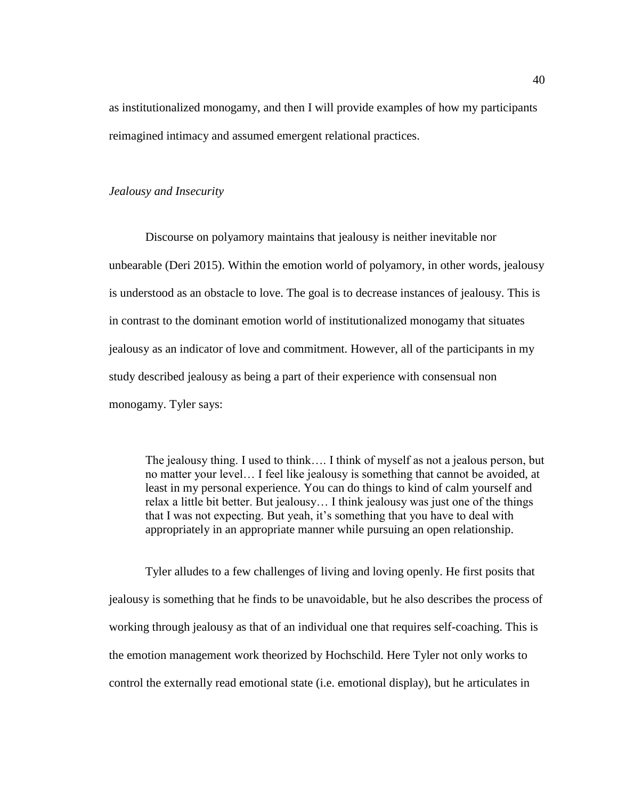as institutionalized monogamy, and then I will provide examples of how my participants reimagined intimacy and assumed emergent relational practices.

#### *Jealousy and Insecurity*

Discourse on polyamory maintains that jealousy is neither inevitable nor unbearable (Deri 2015). Within the emotion world of polyamory, in other words, jealousy is understood as an obstacle to love. The goal is to decrease instances of jealousy. This is in contrast to the dominant emotion world of institutionalized monogamy that situates jealousy as an indicator of love and commitment. However, all of the participants in my study described jealousy as being a part of their experience with consensual non monogamy. Tyler says:

The jealousy thing. I used to think…. I think of myself as not a jealous person, but no matter your level… I feel like jealousy is something that cannot be avoided, at least in my personal experience. You can do things to kind of calm yourself and relax a little bit better. But jealousy… I think jealousy was just one of the things that I was not expecting. But yeah, it's something that you have to deal with appropriately in an appropriate manner while pursuing an open relationship.

Tyler alludes to a few challenges of living and loving openly. He first posits that jealousy is something that he finds to be unavoidable, but he also describes the process of working through jealousy as that of an individual one that requires self-coaching. This is the emotion management work theorized by Hochschild. Here Tyler not only works to control the externally read emotional state (i.e. emotional display), but he articulates in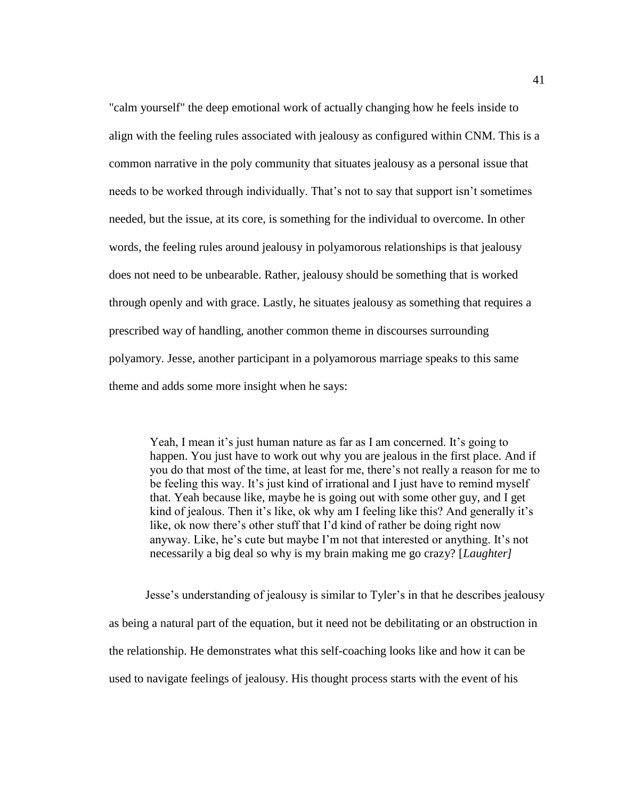"calm yourself" the deep emotional work of actually changing how he feels inside to align with the feeling rules associated with jealousy as configured within CNM. This is a common narrative in the poly community that situates jealousy as a personal issue that needs to be worked through individually. That's not to say that support isn't sometimes needed, but the issue, at its core, is something for the individual to overcome. In other words, the feeling rules around jealousy in polyamorous relationships is that jealousy does not need to be unbearable. Rather, jealousy should be something that is worked through openly and with grace. Lastly, he situates jealousy as something that requires a prescribed way of handling, another common theme in discourses surrounding polyamory. Jesse, another participant in a polyamorous marriage speaks to this same theme and adds some more insight when he says:

Yeah, I mean it's just human nature as far as I am concerned. It's going to happen. You just have to work out why you are jealous in the first place. And if you do that most of the time, at least for me, there's not really a reason for me to be feeling this way. It's just kind of irrational and I just have to remind myself that. Yeah because like, maybe he is going out with some other guy, and I get kind of jealous. Then it's like, ok why am I feeling like this? And generally it's like, ok now there's other stuff that I'd kind of rather be doing right now anyway. Like, he's cute but maybe I'm not that interested or anything. It's not necessarily a big deal so why is my brain making me go crazy? [*Laughter]*

Jesse's understanding of jealousy is similar to Tyler's in that he describes jealousy as being a natural part of the equation, but it need not be debilitating or an obstruction in the relationship. He demonstrates what this self-coaching looks like and how it can be used to navigate feelings of jealousy. His thought process starts with the event of his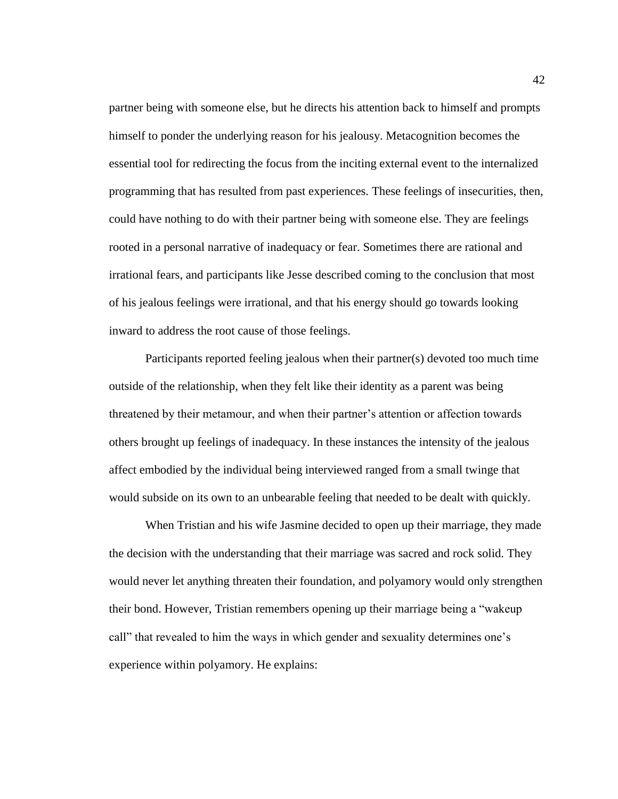partner being with someone else, but he directs his attention back to himself and prompts himself to ponder the underlying reason for his jealousy. Metacognition becomes the essential tool for redirecting the focus from the inciting external event to the internalized programming that has resulted from past experiences. These feelings of insecurities, then, could have nothing to do with their partner being with someone else. They are feelings rooted in a personal narrative of inadequacy or fear. Sometimes there are rational and irrational fears, and participants like Jesse described coming to the conclusion that most of his jealous feelings were irrational, and that his energy should go towards looking inward to address the root cause of those feelings.

Participants reported feeling jealous when their partner(s) devoted too much time outside of the relationship, when they felt like their identity as a parent was being threatened by their metamour, and when their partner's attention or affection towards others brought up feelings of inadequacy. In these instances the intensity of the jealous affect embodied by the individual being interviewed ranged from a small twinge that would subside on its own to an unbearable feeling that needed to be dealt with quickly.

When Tristian and his wife Jasmine decided to open up their marriage, they made the decision with the understanding that their marriage was sacred and rock solid. They would never let anything threaten their foundation, and polyamory would only strengthen their bond. However, Tristian remembers opening up their marriage being a "wakeup call" that revealed to him the ways in which gender and sexuality determines one's experience within polyamory. He explains: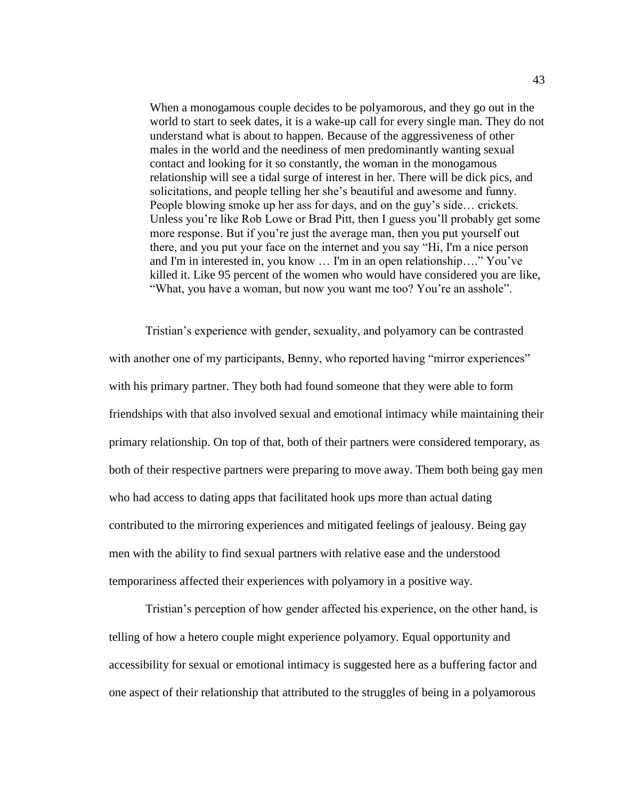When a monogamous couple decides to be polyamorous, and they go out in the world to start to seek dates, it is a wake-up call for every single man. They do not understand what is about to happen. Because of the aggressiveness of other males in the world and the neediness of men predominantly wanting sexual contact and looking for it so constantly, the woman in the monogamous relationship will see a tidal surge of interest in her. There will be dick pics, and solicitations, and people telling her she's beautiful and awesome and funny. People blowing smoke up her ass for days, and on the guy's side… crickets. Unless you're like Rob Lowe or Brad Pitt, then I guess you'll probably get some more response. But if you're just the average man, then you put yourself out there, and you put your face on the internet and you say "Hi, I'm a nice person and I'm in interested in, you know … I'm in an open relationship…." You've killed it. Like 95 percent of the women who would have considered you are like, "What, you have a woman, but now you want me too? You're an asshole".

Tristian's experience with gender, sexuality, and polyamory can be contrasted with another one of my participants, Benny, who reported having "mirror experiences" with his primary partner. They both had found someone that they were able to form friendships with that also involved sexual and emotional intimacy while maintaining their primary relationship. On top of that, both of their partners were considered temporary, as both of their respective partners were preparing to move away. Them both being gay men who had access to dating apps that facilitated hook ups more than actual dating contributed to the mirroring experiences and mitigated feelings of jealousy. Being gay men with the ability to find sexual partners with relative ease and the understood temporariness affected their experiences with polyamory in a positive way.

Tristian's perception of how gender affected his experience, on the other hand, is telling of how a hetero couple might experience polyamory. Equal opportunity and accessibility for sexual or emotional intimacy is suggested here as a buffering factor and one aspect of their relationship that attributed to the struggles of being in a polyamorous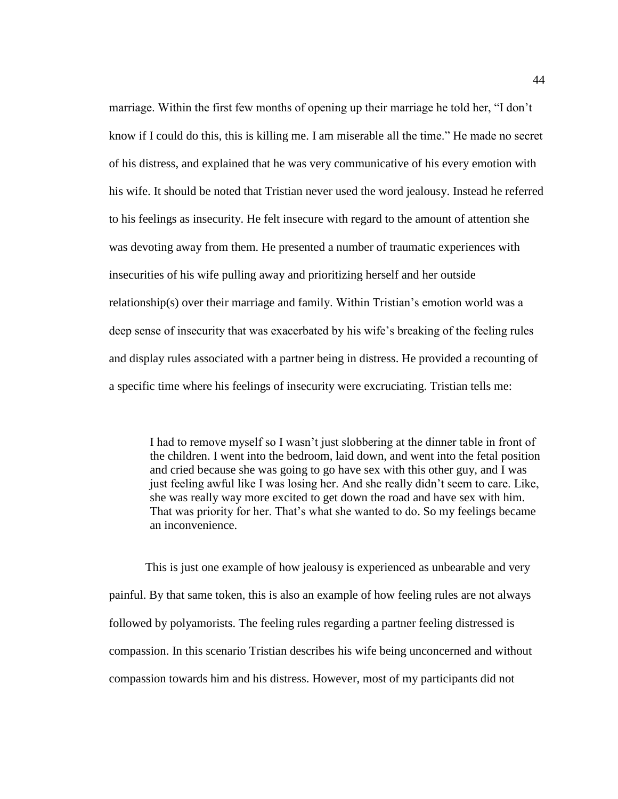marriage. Within the first few months of opening up their marriage he told her, "I don't know if I could do this, this is killing me. I am miserable all the time." He made no secret of his distress, and explained that he was very communicative of his every emotion with his wife. It should be noted that Tristian never used the word jealousy. Instead he referred to his feelings as insecurity. He felt insecure with regard to the amount of attention she was devoting away from them. He presented a number of traumatic experiences with insecurities of his wife pulling away and prioritizing herself and her outside relationship(s) over their marriage and family. Within Tristian's emotion world was a deep sense of insecurity that was exacerbated by his wife's breaking of the feeling rules and display rules associated with a partner being in distress. He provided a recounting of a specific time where his feelings of insecurity were excruciating. Tristian tells me:

I had to remove myself so I wasn't just slobbering at the dinner table in front of the children. I went into the bedroom, laid down, and went into the fetal position and cried because she was going to go have sex with this other guy, and I was just feeling awful like I was losing her. And she really didn't seem to care. Like, she was really way more excited to get down the road and have sex with him. That was priority for her. That's what she wanted to do. So my feelings became an inconvenience.

This is just one example of how jealousy is experienced as unbearable and very painful. By that same token, this is also an example of how feeling rules are not always followed by polyamorists. The feeling rules regarding a partner feeling distressed is compassion. In this scenario Tristian describes his wife being unconcerned and without compassion towards him and his distress. However, most of my participants did not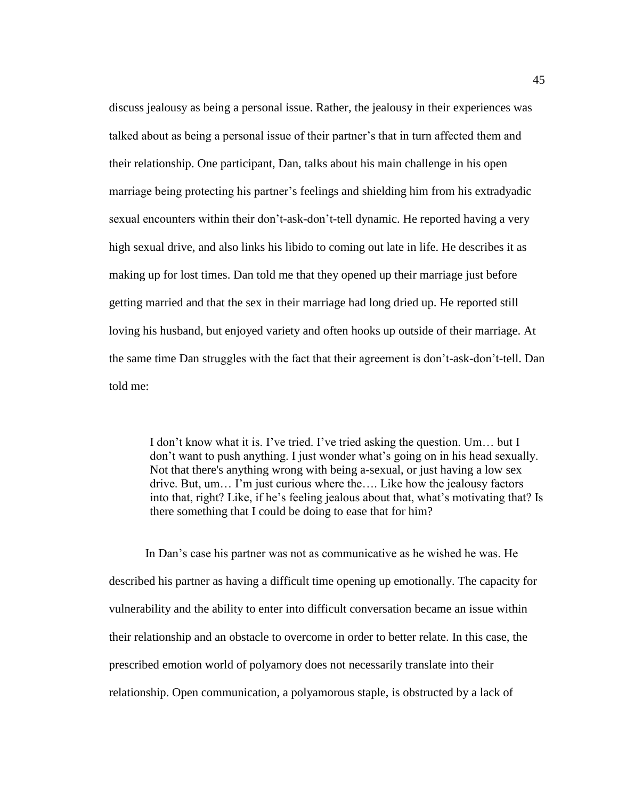discuss jealousy as being a personal issue. Rather, the jealousy in their experiences was talked about as being a personal issue of their partner's that in turn affected them and their relationship. One participant, Dan, talks about his main challenge in his open marriage being protecting his partner's feelings and shielding him from his extradyadic sexual encounters within their don't-ask-don't-tell dynamic. He reported having a very high sexual drive, and also links his libido to coming out late in life. He describes it as making up for lost times. Dan told me that they opened up their marriage just before getting married and that the sex in their marriage had long dried up. He reported still loving his husband, but enjoyed variety and often hooks up outside of their marriage. At the same time Dan struggles with the fact that their agreement is don't-ask-don't-tell. Dan told me:

I don't know what it is. I've tried. I've tried asking the question. Um… but I don't want to push anything. I just wonder what's going on in his head sexually. Not that there's anything wrong with being a-sexual, or just having a low sex drive. But, um… I'm just curious where the…. Like how the jealousy factors into that, right? Like, if he's feeling jealous about that, what's motivating that? Is there something that I could be doing to ease that for him?

In Dan's case his partner was not as communicative as he wished he was. He described his partner as having a difficult time opening up emotionally. The capacity for vulnerability and the ability to enter into difficult conversation became an issue within their relationship and an obstacle to overcome in order to better relate. In this case, the prescribed emotion world of polyamory does not necessarily translate into their relationship. Open communication, a polyamorous staple, is obstructed by a lack of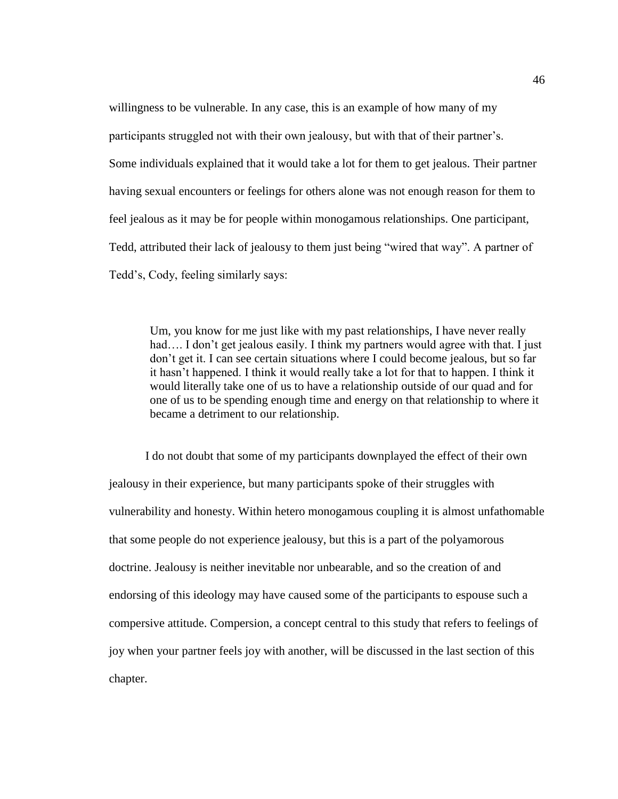willingness to be vulnerable. In any case, this is an example of how many of my participants struggled not with their own jealousy, but with that of their partner's. Some individuals explained that it would take a lot for them to get jealous. Their partner having sexual encounters or feelings for others alone was not enough reason for them to feel jealous as it may be for people within monogamous relationships. One participant, Tedd, attributed their lack of jealousy to them just being "wired that way". A partner of Tedd's, Cody, feeling similarly says:

Um, you know for me just like with my past relationships, I have never really had.... I don't get jealous easily. I think my partners would agree with that. I just don't get it. I can see certain situations where I could become jealous, but so far it hasn't happened. I think it would really take a lot for that to happen. I think it would literally take one of us to have a relationship outside of our quad and for one of us to be spending enough time and energy on that relationship to where it became a detriment to our relationship.

I do not doubt that some of my participants downplayed the effect of their own jealousy in their experience, but many participants spoke of their struggles with vulnerability and honesty. Within hetero monogamous coupling it is almost unfathomable that some people do not experience jealousy, but this is a part of the polyamorous doctrine. Jealousy is neither inevitable nor unbearable, and so the creation of and endorsing of this ideology may have caused some of the participants to espouse such a compersive attitude. Compersion, a concept central to this study that refers to feelings of joy when your partner feels joy with another, will be discussed in the last section of this chapter.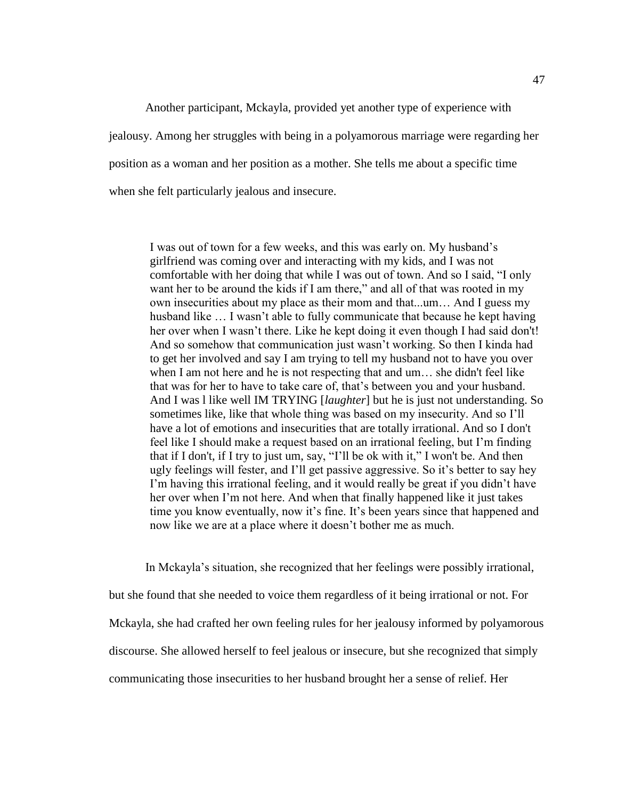Another participant, Mckayla, provided yet another type of experience with jealousy. Among her struggles with being in a polyamorous marriage were regarding her position as a woman and her position as a mother. She tells me about a specific time when she felt particularly jealous and insecure.

I was out of town for a few weeks, and this was early on. My husband's girlfriend was coming over and interacting with my kids, and I was not comfortable with her doing that while I was out of town. And so I said, "I only want her to be around the kids if I am there," and all of that was rooted in my own insecurities about my place as their mom and that...um… And I guess my husband like … I wasn't able to fully communicate that because he kept having her over when I wasn't there. Like he kept doing it even though I had said don't! And so somehow that communication just wasn't working. So then I kinda had to get her involved and say I am trying to tell my husband not to have you over when I am not here and he is not respecting that and um… she didn't feel like that was for her to have to take care of, that's between you and your husband. And I was l like well IM TRYING [*laughter*] but he is just not understanding. So sometimes like, like that whole thing was based on my insecurity. And so I'll have a lot of emotions and insecurities that are totally irrational. And so I don't feel like I should make a request based on an irrational feeling, but I'm finding that if I don't, if I try to just um, say, "I'll be ok with it," I won't be. And then ugly feelings will fester, and I'll get passive aggressive. So it's better to say hey I'm having this irrational feeling, and it would really be great if you didn't have her over when I'm not here. And when that finally happened like it just takes time you know eventually, now it's fine. It's been years since that happened and now like we are at a place where it doesn't bother me as much.

In Mckayla's situation, she recognized that her feelings were possibly irrational, but she found that she needed to voice them regardless of it being irrational or not. For Mckayla, she had crafted her own feeling rules for her jealousy informed by polyamorous discourse. She allowed herself to feel jealous or insecure, but she recognized that simply communicating those insecurities to her husband brought her a sense of relief. Her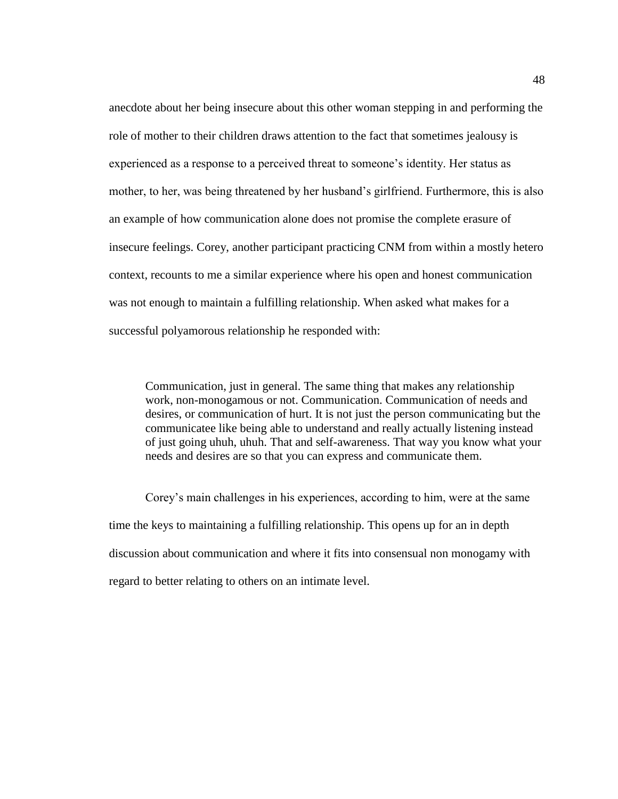anecdote about her being insecure about this other woman stepping in and performing the role of mother to their children draws attention to the fact that sometimes jealousy is experienced as a response to a perceived threat to someone's identity. Her status as mother, to her, was being threatened by her husband's girlfriend. Furthermore, this is also an example of how communication alone does not promise the complete erasure of insecure feelings. Corey, another participant practicing CNM from within a mostly hetero context, recounts to me a similar experience where his open and honest communication was not enough to maintain a fulfilling relationship. When asked what makes for a successful polyamorous relationship he responded with:

Communication, just in general. The same thing that makes any relationship work, non-monogamous or not. Communication. Communication of needs and desires, or communication of hurt. It is not just the person communicating but the communicatee like being able to understand and really actually listening instead of just going uhuh, uhuh. That and self-awareness. That way you know what your needs and desires are so that you can express and communicate them.

Corey's main challenges in his experiences, according to him, were at the same time the keys to maintaining a fulfilling relationship. This opens up for an in depth discussion about communication and where it fits into consensual non monogamy with regard to better relating to others on an intimate level.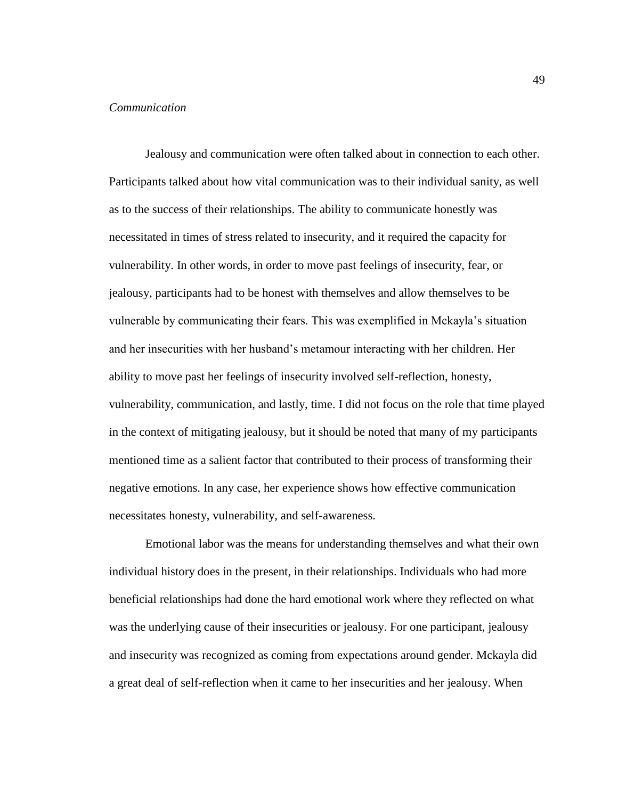## *Communication*

Jealousy and communication were often talked about in connection to each other. Participants talked about how vital communication was to their individual sanity, as well as to the success of their relationships. The ability to communicate honestly was necessitated in times of stress related to insecurity, and it required the capacity for vulnerability. In other words, in order to move past feelings of insecurity, fear, or jealousy, participants had to be honest with themselves and allow themselves to be vulnerable by communicating their fears. This was exemplified in Mckayla's situation and her insecurities with her husband's metamour interacting with her children. Her ability to move past her feelings of insecurity involved self-reflection, honesty, vulnerability, communication, and lastly, time. I did not focus on the role that time played in the context of mitigating jealousy, but it should be noted that many of my participants mentioned time as a salient factor that contributed to their process of transforming their negative emotions. In any case, her experience shows how effective communication necessitates honesty, vulnerability, and self-awareness.

Emotional labor was the means for understanding themselves and what their own individual history does in the present, in their relationships. Individuals who had more beneficial relationships had done the hard emotional work where they reflected on what was the underlying cause of their insecurities or jealousy. For one participant, jealousy and insecurity was recognized as coming from expectations around gender. Mckayla did a great deal of self-reflection when it came to her insecurities and her jealousy. When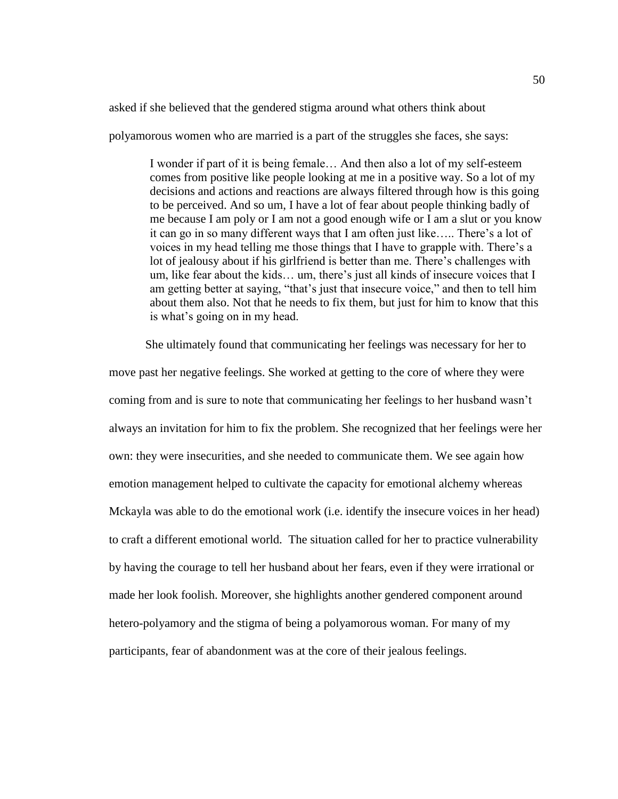asked if she believed that the gendered stigma around what others think about

polyamorous women who are married is a part of the struggles she faces, she says:

I wonder if part of it is being female… And then also a lot of my self-esteem comes from positive like people looking at me in a positive way. So a lot of my decisions and actions and reactions are always filtered through how is this going to be perceived. And so um, I have a lot of fear about people thinking badly of me because I am poly or I am not a good enough wife or I am a slut or you know it can go in so many different ways that I am often just like….. There's a lot of voices in my head telling me those things that I have to grapple with. There's a lot of jealousy about if his girlfriend is better than me. There's challenges with um, like fear about the kids… um, there's just all kinds of insecure voices that I am getting better at saying, "that's just that insecure voice," and then to tell him about them also. Not that he needs to fix them, but just for him to know that this is what's going on in my head.

She ultimately found that communicating her feelings was necessary for her to move past her negative feelings. She worked at getting to the core of where they were coming from and is sure to note that communicating her feelings to her husband wasn't always an invitation for him to fix the problem. She recognized that her feelings were her own: they were insecurities, and she needed to communicate them. We see again how emotion management helped to cultivate the capacity for emotional alchemy whereas Mckayla was able to do the emotional work (i.e. identify the insecure voices in her head) to craft a different emotional world. The situation called for her to practice vulnerability by having the courage to tell her husband about her fears, even if they were irrational or made her look foolish. Moreover, she highlights another gendered component around hetero-polyamory and the stigma of being a polyamorous woman. For many of my participants, fear of abandonment was at the core of their jealous feelings.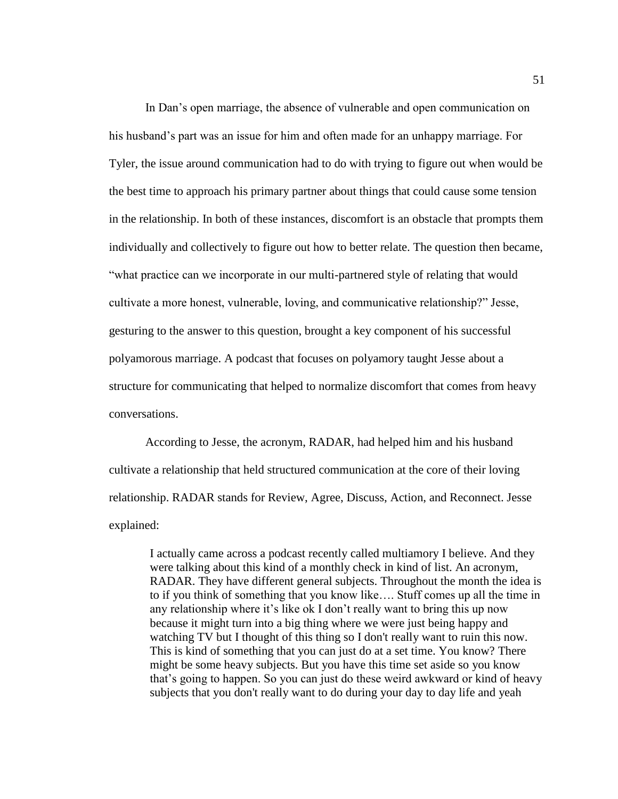In Dan's open marriage, the absence of vulnerable and open communication on his husband's part was an issue for him and often made for an unhappy marriage. For Tyler, the issue around communication had to do with trying to figure out when would be the best time to approach his primary partner about things that could cause some tension in the relationship. In both of these instances, discomfort is an obstacle that prompts them individually and collectively to figure out how to better relate. The question then became, "what practice can we incorporate in our multi-partnered style of relating that would cultivate a more honest, vulnerable, loving, and communicative relationship?" Jesse, gesturing to the answer to this question, brought a key component of his successful polyamorous marriage. A podcast that focuses on polyamory taught Jesse about a structure for communicating that helped to normalize discomfort that comes from heavy conversations.

According to Jesse, the acronym, RADAR, had helped him and his husband cultivate a relationship that held structured communication at the core of their loving relationship. RADAR stands for Review, Agree, Discuss, Action, and Reconnect. Jesse explained:

I actually came across a podcast recently called multiamory I believe. And they were talking about this kind of a monthly check in kind of list. An acronym, RADAR. They have different general subjects. Throughout the month the idea is to if you think of something that you know like…. Stuff comes up all the time in any relationship where it's like ok I don't really want to bring this up now because it might turn into a big thing where we were just being happy and watching TV but I thought of this thing so I don't really want to ruin this now. This is kind of something that you can just do at a set time. You know? There might be some heavy subjects. But you have this time set aside so you know that's going to happen. So you can just do these weird awkward or kind of heavy subjects that you don't really want to do during your day to day life and yeah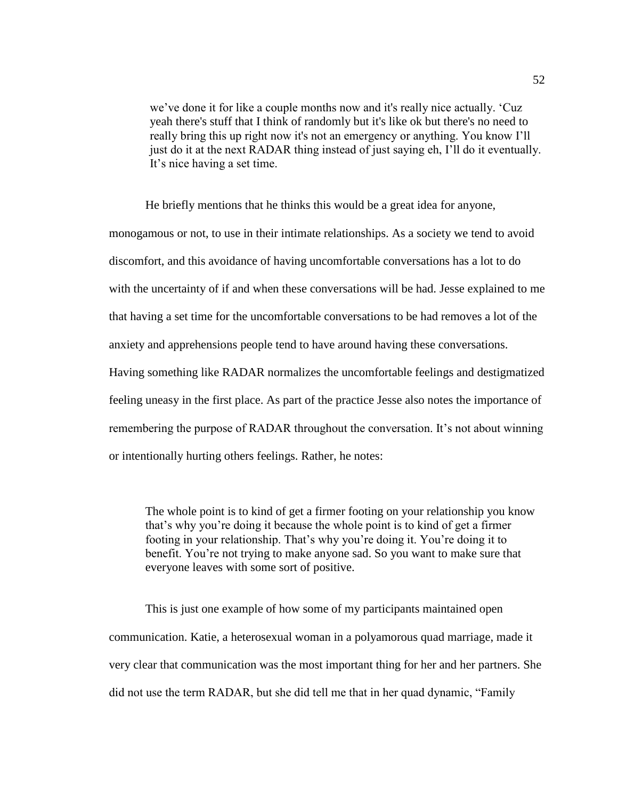we've done it for like a couple months now and it's really nice actually. 'Cuz yeah there's stuff that I think of randomly but it's like ok but there's no need to really bring this up right now it's not an emergency or anything. You know I'll just do it at the next RADAR thing instead of just saying eh, I'll do it eventually. It's nice having a set time.

He briefly mentions that he thinks this would be a great idea for anyone, monogamous or not, to use in their intimate relationships. As a society we tend to avoid discomfort, and this avoidance of having uncomfortable conversations has a lot to do with the uncertainty of if and when these conversations will be had. Jesse explained to me that having a set time for the uncomfortable conversations to be had removes a lot of the anxiety and apprehensions people tend to have around having these conversations. Having something like RADAR normalizes the uncomfortable feelings and destigmatized feeling uneasy in the first place. As part of the practice Jesse also notes the importance of remembering the purpose of RADAR throughout the conversation. It's not about winning or intentionally hurting others feelings. Rather, he notes:

The whole point is to kind of get a firmer footing on your relationship you know that's why you're doing it because the whole point is to kind of get a firmer footing in your relationship. That's why you're doing it. You're doing it to benefit. You're not trying to make anyone sad. So you want to make sure that everyone leaves with some sort of positive.

This is just one example of how some of my participants maintained open communication. Katie, a heterosexual woman in a polyamorous quad marriage, made it very clear that communication was the most important thing for her and her partners. She did not use the term RADAR, but she did tell me that in her quad dynamic, "Family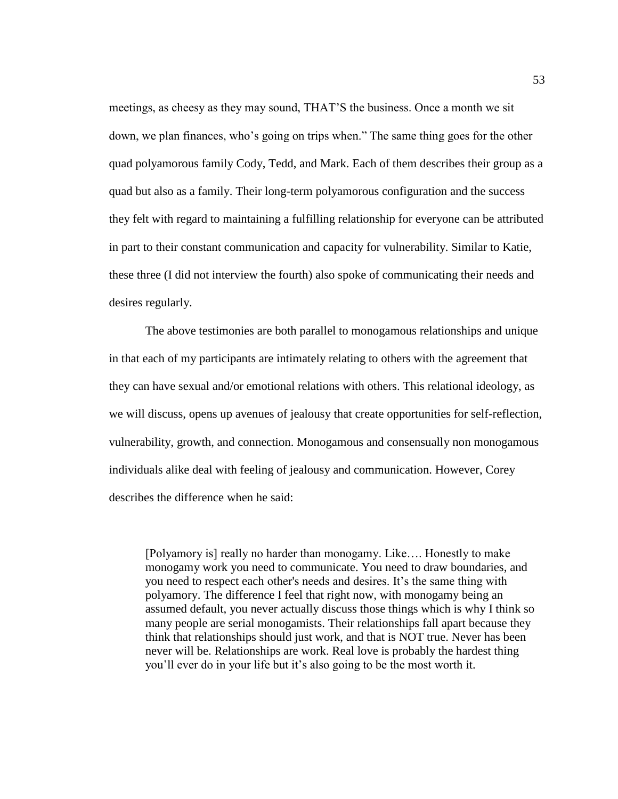meetings, as cheesy as they may sound, THAT'S the business. Once a month we sit down, we plan finances, who's going on trips when." The same thing goes for the other quad polyamorous family Cody, Tedd, and Mark. Each of them describes their group as a quad but also as a family. Their long-term polyamorous configuration and the success they felt with regard to maintaining a fulfilling relationship for everyone can be attributed in part to their constant communication and capacity for vulnerability. Similar to Katie, these three (I did not interview the fourth) also spoke of communicating their needs and desires regularly.

The above testimonies are both parallel to monogamous relationships and unique in that each of my participants are intimately relating to others with the agreement that they can have sexual and/or emotional relations with others. This relational ideology, as we will discuss, opens up avenues of jealousy that create opportunities for self-reflection, vulnerability, growth, and connection. Monogamous and consensually non monogamous individuals alike deal with feeling of jealousy and communication. However, Corey describes the difference when he said:

[Polyamory is] really no harder than monogamy. Like…. Honestly to make monogamy work you need to communicate. You need to draw boundaries, and you need to respect each other's needs and desires. It's the same thing with polyamory. The difference I feel that right now, with monogamy being an assumed default, you never actually discuss those things which is why I think so many people are serial monogamists. Their relationships fall apart because they think that relationships should just work, and that is NOT true. Never has been never will be. Relationships are work. Real love is probably the hardest thing you'll ever do in your life but it's also going to be the most worth it.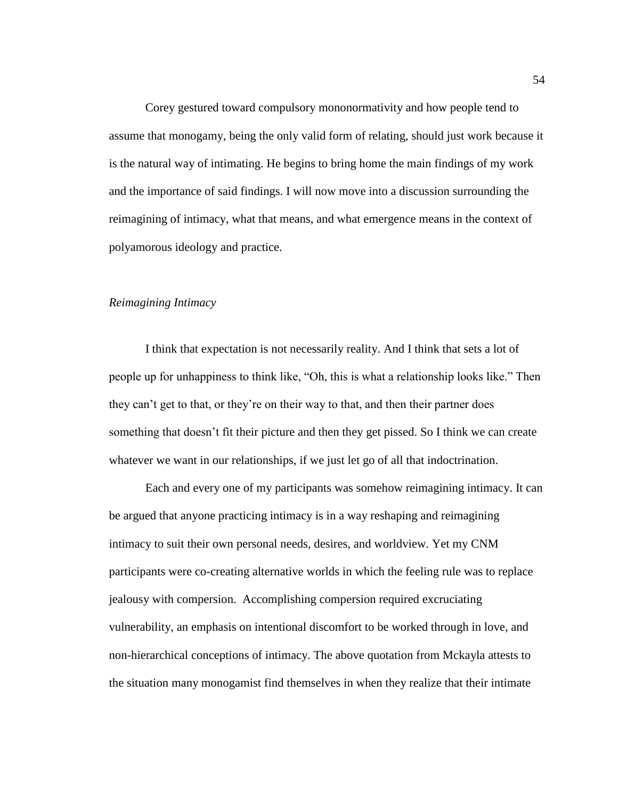Corey gestured toward compulsory mononormativity and how people tend to assume that monogamy, being the only valid form of relating, should just work because it is the natural way of intimating. He begins to bring home the main findings of my work and the importance of said findings. I will now move into a discussion surrounding the reimagining of intimacy, what that means, and what emergence means in the context of polyamorous ideology and practice.

# *Reimagining Intimacy*

I think that expectation is not necessarily reality. And I think that sets a lot of people up for unhappiness to think like, "Oh, this is what a relationship looks like." Then they can't get to that, or they're on their way to that, and then their partner does something that doesn't fit their picture and then they get pissed. So I think we can create whatever we want in our relationships, if we just let go of all that indoctrination.

Each and every one of my participants was somehow reimagining intimacy. It can be argued that anyone practicing intimacy is in a way reshaping and reimagining intimacy to suit their own personal needs, desires, and worldview. Yet my CNM participants were co-creating alternative worlds in which the feeling rule was to replace jealousy with compersion. Accomplishing compersion required excruciating vulnerability, an emphasis on intentional discomfort to be worked through in love, and non-hierarchical conceptions of intimacy. The above quotation from Mckayla attests to the situation many monogamist find themselves in when they realize that their intimate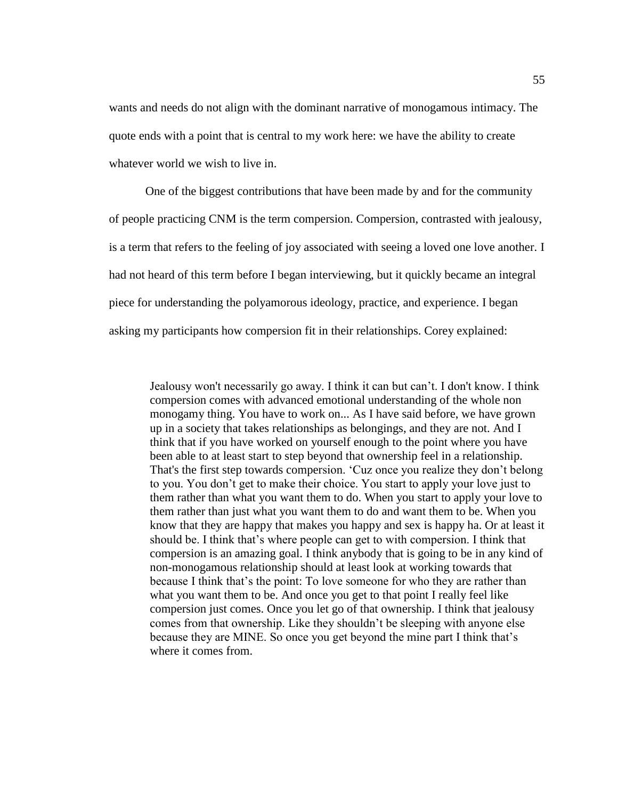wants and needs do not align with the dominant narrative of monogamous intimacy. The quote ends with a point that is central to my work here: we have the ability to create whatever world we wish to live in.

One of the biggest contributions that have been made by and for the community of people practicing CNM is the term compersion. Compersion, contrasted with jealousy, is a term that refers to the feeling of joy associated with seeing a loved one love another. I had not heard of this term before I began interviewing, but it quickly became an integral piece for understanding the polyamorous ideology, practice, and experience. I began asking my participants how compersion fit in their relationships. Corey explained:

Jealousy won't necessarily go away. I think it can but can't. I don't know. I think compersion comes with advanced emotional understanding of the whole non monogamy thing. You have to work on... As I have said before, we have grown up in a society that takes relationships as belongings, and they are not. And I think that if you have worked on yourself enough to the point where you have been able to at least start to step beyond that ownership feel in a relationship. That's the first step towards compersion. 'Cuz once you realize they don't belong to you. You don't get to make their choice. You start to apply your love just to them rather than what you want them to do. When you start to apply your love to them rather than just what you want them to do and want them to be. When you know that they are happy that makes you happy and sex is happy ha. Or at least it should be. I think that's where people can get to with compersion. I think that compersion is an amazing goal. I think anybody that is going to be in any kind of non-monogamous relationship should at least look at working towards that because I think that's the point: To love someone for who they are rather than what you want them to be. And once you get to that point I really feel like compersion just comes. Once you let go of that ownership. I think that jealousy comes from that ownership. Like they shouldn't be sleeping with anyone else because they are MINE. So once you get beyond the mine part I think that's where it comes from.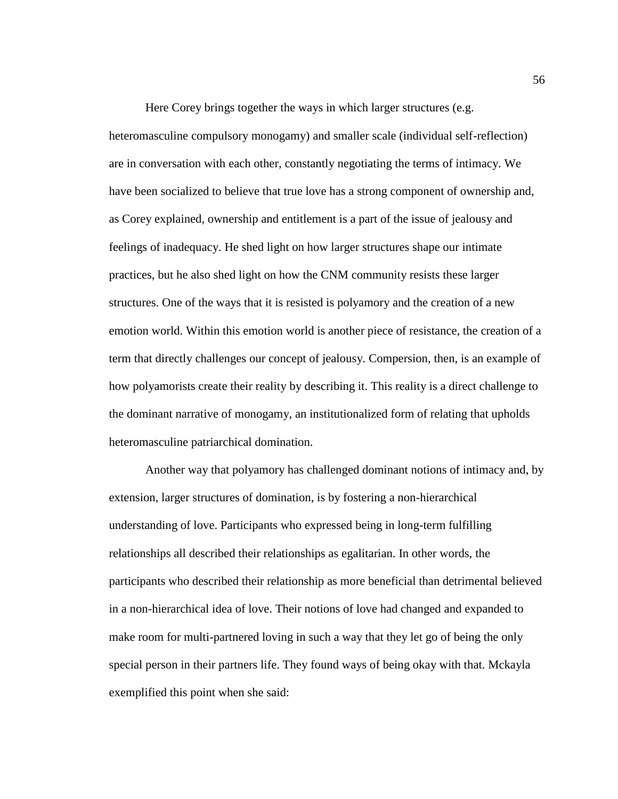Here Corey brings together the ways in which larger structures (e.g. heteromasculine compulsory monogamy) and smaller scale (individual self-reflection) are in conversation with each other, constantly negotiating the terms of intimacy. We have been socialized to believe that true love has a strong component of ownership and, as Corey explained, ownership and entitlement is a part of the issue of jealousy and feelings of inadequacy. He shed light on how larger structures shape our intimate practices, but he also shed light on how the CNM community resists these larger structures. One of the ways that it is resisted is polyamory and the creation of a new emotion world. Within this emotion world is another piece of resistance, the creation of a term that directly challenges our concept of jealousy. Compersion, then, is an example of how polyamorists create their reality by describing it. This reality is a direct challenge to the dominant narrative of monogamy, an institutionalized form of relating that upholds heteromasculine patriarchical domination.

Another way that polyamory has challenged dominant notions of intimacy and, by extension, larger structures of domination, is by fostering a non-hierarchical understanding of love. Participants who expressed being in long-term fulfilling relationships all described their relationships as egalitarian. In other words, the participants who described their relationship as more beneficial than detrimental believed in a non-hierarchical idea of love. Their notions of love had changed and expanded to make room for multi-partnered loving in such a way that they let go of being the only special person in their partners life. They found ways of being okay with that. Mckayla exemplified this point when she said: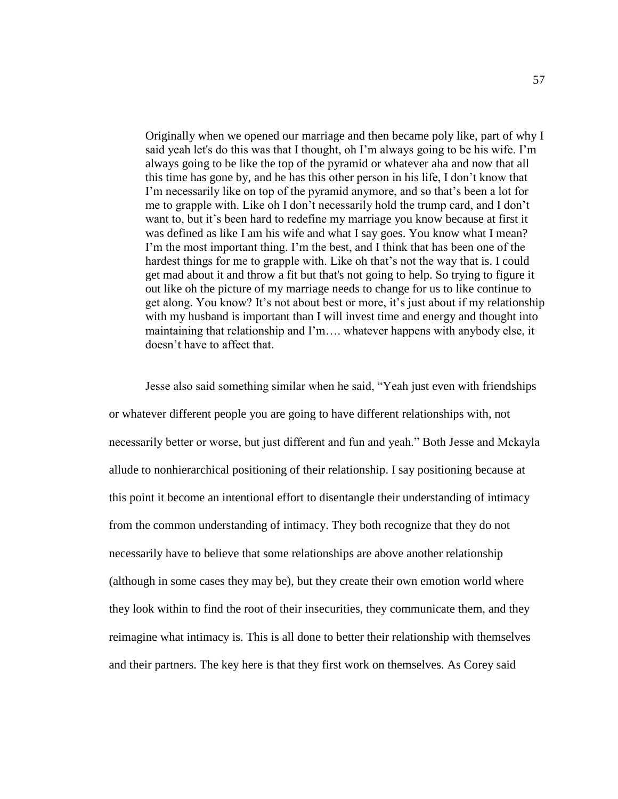Originally when we opened our marriage and then became poly like, part of why I said yeah let's do this was that I thought, oh I'm always going to be his wife. I'm always going to be like the top of the pyramid or whatever aha and now that all this time has gone by, and he has this other person in his life, I don't know that I'm necessarily like on top of the pyramid anymore, and so that's been a lot for me to grapple with. Like oh I don't necessarily hold the trump card, and I don't want to, but it's been hard to redefine my marriage you know because at first it was defined as like I am his wife and what I say goes. You know what I mean? I'm the most important thing. I'm the best, and I think that has been one of the hardest things for me to grapple with. Like oh that's not the way that is. I could get mad about it and throw a fit but that's not going to help. So trying to figure it out like oh the picture of my marriage needs to change for us to like continue to get along. You know? It's not about best or more, it's just about if my relationship with my husband is important than I will invest time and energy and thought into maintaining that relationship and I'm…. whatever happens with anybody else, it doesn't have to affect that.

Jesse also said something similar when he said, "Yeah just even with friendships or whatever different people you are going to have different relationships with, not necessarily better or worse, but just different and fun and yeah." Both Jesse and Mckayla allude to nonhierarchical positioning of their relationship. I say positioning because at this point it become an intentional effort to disentangle their understanding of intimacy from the common understanding of intimacy. They both recognize that they do not necessarily have to believe that some relationships are above another relationship (although in some cases they may be), but they create their own emotion world where they look within to find the root of their insecurities, they communicate them, and they reimagine what intimacy is. This is all done to better their relationship with themselves and their partners. The key here is that they first work on themselves. As Corey said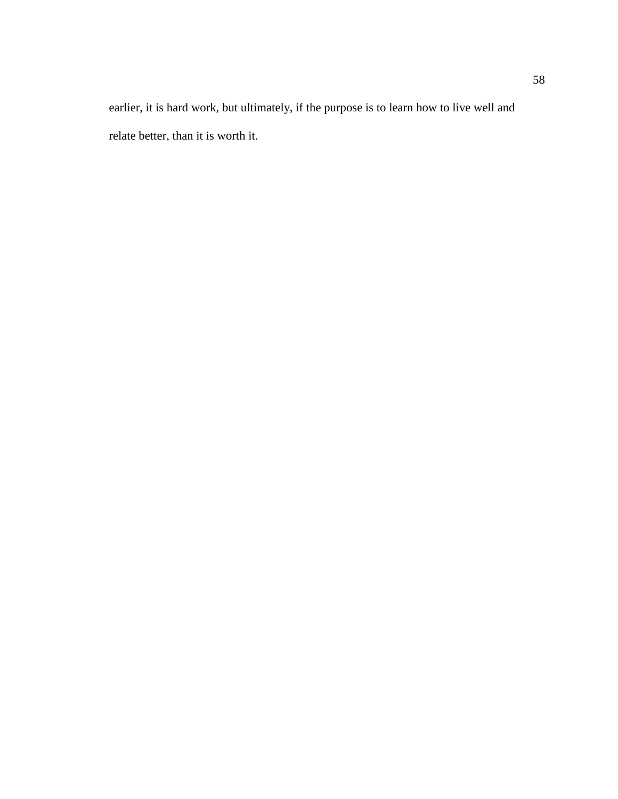earlier, it is hard work, but ultimately, if the purpose is to learn how to live well and relate better, than it is worth it.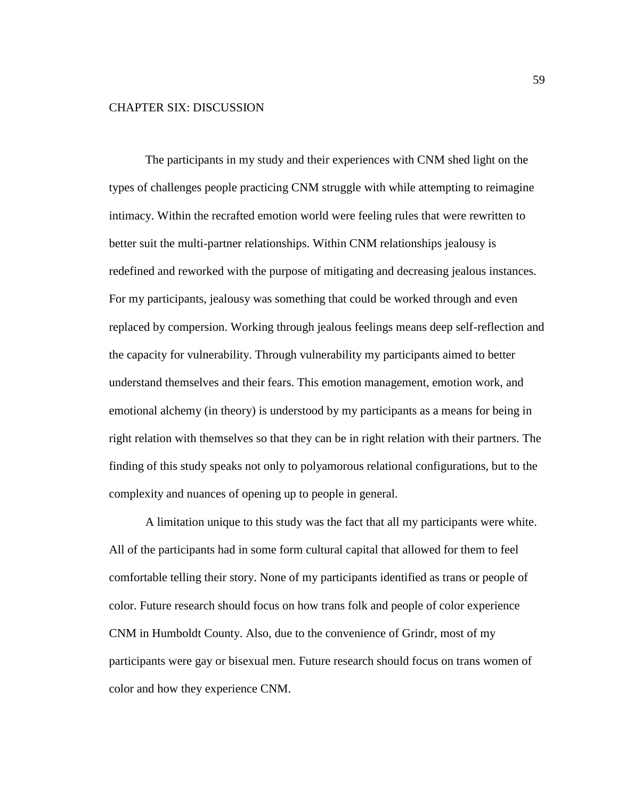# CHAPTER SIX: DISCUSSION

The participants in my study and their experiences with CNM shed light on the types of challenges people practicing CNM struggle with while attempting to reimagine intimacy. Within the recrafted emotion world were feeling rules that were rewritten to better suit the multi-partner relationships. Within CNM relationships jealousy is redefined and reworked with the purpose of mitigating and decreasing jealous instances. For my participants, jealousy was something that could be worked through and even replaced by compersion. Working through jealous feelings means deep self-reflection and the capacity for vulnerability. Through vulnerability my participants aimed to better understand themselves and their fears. This emotion management, emotion work, and emotional alchemy (in theory) is understood by my participants as a means for being in right relation with themselves so that they can be in right relation with their partners. The finding of this study speaks not only to polyamorous relational configurations, but to the complexity and nuances of opening up to people in general.

A limitation unique to this study was the fact that all my participants were white. All of the participants had in some form cultural capital that allowed for them to feel comfortable telling their story. None of my participants identified as trans or people of color. Future research should focus on how trans folk and people of color experience CNM in Humboldt County. Also, due to the convenience of Grindr, most of my participants were gay or bisexual men. Future research should focus on trans women of color and how they experience CNM.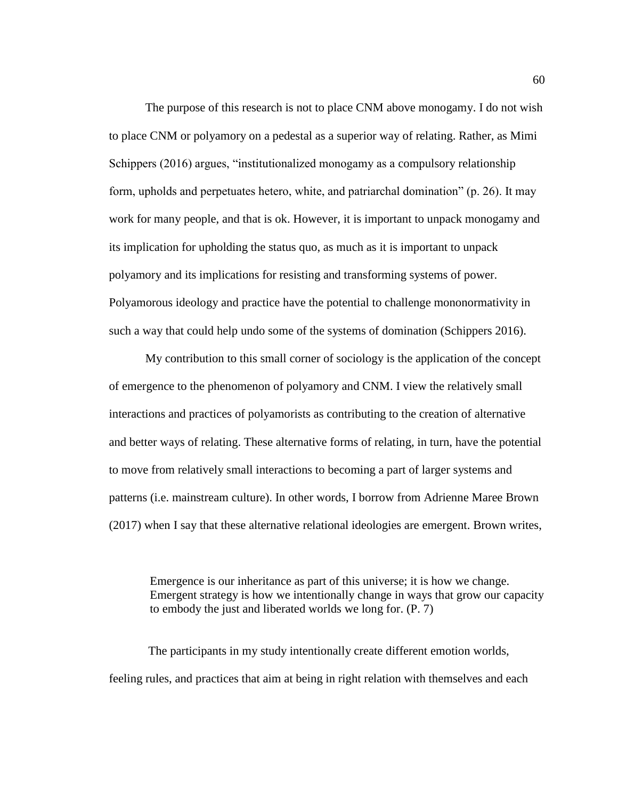The purpose of this research is not to place CNM above monogamy. I do not wish to place CNM or polyamory on a pedestal as a superior way of relating. Rather, as Mimi Schippers (2016) argues, "institutionalized monogamy as a compulsory relationship form, upholds and perpetuates hetero, white, and patriarchal domination" (p. 26). It may work for many people, and that is ok. However, it is important to unpack monogamy and its implication for upholding the status quo, as much as it is important to unpack polyamory and its implications for resisting and transforming systems of power. Polyamorous ideology and practice have the potential to challenge mononormativity in such a way that could help undo some of the systems of domination (Schippers 2016).

My contribution to this small corner of sociology is the application of the concept of emergence to the phenomenon of polyamory and CNM. I view the relatively small interactions and practices of polyamorists as contributing to the creation of alternative and better ways of relating. These alternative forms of relating, in turn, have the potential to move from relatively small interactions to becoming a part of larger systems and patterns (i.e. mainstream culture). In other words, I borrow from Adrienne Maree Brown (2017) when I say that these alternative relational ideologies are emergent. Brown writes,

Emergence is our inheritance as part of this universe; it is how we change. Emergent strategy is how we intentionally change in ways that grow our capacity to embody the just and liberated worlds we long for. (P. 7)

The participants in my study intentionally create different emotion worlds, feeling rules, and practices that aim at being in right relation with themselves and each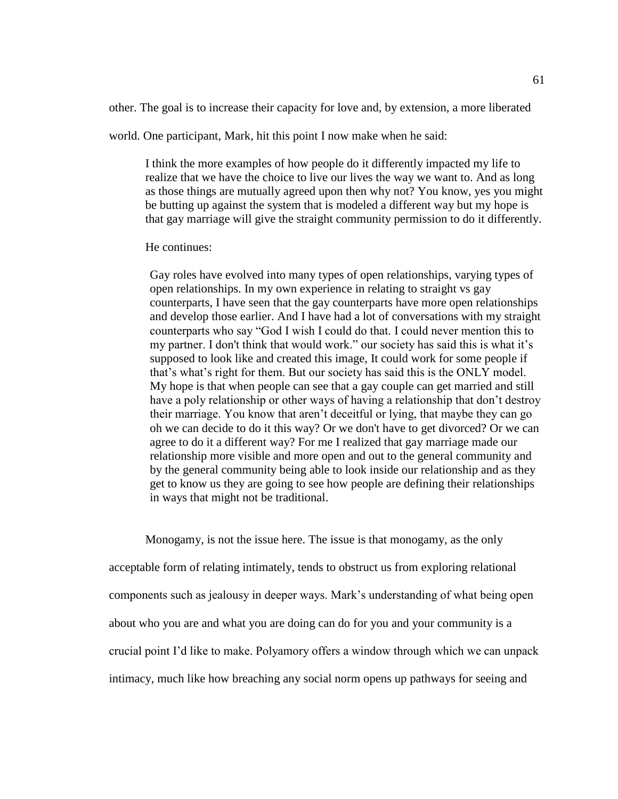other. The goal is to increase their capacity for love and, by extension, a more liberated

world. One participant, Mark, hit this point I now make when he said:

I think the more examples of how people do it differently impacted my life to realize that we have the choice to live our lives the way we want to. And as long as those things are mutually agreed upon then why not? You know, yes you might be butting up against the system that is modeled a different way but my hope is that gay marriage will give the straight community permission to do it differently.

### He continues:

Gay roles have evolved into many types of open relationships, varying types of open relationships. In my own experience in relating to straight vs gay counterparts, I have seen that the gay counterparts have more open relationships and develop those earlier. And I have had a lot of conversations with my straight counterparts who say "God I wish I could do that. I could never mention this to my partner. I don't think that would work." our society has said this is what it's supposed to look like and created this image, It could work for some people if that's what's right for them. But our society has said this is the ONLY model. My hope is that when people can see that a gay couple can get married and still have a poly relationship or other ways of having a relationship that don't destroy their marriage. You know that aren't deceitful or lying, that maybe they can go oh we can decide to do it this way? Or we don't have to get divorced? Or we can agree to do it a different way? For me I realized that gay marriage made our relationship more visible and more open and out to the general community and by the general community being able to look inside our relationship and as they get to know us they are going to see how people are defining their relationships in ways that might not be traditional.

Monogamy, is not the issue here. The issue is that monogamy, as the only acceptable form of relating intimately, tends to obstruct us from exploring relational components such as jealousy in deeper ways. Mark's understanding of what being open about who you are and what you are doing can do for you and your community is a crucial point I'd like to make. Polyamory offers a window through which we can unpack intimacy, much like how breaching any social norm opens up pathways for seeing and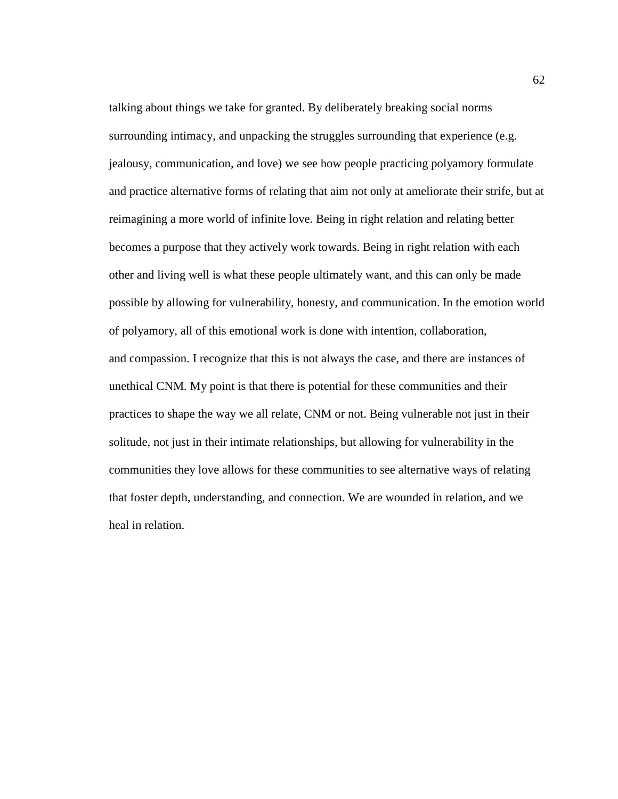talking about things we take for granted. By deliberately breaking social norms surrounding intimacy, and unpacking the struggles surrounding that experience (e.g. jealousy, communication, and love) we see how people practicing polyamory formulate and practice alternative forms of relating that aim not only at ameliorate their strife, but at reimagining a more world of infinite love. Being in right relation and relating better becomes a purpose that they actively work towards. Being in right relation with each other and living well is what these people ultimately want, and this can only be made possible by allowing for vulnerability, honesty, and communication. In the emotion world of polyamory, all of this emotional work is done with intention, collaboration, and compassion. I recognize that this is not always the case, and there are instances of unethical CNM. My point is that there is potential for these communities and their practices to shape the way we all relate, CNM or not. Being vulnerable not just in their solitude, not just in their intimate relationships, but allowing for vulnerability in the communities they love allows for these communities to see alternative ways of relating that foster depth, understanding, and connection. We are wounded in relation, and we heal in relation.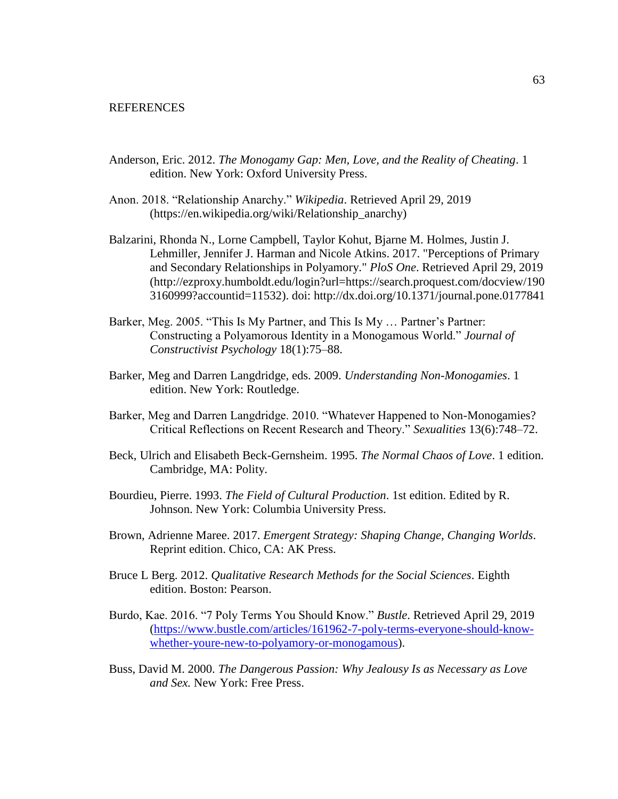## **REFERENCES**

- Anderson, Eric. 2012. *The Monogamy Gap: Men, Love, and the Reality of Cheating*. 1 edition. New York: Oxford University Press.
- Anon. 2018. "Relationship Anarchy." *Wikipedia*. Retrieved April 29, 2019 (https://en.wikipedia.org/wiki/Relationship\_anarchy)
- Balzarini, Rhonda N., Lorne Campbell, Taylor Kohut, Bjarne M. Holmes, Justin J. Lehmiller, Jennifer J. Harman and Nicole Atkins. 2017. "Perceptions of Primary and Secondary Relationships in Polyamory." *PloS One*. Retrieved April 29, 2019 (http://ezproxy.humboldt.edu/login?url=https://search.proquest.com/docview/190 3160999?accountid=11532). doi: http://dx.doi.org/10.1371/journal.pone.0177841
- Barker, Meg. 2005. "This Is My Partner, and This Is My … Partner's Partner: Constructing a Polyamorous Identity in a Monogamous World." *Journal of Constructivist Psychology* 18(1):75–88.
- Barker, Meg and Darren Langdridge, eds. 2009. *Understanding Non-Monogamies*. 1 edition. New York: Routledge.
- Barker, Meg and Darren Langdridge. 2010. "Whatever Happened to Non-Monogamies? Critical Reflections on Recent Research and Theory." *Sexualities* 13(6):748–72.
- Beck, Ulrich and Elisabeth Beck-Gernsheim. 1995. *The Normal Chaos of Love*. 1 edition. Cambridge, MA: Polity.
- Bourdieu, Pierre. 1993. *The Field of Cultural Production*. 1st edition. Edited by R. Johnson. New York: Columbia University Press.
- Brown, Adrienne Maree. 2017. *Emergent Strategy: Shaping Change, Changing Worlds*. Reprint edition. Chico, CA: AK Press.
- Bruce L Berg. 2012. *Qualitative Research Methods for the Social Sciences*. Eighth edition. Boston: Pearson.
- Burdo, Kae. 2016. "7 Poly Terms You Should Know." *Bustle*. Retrieved April 29, 2019 (https://www.bustle.com/articles/161962-7-poly-terms-everyone-should-knowwhether-youre-new-to-polyamory-or-monogamous).
- Buss, David M. 2000. *The Dangerous Passion: Why Jealousy Is as Necessary as Love and Sex.* New York: Free Press.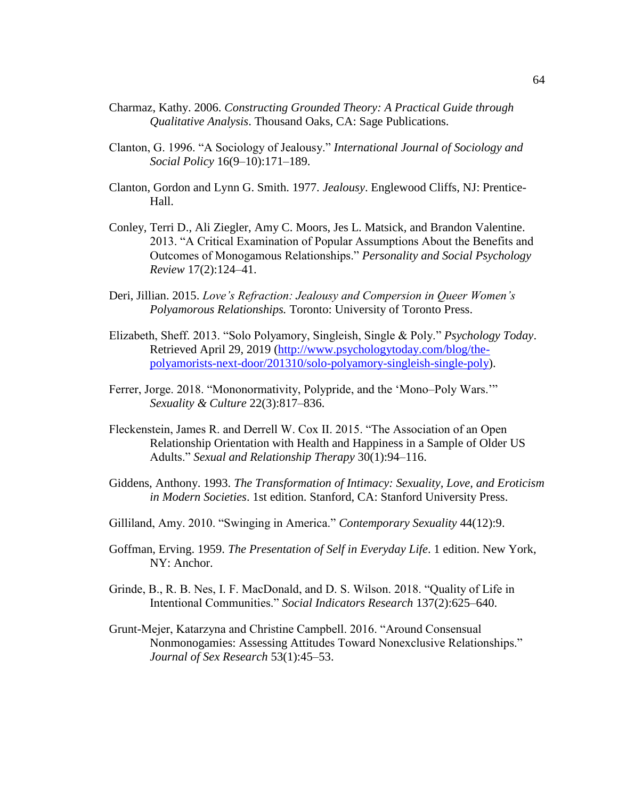- Charmaz, Kathy. 2006. *Constructing Grounded Theory: A Practical Guide through Qualitative Analysis*. Thousand Oaks, CA: Sage Publications.
- Clanton, G. 1996. "A Sociology of Jealousy." *International Journal of Sociology and Social Policy* 16(9–10):171–189.
- Clanton, Gordon and Lynn G. Smith. 1977. *Jealousy*. Englewood Cliffs, NJ: Prentice-Hall.
- Conley, Terri D., Ali Ziegler, Amy C. Moors, Jes L. Matsick, and Brandon Valentine. 2013. "A Critical Examination of Popular Assumptions About the Benefits and Outcomes of Monogamous Relationships." *Personality and Social Psychology Review* 17(2):124–41.
- Deri, Jillian. 2015. *Love's Refraction: Jealousy and Compersion in Queer Women's Polyamorous Relationships.* Toronto: University of Toronto Press.
- Elizabeth, Sheff. 2013. "Solo Polyamory, Singleish, Single & Poly." *Psychology Today*. Retrieved April 29, 2019 (http://www.psychologytoday.com/blog/thepolyamorists-next-door/201310/solo-polyamory-singleish-single-poly).
- Ferrer, Jorge. 2018. "Mononormativity, Polypride, and the 'Mono–Poly Wars.'" *Sexuality & Culture* 22(3):817–836.
- Fleckenstein, James R. and Derrell W. Cox II. 2015. "The Association of an Open Relationship Orientation with Health and Happiness in a Sample of Older US Adults." *Sexual and Relationship Therapy* 30(1):94–116.
- Giddens, Anthony. 1993. *The Transformation of Intimacy: Sexuality, Love, and Eroticism in Modern Societies*. 1st edition. Stanford, CA: Stanford University Press.
- Gilliland, Amy. 2010. "Swinging in America." *Contemporary Sexuality* 44(12):9.
- Goffman, Erving. 1959. *The Presentation of Self in Everyday Life*. 1 edition. New York, NY: Anchor.
- Grinde, B., R. B. Nes, I. F. MacDonald, and D. S. Wilson. 2018. "Quality of Life in Intentional Communities." *Social Indicators Research* 137(2):625–640.
- Grunt-Mejer, Katarzyna and Christine Campbell. 2016. "Around Consensual Nonmonogamies: Assessing Attitudes Toward Nonexclusive Relationships." *Journal of Sex Research* 53(1):45–53.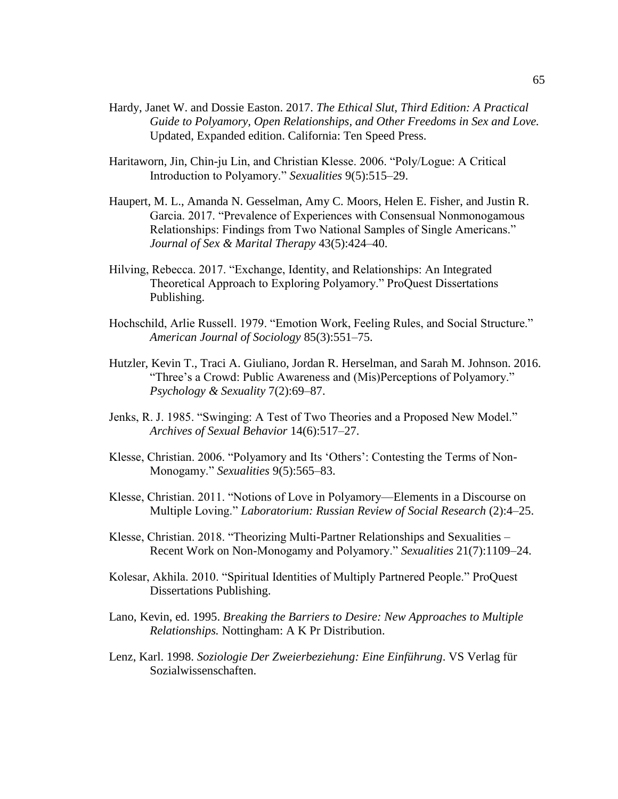- Hardy, Janet W. and Dossie Easton. 2017. *The Ethical Slut, Third Edition: A Practical Guide to Polyamory, Open Relationships, and Other Freedoms in Sex and Love.* Updated, Expanded edition. California: Ten Speed Press.
- Haritaworn, Jin, Chin-ju Lin, and Christian Klesse. 2006. "Poly/Logue: A Critical Introduction to Polyamory." *Sexualities* 9(5):515–29.
- Haupert, M. L., Amanda N. Gesselman, Amy C. Moors, Helen E. Fisher, and Justin R. Garcia. 2017. "Prevalence of Experiences with Consensual Nonmonogamous Relationships: Findings from Two National Samples of Single Americans." *Journal of Sex & Marital Therapy* 43(5):424–40.
- Hilving, Rebecca. 2017. "Exchange, Identity, and Relationships: An Integrated Theoretical Approach to Exploring Polyamory." ProQuest Dissertations Publishing.
- Hochschild, Arlie Russell. 1979. "Emotion Work, Feeling Rules, and Social Structure." *American Journal of Sociology* 85(3):551–75.
- Hutzler, Kevin T., Traci A. Giuliano, Jordan R. Herselman, and Sarah M. Johnson. 2016. "Three's a Crowd: Public Awareness and (Mis)Perceptions of Polyamory." *Psychology & Sexuality* 7(2):69–87.
- Jenks, R. J. 1985. "Swinging: A Test of Two Theories and a Proposed New Model." *Archives of Sexual Behavior* 14(6):517–27.
- Klesse, Christian. 2006. "Polyamory and Its 'Others': Contesting the Terms of Non-Monogamy." *Sexualities* 9(5):565–83.
- Klesse, Christian. 2011. "Notions of Love in Polyamory—Elements in a Discourse on Multiple Loving." *Laboratorium: Russian Review of Social Research* (2):4–25.
- Klesse, Christian. 2018. "Theorizing Multi-Partner Relationships and Sexualities Recent Work on Non-Monogamy and Polyamory." *Sexualities* 21(7):1109–24.
- Kolesar, Akhila. 2010. "Spiritual Identities of Multiply Partnered People." ProQuest Dissertations Publishing.
- Lano, Kevin, ed. 1995. *Breaking the Barriers to Desire: New Approaches to Multiple Relationships.* Nottingham: A K Pr Distribution.
- Lenz, Karl. 1998. *Soziologie Der Zweierbeziehung: Eine Einführung*. VS Verlag für Sozialwissenschaften.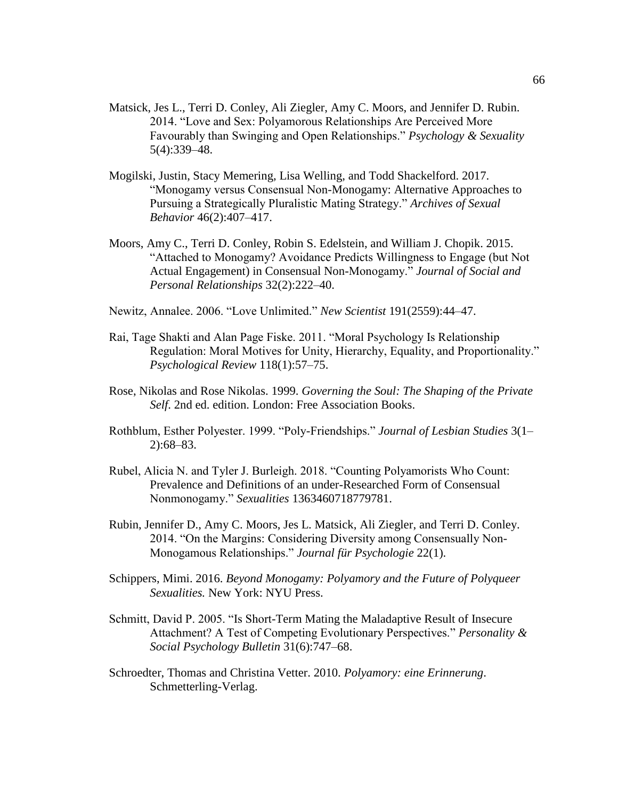- Matsick, Jes L., Terri D. Conley, Ali Ziegler, Amy C. Moors, and Jennifer D. Rubin. 2014. "Love and Sex: Polyamorous Relationships Are Perceived More Favourably than Swinging and Open Relationships." *Psychology & Sexuality* 5(4):339–48.
- Mogilski, Justin, Stacy Memering, Lisa Welling, and Todd Shackelford. 2017. "Monogamy versus Consensual Non-Monogamy: Alternative Approaches to Pursuing a Strategically Pluralistic Mating Strategy." *Archives of Sexual Behavior* 46(2):407–417.
- Moors, Amy C., Terri D. Conley, Robin S. Edelstein, and William J. Chopik. 2015. "Attached to Monogamy? Avoidance Predicts Willingness to Engage (but Not Actual Engagement) in Consensual Non-Monogamy." *Journal of Social and Personal Relationships* 32(2):222–40.
- Newitz, Annalee. 2006. "Love Unlimited." *New Scientist* 191(2559):44–47.
- Rai, Tage Shakti and Alan Page Fiske. 2011. "Moral Psychology Is Relationship Regulation: Moral Motives for Unity, Hierarchy, Equality, and Proportionality." *Psychological Review* 118(1):57–75.
- Rose, Nikolas and Rose Nikolas. 1999. *Governing the Soul: The Shaping of the Private Self*. 2nd ed. edition. London: Free Association Books.
- Rothblum, Esther Polyester. 1999. "Poly-Friendships." *Journal of Lesbian Studies* 3(1– 2):68–83.
- Rubel, Alicia N. and Tyler J. Burleigh. 2018. "Counting Polyamorists Who Count: Prevalence and Definitions of an under-Researched Form of Consensual Nonmonogamy." *Sexualities* 1363460718779781.
- Rubin, Jennifer D., Amy C. Moors, Jes L. Matsick, Ali Ziegler, and Terri D. Conley. 2014. "On the Margins: Considering Diversity among Consensually Non-Monogamous Relationships." *Journal für Psychologie* 22(1).
- Schippers, Mimi. 2016. *Beyond Monogamy: Polyamory and the Future of Polyqueer Sexualities.* New York: NYU Press.
- Schmitt, David P. 2005. "Is Short-Term Mating the Maladaptive Result of Insecure Attachment? A Test of Competing Evolutionary Perspectives." *Personality & Social Psychology Bulletin* 31(6):747–68.
- Schroedter, Thomas and Christina Vetter. 2010. *Polyamory: eine Erinnerung*. Schmetterling-Verlag.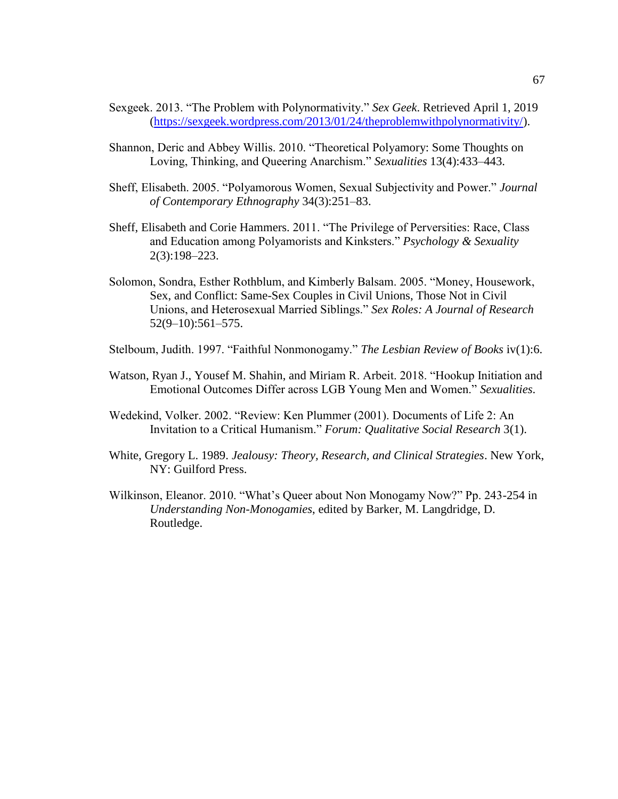- Sexgeek. 2013. "The Problem with Polynormativity." *Sex Geek*. Retrieved April 1, 2019 (https://sexgeek.wordpress.com/2013/01/24/theproblemwithpolynormativity/).
- Shannon, Deric and Abbey Willis. 2010. "Theoretical Polyamory: Some Thoughts on Loving, Thinking, and Queering Anarchism." *Sexualities* 13(4):433–443.
- Sheff, Elisabeth. 2005. "Polyamorous Women, Sexual Subjectivity and Power." *Journal of Contemporary Ethnography* 34(3):251–83.
- Sheff, Elisabeth and Corie Hammers. 2011. "The Privilege of Perversities: Race, Class and Education among Polyamorists and Kinksters." *Psychology & Sexuality* 2(3):198–223.
- Solomon, Sondra, Esther Rothblum, and Kimberly Balsam. 2005. "Money, Housework, Sex, and Conflict: Same-Sex Couples in Civil Unions, Those Not in Civil Unions, and Heterosexual Married Siblings." *Sex Roles: A Journal of Research* 52(9–10):561–575.
- Stelboum, Judith. 1997. "Faithful Nonmonogamy." *The Lesbian Review of Books* iv(1):6.
- Watson, Ryan J., Yousef M. Shahin, and Miriam R. Arbeit. 2018. "Hookup Initiation and Emotional Outcomes Differ across LGB Young Men and Women." *Sexualities*.
- Wedekind, Volker. 2002. "Review: Ken Plummer (2001). Documents of Life 2: An Invitation to a Critical Humanism." *Forum: Qualitative Social Research* 3(1).
- White, Gregory L. 1989. *Jealousy: Theory, Research, and Clinical Strategies*. New York, NY: Guilford Press.
- Wilkinson, Eleanor. 2010. "What's Queer about Non Monogamy Now?" Pp. 243-254 in *Understanding Non-Monogamies*, edited by Barker, M. Langdridge, D. Routledge.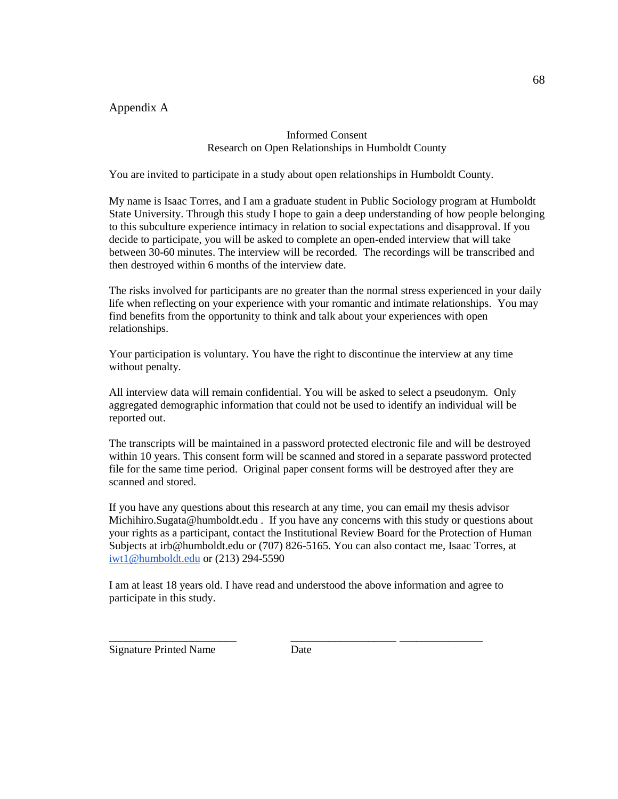Appendix A

## Informed Consent Research on Open Relationships in Humboldt County

You are invited to participate in a study about open relationships in Humboldt County.

My name is Isaac Torres, and I am a graduate student in Public Sociology program at Humboldt State University. Through this study I hope to gain a deep understanding of how people belonging to this subculture experience intimacy in relation to social expectations and disapproval. If you decide to participate, you will be asked to complete an open-ended interview that will take between 30-60 minutes. The interview will be recorded. The recordings will be transcribed and then destroyed within 6 months of the interview date.

The risks involved for participants are no greater than the normal stress experienced in your daily life when reflecting on your experience with your romantic and intimate relationships. You may find benefits from the opportunity to think and talk about your experiences with open relationships.

Your participation is voluntary. You have the right to discontinue the interview at any time without penalty.

All interview data will remain confidential. You will be asked to select a pseudonym. Only aggregated demographic information that could not be used to identify an individual will be reported out.

The transcripts will be maintained in a password protected electronic file and will be destroyed within 10 years. This consent form will be scanned and stored in a separate password protected file for the same time period. Original paper consent forms will be destroyed after they are scanned and stored.

If you have any questions about this research at any time, you can email my thesis advisor Michihiro.Sugata@humboldt.edu . If you have any concerns with this study or questions about your rights as a participant, contact the Institutional Review Board for the Protection of Human Subjects at irb@humboldt.edu or (707) 826-5165. You can also contact me, Isaac Torres, at [iwt1@humboldt.edu](mailto:iwt1@humboldt.edu) or (213) 294-5590

I am at least 18 years old. I have read and understood the above information and agree to participate in this study.

Signature Printed Name Date

\_\_\_\_\_\_\_\_\_\_\_\_\_\_\_\_\_\_\_\_\_\_\_ \_\_\_\_\_\_\_\_\_\_\_\_\_\_\_\_\_\_\_ \_\_\_\_\_\_\_\_\_\_\_\_\_\_\_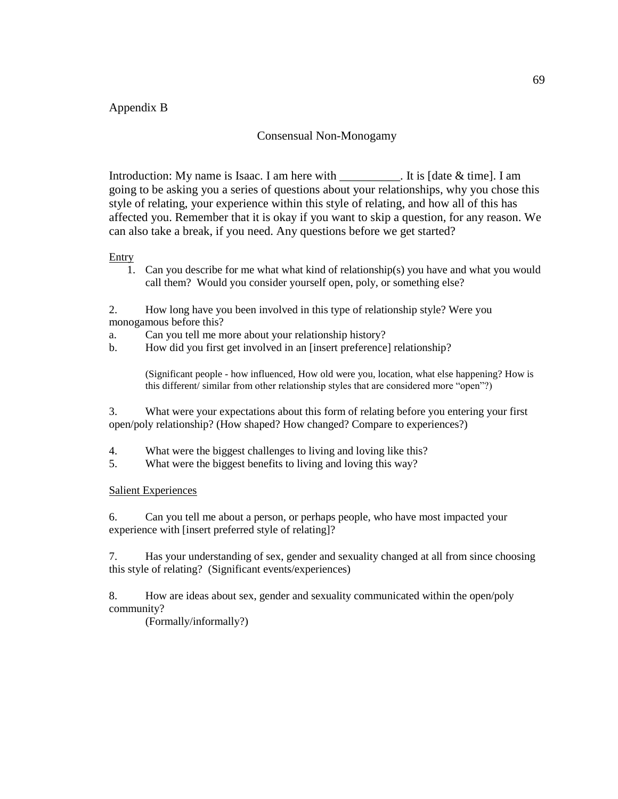# Appendix B

## Consensual Non-Monogamy

Introduction: My name is Isaac. I am here with \_\_\_\_\_\_\_\_\_\_. It is [date & time]. I am going to be asking you a series of questions about your relationships, why you chose this style of relating, your experience within this style of relating, and how all of this has affected you. Remember that it is okay if you want to skip a question, for any reason. We can also take a break, if you need. Any questions before we get started?

#### Entry

1. Can you describe for me what what kind of relationship(s) you have and what you would call them? Would you consider yourself open, poly, or something else?

2. How long have you been involved in this type of relationship style? Were you monogamous before this?

- a. Can you tell me more about your relationship history?
- b. How did you first get involved in an [insert preference] relationship?

(Significant people - how influenced, How old were you, location, what else happening? How is this different/ similar from other relationship styles that are considered more "open"?)

3. What were your expectations about this form of relating before you entering your first open/poly relationship? (How shaped? How changed? Compare to experiences?)

- 4. What were the biggest challenges to living and loving like this?
- 5. What were the biggest benefits to living and loving this way?

### Salient Experiences

6. Can you tell me about a person, or perhaps people, who have most impacted your experience with [insert preferred style of relating]?

7. Has your understanding of sex, gender and sexuality changed at all from since choosing this style of relating? (Significant events/experiences)

8. How are ideas about sex, gender and sexuality communicated within the open/poly community?

(Formally/informally?)